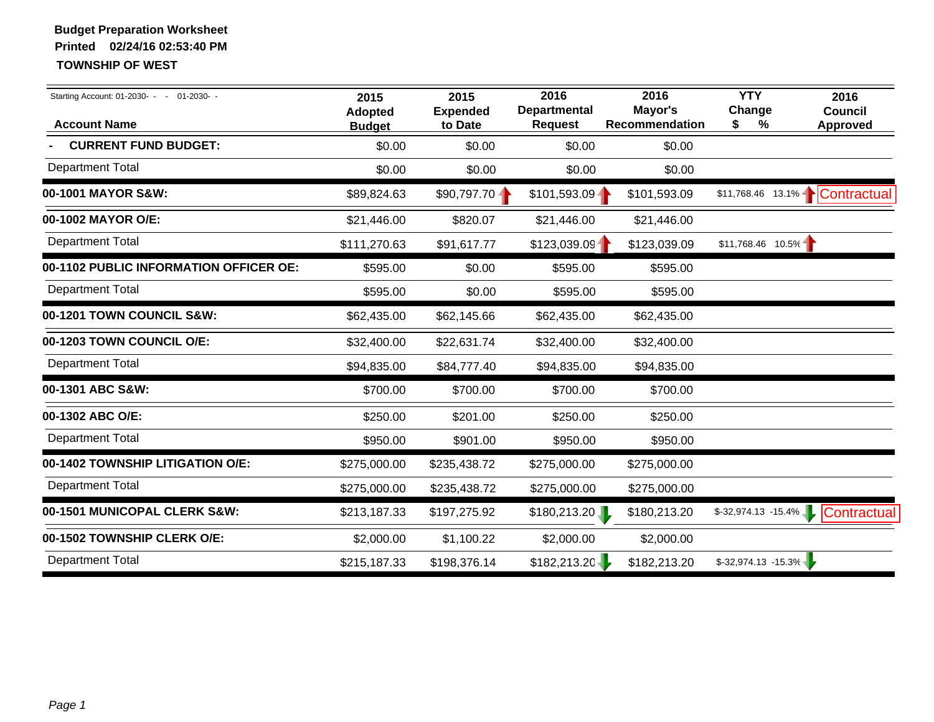| Starting Account: 01-2030- - - 01-2030- -<br><b>Account Name</b> | 2015<br><b>Adopted</b><br><b>Budget</b> | 2015<br><b>Expended</b><br>to Date | 2016<br><b>Departmental</b><br><b>Request</b> | 2016<br>Mayor's<br><b>Recommendation</b> | <b>YTY</b><br>Change<br>%<br>\$ | 2016<br><b>Council</b><br><b>Approved</b> |
|------------------------------------------------------------------|-----------------------------------------|------------------------------------|-----------------------------------------------|------------------------------------------|---------------------------------|-------------------------------------------|
| <b>CURRENT FUND BUDGET:</b>                                      | \$0.00                                  | \$0.00                             | \$0.00                                        | \$0.00                                   |                                 |                                           |
| <b>Department Total</b>                                          | \$0.00                                  | \$0.00                             | \$0.00                                        | \$0.00                                   |                                 |                                           |
| 00-1001 MAYOR S&W:                                               | \$89,824.63                             | $$90,797.70 -$                     | $$101,593.09 -$                               | \$101,593.09                             |                                 | \$11,768.46  13.1%   Contractual          |
| 00-1002 MAYOR O/E:                                               | \$21,446.00                             | \$820.07                           | \$21,446.00                                   | \$21,446.00                              |                                 |                                           |
| <b>Department Total</b>                                          | \$111,270.63                            | \$91,617.77                        | \$123,039.09                                  | \$123,039.09                             | $$11,768.46$ 10.5%              |                                           |
| 00-1102 PUBLIC INFORMATION OFFICER OE:                           | \$595.00                                | \$0.00                             | \$595.00                                      | \$595.00                                 |                                 |                                           |
| <b>Department Total</b>                                          | \$595.00                                | \$0.00                             | \$595.00                                      | \$595.00                                 |                                 |                                           |
| 00-1201 TOWN COUNCIL S&W:                                        | \$62,435.00                             | \$62,145.66                        | \$62,435.00                                   | \$62,435.00                              |                                 |                                           |
| 00-1203 TOWN COUNCIL O/E:                                        | \$32,400.00                             | \$22,631.74                        | \$32,400.00                                   | \$32,400.00                              |                                 |                                           |
| <b>Department Total</b>                                          | \$94,835.00                             | \$84,777.40                        | \$94,835.00                                   | \$94,835.00                              |                                 |                                           |
| 00-1301 ABC S&W:                                                 | \$700.00                                | \$700.00                           | \$700.00                                      | \$700.00                                 |                                 |                                           |
| 00-1302 ABC O/E:                                                 | \$250.00                                | \$201.00                           | \$250.00                                      | \$250.00                                 |                                 |                                           |
| <b>Department Total</b>                                          | \$950.00                                | \$901.00                           | \$950.00                                      | \$950.00                                 |                                 |                                           |
| 00-1402 TOWNSHIP LITIGATION O/E:                                 | \$275,000.00                            | \$235,438.72                       | \$275,000.00                                  | \$275,000.00                             |                                 |                                           |
| <b>Department Total</b>                                          | \$275,000.00                            | \$235,438.72                       | \$275,000.00                                  | \$275,000.00                             |                                 |                                           |
| 00-1501 MUNICOPAL CLERK S&W:                                     | \$213,187.33                            | \$197,275.92                       | \$180,213.20                                  | \$180,213.20                             | $$-32,974.13 -15.4\%$           | Contractual                               |
| 00-1502 TOWNSHIP CLERK O/E:                                      | \$2,000.00                              | \$1,100.22                         | \$2,000.00                                    | \$2,000.00                               |                                 |                                           |
| <b>Department Total</b>                                          | \$215,187.33                            | \$198,376.14                       | \$182,213.20                                  | \$182,213.20                             | $$-32,974.13 -15.3\%$           |                                           |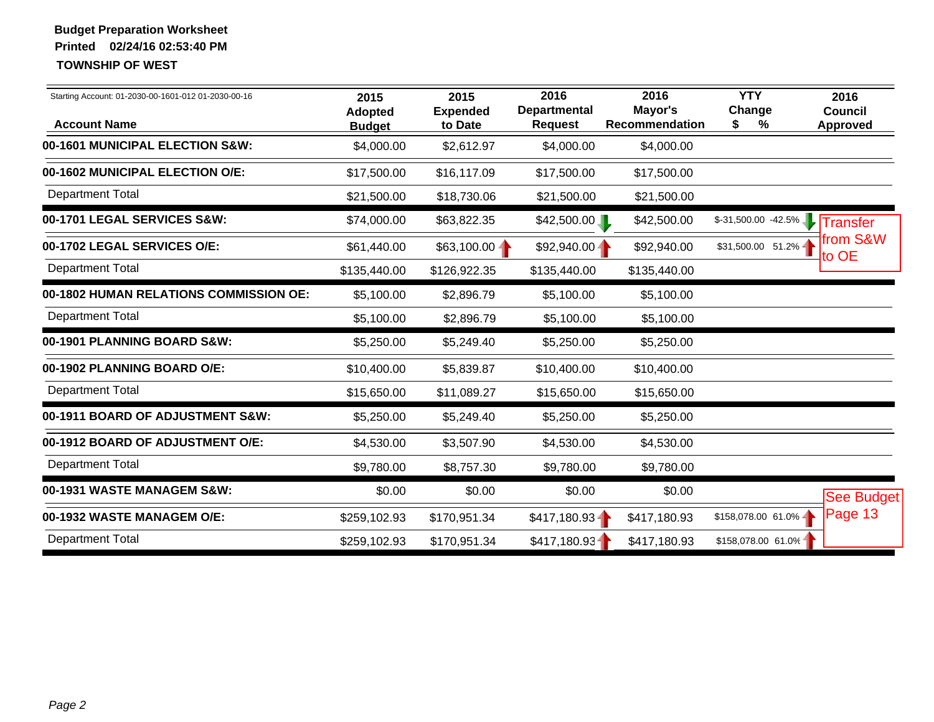| Starting Account: 01-2030-00-1601-012 01-2030-00-16<br><b>Account Name</b> | 2015<br>Adopted<br><b>Budget</b> | 2015<br><b>Expended</b><br>to Date | 2016<br><b>Departmental</b><br><b>Request</b> | 2016<br>Mayor's<br><b>Recommendation</b> | <b>YTY</b><br>Change<br>%<br>S | 2016<br><b>Council</b><br><b>Approved</b> |
|----------------------------------------------------------------------------|----------------------------------|------------------------------------|-----------------------------------------------|------------------------------------------|--------------------------------|-------------------------------------------|
| 00-1601 MUNICIPAL ELECTION S&W:                                            | \$4,000.00                       | \$2,612.97                         | \$4,000.00                                    | \$4,000.00                               |                                |                                           |
| 00-1602 MUNICIPAL ELECTION O/E:                                            | \$17,500.00                      | \$16,117.09                        | \$17,500.00                                   | \$17,500.00                              |                                |                                           |
| Department Total                                                           | \$21,500.00                      | \$18,730.06                        | \$21,500.00                                   | \$21,500.00                              |                                |                                           |
| 00-1701 LEGAL SERVICES S&W:                                                | \$74,000.00                      | \$63,822.35                        | \$42,500.00                                   | \$42,500.00                              | $$-31,500.00$ $-42.5\%$        | Transfer                                  |
| 00-1702 LEGAL SERVICES O/E:                                                | \$61,440.00                      | $$63,100.00 -$                     | $$92,940.00 -$                                | \$92,940.00                              | \$31,500.00 51.2%              | from S&W<br>to OE                         |
| <b>Department Total</b>                                                    | \$135,440.00                     | \$126,922.35                       | \$135,440.00                                  | \$135,440.00                             |                                |                                           |
| 00-1802 HUMAN RELATIONS COMMISSION OE:                                     | \$5,100.00                       | \$2,896.79                         | \$5,100.00                                    | \$5,100.00                               |                                |                                           |
| <b>Department Total</b>                                                    | \$5,100.00                       | \$2,896.79                         | \$5,100.00                                    | \$5,100.00                               |                                |                                           |
| 00-1901 PLANNING BOARD S&W:                                                | \$5,250.00                       | \$5,249.40                         | \$5,250.00                                    | \$5,250.00                               |                                |                                           |
| 00-1902 PLANNING BOARD O/E:                                                | \$10,400.00                      | \$5,839.87                         | \$10,400.00                                   | \$10,400.00                              |                                |                                           |
| <b>Department Total</b>                                                    | \$15,650.00                      | \$11,089.27                        | \$15,650.00                                   | \$15,650.00                              |                                |                                           |
| 00-1911 BOARD OF ADJUSTMENT S&W:                                           | \$5,250.00                       | \$5,249.40                         | \$5,250.00                                    | \$5,250.00                               |                                |                                           |
| 00-1912 BOARD OF ADJUSTMENT O/E:                                           | \$4,530.00                       | \$3,507.90                         | \$4,530.00                                    | \$4,530.00                               |                                |                                           |
| <b>Department Total</b>                                                    | \$9,780.00                       | \$8,757.30                         | \$9,780.00                                    | \$9,780.00                               |                                |                                           |
| 00-1931 WASTE MANAGEM S&W:                                                 | \$0.00                           | \$0.00                             | \$0.00                                        | \$0.00                                   |                                | See Budget                                |
| 00-1932 WASTE MANAGEM O/E:                                                 | \$259,102.93                     | \$170,951.34                       | \$417,180.93                                  | \$417,180.93                             | \$158,078.00 61.0%             | Page 13                                   |
| <b>Department Total</b>                                                    | \$259,102.93                     | \$170,951.34                       | \$417,180.93                                  | \$417,180.93                             | \$158,078.00 61.0%             |                                           |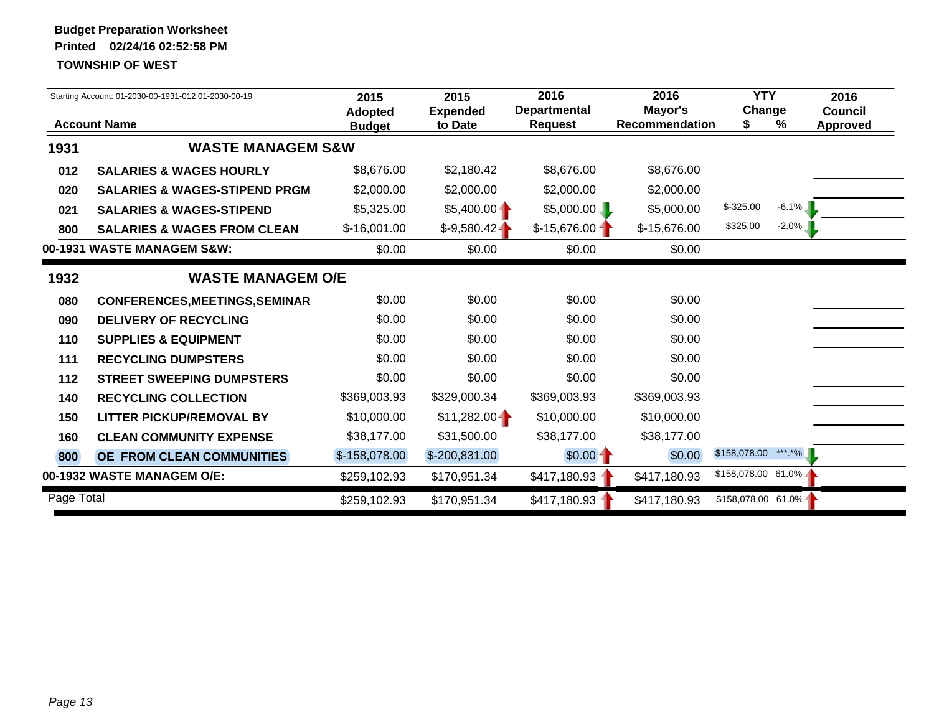|            | Starting Account: 01-2030-00-1931-012 01-2030-00-19 |                | 2015<br><b>Expended</b> | 2016<br><b>Departmental</b> | 2016<br>Mayor's       | <b>YTY</b><br>Change |          | 2016<br><b>Council</b> |
|------------|-----------------------------------------------------|----------------|-------------------------|-----------------------------|-----------------------|----------------------|----------|------------------------|
|            | <b>Account Name</b>                                 | <b>Budget</b>  | to Date                 | <b>Request</b>              | <b>Recommendation</b> | S                    | %        | <b>Approved</b>        |
| 1931       | <b>WASTE MANAGEM S&amp;W</b>                        |                |                         |                             |                       |                      |          |                        |
| 012        | <b>SALARIES &amp; WAGES HOURLY</b>                  | \$8,676.00     | \$2,180.42              | \$8,676.00                  | \$8,676.00            |                      |          |                        |
| 020        | <b>SALARIES &amp; WAGES-STIPEND PRGM</b>            | \$2,000.00     | \$2,000.00              | \$2,000.00                  | \$2,000.00            |                      |          |                        |
| 021        | <b>SALARIES &amp; WAGES-STIPEND</b>                 | \$5,325.00     | $$5,400.00 -$           | \$5,000.00                  | \$5,000.00            | $$-325.00$           | $-6.1\%$ |                        |
| 800        | <b>SALARIES &amp; WAGES FROM CLEAN</b>              | $$-16,001.00$  | $$-9,580.42$            | $$-15,676.00$               | \$-15,676.00          | \$325.00             | $-2.0\%$ |                        |
|            | 00-1931 WASTE MANAGEM S&W:                          | \$0.00         | \$0.00                  | \$0.00                      | \$0.00                |                      |          |                        |
| 1932       | <b>WASTE MANAGEM O/E</b>                            |                |                         |                             |                       |                      |          |                        |
| 080        | <b>CONFERENCES, MEETINGS, SEMINAR</b>               | \$0.00         | \$0.00                  | \$0.00                      | \$0.00                |                      |          |                        |
| 090        | <b>DELIVERY OF RECYCLING</b>                        | \$0.00         | \$0.00                  | \$0.00                      | \$0.00                |                      |          |                        |
| 110        | <b>SUPPLIES &amp; EQUIPMENT</b>                     | \$0.00         | \$0.00                  | \$0.00                      | \$0.00                |                      |          |                        |
| 111        | <b>RECYCLING DUMPSTERS</b>                          | \$0.00         | \$0.00                  | \$0.00                      | \$0.00                |                      |          |                        |
| 112        | <b>STREET SWEEPING DUMPSTERS</b>                    | \$0.00         | \$0.00                  | \$0.00                      | \$0.00                |                      |          |                        |
| 140        | <b>RECYCLING COLLECTION</b>                         | \$369,003.93   | \$329,000.34            | \$369,003.93                | \$369,003.93          |                      |          |                        |
| 150        | <b>LITTER PICKUP/REMOVAL BY</b>                     | \$10,000.00    | $$11,282.00 -$          | \$10,000.00                 | \$10,000.00           |                      |          |                        |
| 160        | <b>CLEAN COMMUNITY EXPENSE</b>                      | \$38,177.00    | \$31,500.00             | \$38,177.00                 | \$38,177.00           |                      |          |                        |
| 800        | OE FROM CLEAN COMMUNITIES                           | $$-158,078.00$ | $$-200,831.00$          | $$0.00 -$                   | \$0.00                | \$158,078.00         | *** *%   |                        |
|            | 00-1932 WASTE MANAGEM O/E:                          | \$259,102.93   | \$170,951.34            | $$417,180.93 -$             | \$417,180.93          | $$158,078.00$ 61.0%  |          |                        |
| Page Total |                                                     | \$259,102.93   | \$170,951.34            | \$417,180.93                | \$417,180.93          | $$158,078.00$ 61.0%  |          |                        |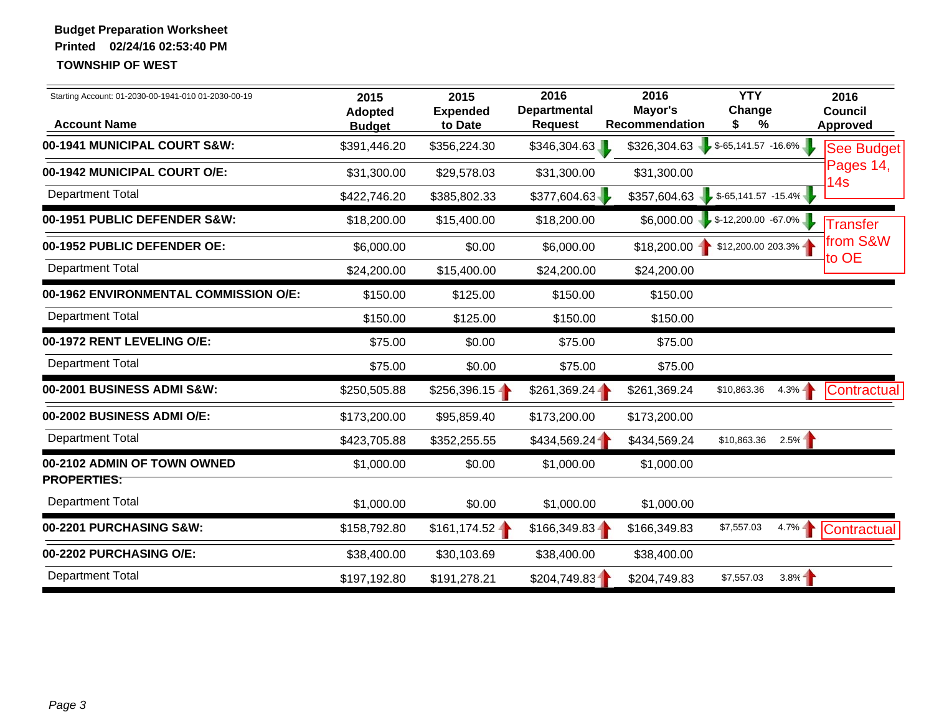| Starting Account: 01-2030-00-1941-010 01-2030-00-19<br><b>Account Name</b> | 2015<br><b>Adopted</b><br><b>Budget</b> | 2015<br><b>Expended</b><br>to Date | 2016<br><b>Departmental</b><br><b>Request</b> | 2016<br>Mayor's<br>Recommendation  | <b>YTY</b><br>Change<br>%<br>S  |           | 2016<br><b>Council</b><br><b>Approved</b> |
|----------------------------------------------------------------------------|-----------------------------------------|------------------------------------|-----------------------------------------------|------------------------------------|---------------------------------|-----------|-------------------------------------------|
| 00-1941 MUNICIPAL COURT S&W:                                               | \$391,446.20                            | \$356,224.30                       | \$346,304.63                                  | \$326,304.63                       | $$-65,141.57 -16.6\%$           |           | See Budget                                |
| 00-1942 MUNICIPAL COURT O/E:                                               | \$31,300.00                             | \$29,578.03                        | \$31,300.00                                   | \$31,300.00                        |                                 |           | Pages 14,<br>14 <sub>s</sub>              |
| <b>Department Total</b>                                                    | \$422,746.20                            | \$385,802.33                       | \$377,604.63                                  | $$357,604.63$ $$-65,141.57$ -15.4% |                                 |           |                                           |
| 00-1951 PUBLIC DEFENDER S&W:                                               | \$18,200.00                             | \$15,400.00                        | \$18,200.00                                   |                                    | $$6,000.00$ \$-12,200.00 -67.0% |           | <b>Transfer</b>                           |
| 00-1952 PUBLIC DEFENDER OE:                                                | \$6,000.00                              | \$0.00                             | \$6,000.00                                    | $$18,200.00 -$                     | \$12,200.00 203.3%              |           | lfrom S&W                                 |
| <b>Department Total</b>                                                    | \$24,200.00                             | \$15,400.00                        | \$24,200.00                                   | \$24,200.00                        |                                 |           | to OE                                     |
| 00-1962 ENVIRONMENTAL COMMISSION O/E:                                      | \$150.00                                | \$125.00                           | \$150.00                                      | \$150.00                           |                                 |           |                                           |
| <b>Department Total</b>                                                    | \$150.00                                | \$125.00                           | \$150.00                                      | \$150.00                           |                                 |           |                                           |
| 00-1972 RENT LEVELING O/E:                                                 | \$75.00                                 | \$0.00                             | \$75.00                                       | \$75.00                            |                                 |           |                                           |
| <b>Department Total</b>                                                    | \$75.00                                 | \$0.00                             | \$75.00                                       | \$75.00                            |                                 |           |                                           |
| 00-2001 BUSINESS ADMI S&W:                                                 | \$250,505.88                            | $$256,396.15 -$                    | $$261,369.24 -$                               | \$261,369.24                       | \$10,863.36                     | $4.3\%$   | Contractual                               |
| 00-2002 BUSINESS ADMI O/E:                                                 | \$173,200.00                            | \$95,859.40                        | \$173,200.00                                  | \$173,200.00                       |                                 |           |                                           |
| <b>Department Total</b>                                                    | \$423,705.88                            | \$352,255.55                       | \$434,569.24                                  | \$434,569.24                       | \$10,863.36                     | 2.5%      |                                           |
| 00-2102 ADMIN OF TOWN OWNED<br><b>PROPERTIES:</b>                          | \$1,000.00                              | \$0.00                             | \$1,000.00                                    | \$1,000.00                         |                                 |           |                                           |
| <b>Department Total</b>                                                    | \$1,000.00                              | \$0.00                             | \$1,000.00                                    | \$1,000.00                         |                                 |           |                                           |
| 00-2201 PURCHASING S&W:                                                    | \$158,792.80                            | $$161, 174.52 -$                   | $$166,349.83 -$                               | \$166,349.83                       | \$7,557.03                      | $4.7\% -$ | Contractual                               |
| 00-2202 PURCHASING O/E:                                                    | \$38,400.00                             | \$30,103.69                        | \$38,400.00                                   | \$38,400.00                        |                                 |           |                                           |
| <b>Department Total</b>                                                    | \$197,192.80                            | \$191,278.21                       | \$204,749.83                                  | \$204,749.83                       | \$7,557.03                      | $3.8\%$   |                                           |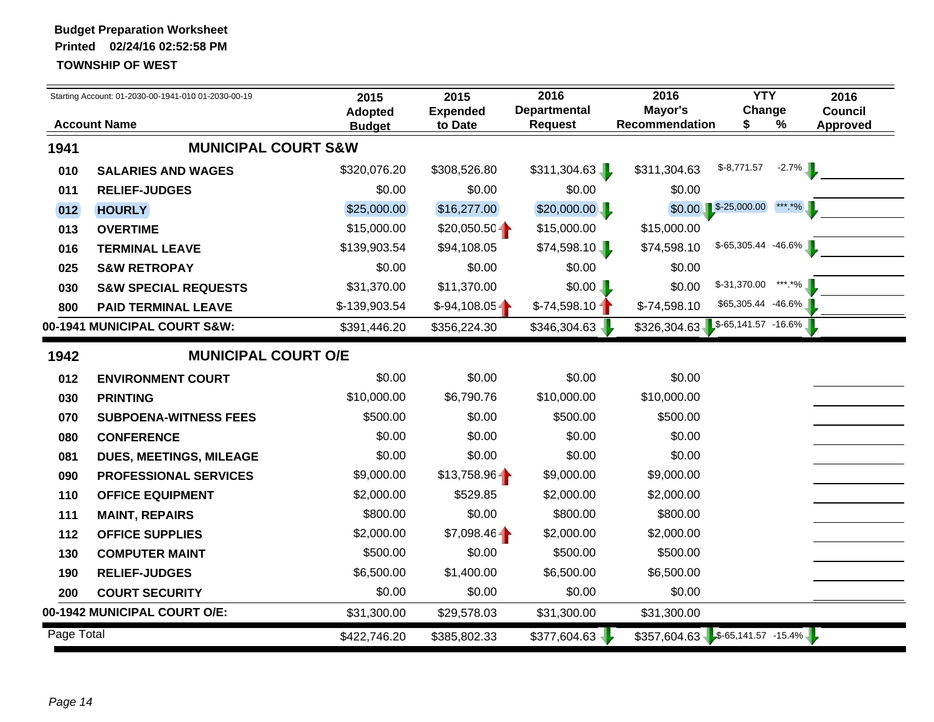|            | Starting Account: 01-2030-00-1941-010 01-2030-00-19 | 2015                            | 2015                       | 2016                                  | 2016                                  | <b>YTY</b>              | 2016                                      |  |
|------------|-----------------------------------------------------|---------------------------------|----------------------------|---------------------------------------|---------------------------------------|-------------------------|-------------------------------------------|--|
|            | <b>Account Name</b>                                 | <b>Adopted</b><br><b>Budget</b> | <b>Expended</b><br>to Date | <b>Departmental</b><br><b>Request</b> | Mayor's<br>Recommendation             | Change<br>S.            | <b>Council</b><br>$\%$<br><b>Approved</b> |  |
| 1941       | <b>MUNICIPAL COURT S&amp;W</b>                      |                                 |                            |                                       |                                       |                         |                                           |  |
| 010        | <b>SALARIES AND WAGES</b>                           | \$320,076.20                    | \$308,526.80               | \$311,304.63                          | \$311,304.63                          | $$-8,771.57$            | $-2.7\%$                                  |  |
| 011        | <b>RELIEF-JUDGES</b>                                | \$0.00                          | \$0.00                     | \$0.00                                | \$0.00                                |                         |                                           |  |
| 012        | <b>HOURLY</b>                                       | \$25,000.00                     | \$16,277.00                | \$20,000.00                           |                                       | $$0.00$ $$-25,000.00$   | ***.*%                                    |  |
| 013        | <b>OVERTIME</b>                                     | \$15,000.00                     | $$20,050.50 -$             | \$15,000.00                           | \$15,000.00                           |                         |                                           |  |
| 016        | <b>TERMINAL LEAVE</b>                               | \$139,903.54                    | \$94,108.05                | \$74,598.10                           | \$74,598.10                           | $$-65,305.44$ $-46.6\%$ |                                           |  |
| 025        | <b>S&amp;W RETROPAY</b>                             | \$0.00                          | \$0.00                     | \$0.00                                | \$0.00                                |                         |                                           |  |
| 030        | <b>S&amp;W SPECIAL REQUESTS</b>                     | \$31,370.00                     | \$11,370.00                | \$0.00                                | \$0.00                                | $$-31,370.00$ ***.*%    |                                           |  |
| 800        | <b>PAID TERMINAL LEAVE</b>                          | \$-139,903.54                   | $$-94,108.05$              | $$-74,598.10$                         | $$-74,598.10$                         | \$65,305.44 -46.6%      |                                           |  |
|            | 00-1941 MUNICIPAL COURT S&W:                        | \$391,446.20                    | \$356,224.30               | \$346,304.63                          | $$326,304.63$ $$^{565,141.57}$ -16.6% |                         |                                           |  |
| 1942       | <b>MUNICIPAL COURT O/E</b>                          |                                 |                            |                                       |                                       |                         |                                           |  |
| 012        | <b>ENVIRONMENT COURT</b>                            | \$0.00                          | \$0.00                     | \$0.00                                | \$0.00                                |                         |                                           |  |
| 030        | <b>PRINTING</b>                                     | \$10,000.00                     | \$6,790.76                 | \$10,000.00                           | \$10,000.00                           |                         |                                           |  |
| 070        | <b>SUBPOENA-WITNESS FEES</b>                        | \$500.00                        | \$0.00                     | \$500.00                              | \$500.00                              |                         |                                           |  |
| 080        | <b>CONFERENCE</b>                                   | \$0.00                          | \$0.00                     | \$0.00                                | \$0.00                                |                         |                                           |  |
| 081        | DUES, MEETINGS, MILEAGE                             | \$0.00                          | \$0.00                     | \$0.00                                | \$0.00                                |                         |                                           |  |
| 090        | <b>PROFESSIONAL SERVICES</b>                        | \$9,000.00                      | $$13,758.96 -$             | \$9,000.00                            | \$9,000.00                            |                         |                                           |  |
| 110        | <b>OFFICE EQUIPMENT</b>                             | \$2,000.00                      | \$529.85                   | \$2,000.00                            | \$2,000.00                            |                         |                                           |  |
| 111        | <b>MAINT, REPAIRS</b>                               | \$800.00                        | \$0.00                     | \$800.00                              | \$800.00                              |                         |                                           |  |
| 112        | <b>OFFICE SUPPLIES</b>                              | \$2,000.00                      | $$7,098.46 -$              | \$2,000.00                            | \$2,000.00                            |                         |                                           |  |
| 130        | <b>COMPUTER MAINT</b>                               | \$500.00                        | \$0.00                     | \$500.00                              | \$500.00                              |                         |                                           |  |
| 190        | <b>RELIEF-JUDGES</b>                                | \$6,500.00                      | \$1,400.00                 | \$6,500.00                            | \$6,500.00                            |                         |                                           |  |
| 200        | <b>COURT SECURITY</b>                               | \$0.00                          | \$0.00                     | \$0.00                                | \$0.00                                |                         |                                           |  |
|            | 00-1942 MUNICIPAL COURT O/E:                        | \$31,300.00                     | \$29,578.03                | \$31,300.00                           | \$31,300.00                           |                         |                                           |  |
| Page Total |                                                     | \$422,746.20                    | \$385,802.33               | \$377,604.63                          | $$357,604.63$ $$-65,141.57$ $-15.4\%$ |                         |                                           |  |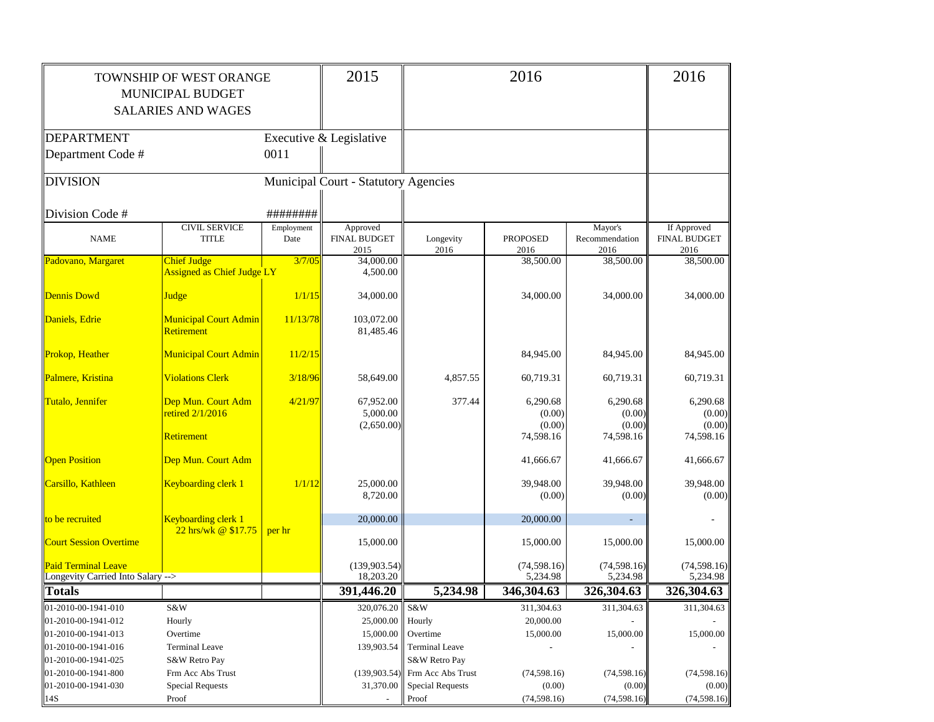|                                   | TOWNSHIP OF WEST ORANGE           |            | 2015                                 |                                  | 2016                    |                        | 2016                        |
|-----------------------------------|-----------------------------------|------------|--------------------------------------|----------------------------------|-------------------------|------------------------|-----------------------------|
|                                   | MUNICIPAL BUDGET                  |            |                                      |                                  |                         |                        |                             |
|                                   | <b>SALARIES AND WAGES</b>         |            |                                      |                                  |                         |                        |                             |
|                                   |                                   |            |                                      |                                  |                         |                        |                             |
| <b>DEPARTMENT</b>                 |                                   |            | Executive & Legislative              |                                  |                         |                        |                             |
| Department Code #                 |                                   | 0011       |                                      |                                  |                         |                        |                             |
|                                   |                                   |            |                                      |                                  |                         |                        |                             |
| <b>DIVISION</b>                   |                                   |            | Municipal Court - Statutory Agencies |                                  |                         |                        |                             |
|                                   |                                   |            |                                      |                                  |                         |                        |                             |
| Division Code #                   |                                   | ########   |                                      |                                  |                         |                        |                             |
|                                   | <b>CIVIL SERVICE</b>              | Employment | Approved                             |                                  |                         | Mayor's                | If Approved                 |
| <b>NAME</b>                       | <b>TITLE</b>                      | Date       | <b>FINAL BUDGET</b><br>2015          | Longevity<br>2016                | <b>PROPOSED</b><br>2016 | Recommendation<br>2016 | <b>FINAL BUDGET</b><br>2016 |
| Padovano, Margaret                | <b>Chief Judge</b>                | 3/7/05     | 34,000.00                            |                                  | 38,500.00               | 38,500.00              | 38,500.00                   |
|                                   | <b>Assigned as Chief Judge LY</b> |            | 4,500.00                             |                                  |                         |                        |                             |
|                                   |                                   |            |                                      |                                  |                         |                        |                             |
| <b>Dennis Dowd</b>                | <b>Judge</b>                      | 1/1/15     | 34,000.00                            |                                  | 34,000.00               | 34,000.00              | 34,000.00                   |
| Daniels, Edrie                    | <b>Municipal Court Admin</b>      | 11/13/78   | 103,072.00                           |                                  |                         |                        |                             |
|                                   | <b>Retirement</b>                 |            | 81,485.46                            |                                  |                         |                        |                             |
|                                   |                                   |            |                                      |                                  |                         |                        |                             |
| Prokop, Heather                   | <b>Municipal Court Admin</b>      | 11/2/15    |                                      |                                  | 84,945.00               | 84,945.00              | 84,945.00                   |
| Palmere, Kristina                 | <b>Violations Clerk</b>           | 3/18/96    | 58,649.00                            | 4.857.55                         | 60,719.31               | 60,719.31              | 60,719.31                   |
| Tutalo, Jennifer                  | Dep Mun. Court Adm                | 4/21/97    | 67,952.00                            | 377.44                           | 6,290.68                | 6,290.68               | 6,290.68                    |
|                                   | retired 2/1/2016                  |            | 5,000.00                             |                                  | (0.00)                  | (0.00)                 | (0.00)                      |
|                                   |                                   |            | (2,650.00)                           |                                  | (0.00)                  | (0.00)                 | (0.00)                      |
|                                   | <b>Retirement</b>                 |            |                                      |                                  | 74,598.16               | 74,598.16              | 74,598.16                   |
| <b>Open Position</b>              | Dep Mun. Court Adm                |            |                                      |                                  | 41,666.67               | 41,666.67              | 41,666.67                   |
|                                   |                                   |            |                                      |                                  |                         |                        |                             |
| Carsillo, Kathleen                | Keyboarding clerk 1               | 1/1/12     | 25,000.00                            |                                  | 39,948.00               | 39,948.00              | 39,948.00                   |
|                                   |                                   |            | 8,720.00                             |                                  | (0.00)                  | (0.00)                 | (0.00)                      |
| to be recruited                   | Keyboarding clerk 1               |            | 20,000.00                            |                                  | 20,000.00               |                        |                             |
|                                   | 22 hrs/wk @ \$17.75               | per hr     |                                      |                                  |                         |                        |                             |
| <b>Court Session Overtime</b>     |                                   |            | 15,000.00                            |                                  | 15,000.00               | 15,000.00              | 15,000.00                   |
| Paid Terminal Leave               |                                   |            | (139, 903.54)                        |                                  | (74, 598.16)            | (74, 598.16)           | (74, 598.16)                |
| Longevity Carried Into Salary --> |                                   |            | 18,203.20                            |                                  | 5,234.98                | 5,234.98               | 5,234.98                    |
| <b>Totals</b>                     |                                   |            | 391,446.20                           | 5,234.98                         | 346,304.63              | 326,304.63             | 326,304.63                  |
| 01-2010-00-1941-010               | S&W                               |            | 320,076.20 S&W                       |                                  | 311,304.63              | 311,304.63             | 311,304.63                  |
| 01-2010-00-1941-012               | Hourly                            |            | 25,000.00 Hourly                     |                                  | 20,000.00               |                        |                             |
| 01-2010-00-1941-013               | Overtime                          |            | 15,000.00                            | Overtime                         | 15,000.00               | 15,000.00              | 15,000.00                   |
| 01-2010-00-1941-016               | <b>Terminal Leave</b>             |            | 139,903.54                           | <b>Terminal Leave</b>            |                         |                        |                             |
| 01-2010-00-1941-025               | S&W Retro Pay                     |            |                                      | S&W Retro Pay                    |                         |                        |                             |
| 01-2010-00-1941-800               | Frm Acc Abs Trust                 |            |                                      | $(139,903.54)$ Frm Acc Abs Trust | (74, 598.16)            | (74, 598.16)           | (74, 598.16)                |
| 01-2010-00-1941-030               | <b>Special Requests</b>           |            |                                      | 31,370.00 Special Requests       | (0.00)                  | (0.00)                 | (0.00)                      |
| 14S                               | Proof                             |            |                                      | Proof                            | (74, 598.16)            | (74, 598.16)           | (74, 598.16)                |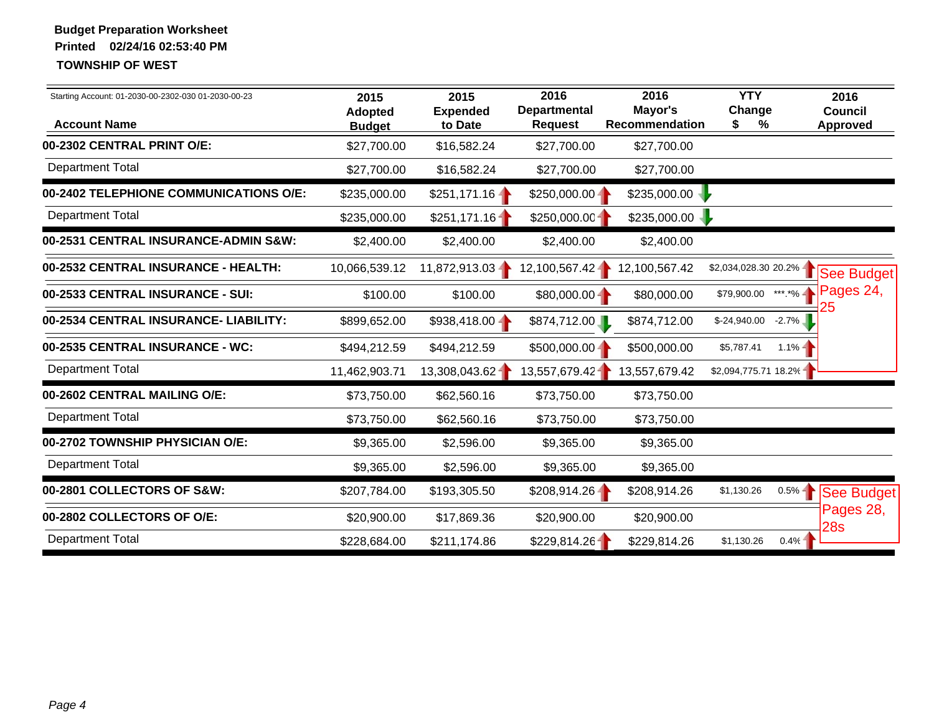| Starting Account: 01-2030-00-2302-030 01-2030-00-23<br><b>Account Name</b> | 2015<br><b>Adopted</b><br><b>Budget</b> | 2015<br><b>Expended</b><br>to Date | 2016<br><b>Departmental</b><br><b>Request</b> | 2016<br>Mayor's<br><b>Recommendation</b> | <b>YTY</b><br>Change<br>%<br>S | 2016<br>Council<br><b>Approved</b> |
|----------------------------------------------------------------------------|-----------------------------------------|------------------------------------|-----------------------------------------------|------------------------------------------|--------------------------------|------------------------------------|
| 00-2302 CENTRAL PRINT O/E:                                                 | \$27,700.00                             | \$16,582.24                        | \$27,700.00                                   | \$27,700.00                              |                                |                                    |
| <b>Department Total</b>                                                    | \$27,700.00                             | \$16,582.24                        | \$27,700.00                                   | \$27,700.00                              |                                |                                    |
| 00-2402 TELEPHIONE COMMUNICATIONS O/E:                                     | \$235,000.00                            | $$251,171.16 -$                    | $$250,000.00 -$                               | \$235,000.00                             |                                |                                    |
| <b>Department Total</b>                                                    | \$235,000.00                            | \$251,171.16                       | \$250,000.00                                  | \$235,000.00                             |                                |                                    |
| 00-2531 CENTRAL INSURANCE-ADMIN S&W:                                       | \$2,400.00                              | \$2,400.00                         | \$2,400.00                                    | \$2,400.00                               |                                |                                    |
| 00-2532 CENTRAL INSURANCE - HEALTH:                                        | 10,066,539.12                           | 11,872,913.03-                     | 12,100,567.42                                 | 12,100,567.42                            | \$2,034,028.30 20.2% -         | See Budget                         |
| 00-2533 CENTRAL INSURANCE - SUI:                                           | \$100.00                                | \$100.00                           | $$80,000.00 -$                                | \$80,000.00                              | \$79,900.00                    | Pages 24,<br>***.*%-               |
| 00-2534 CENTRAL INSURANCE- LIABILITY:                                      | \$899,652.00                            | $$938,418.00 -$                    | \$874,712.00                                  | \$874,712.00                             | \$-24,940.00                   | $-2.7\%$                           |
| 00-2535 CENTRAL INSURANCE - WC:                                            | \$494,212.59                            | \$494,212.59                       | $$500,000.00 -$                               | \$500,000.00                             | \$5,787.41                     | $1.1% -$                           |
| <b>Department Total</b>                                                    | 11,462,903.71                           | 13,308,043.62                      | 13,557,679.42                                 | 13,557,679.42                            | \$2,094,775.71 18.2%           |                                    |
| 00-2602 CENTRAL MAILING O/E:                                               | \$73,750.00                             | \$62,560.16                        | \$73,750.00                                   | \$73,750.00                              |                                |                                    |
| <b>Department Total</b>                                                    | \$73,750.00                             | \$62,560.16                        | \$73,750.00                                   | \$73,750.00                              |                                |                                    |
| 00-2702 TOWNSHIP PHYSICIAN O/E:                                            | \$9,365.00                              | \$2,596.00                         | \$9,365.00                                    | \$9,365.00                               |                                |                                    |
| <b>Department Total</b>                                                    | \$9,365.00                              | \$2,596.00                         | \$9,365.00                                    | \$9,365.00                               |                                |                                    |
| 00-2801 COLLECTORS OF S&W:                                                 | \$207,784.00                            | \$193,305.50                       | $$208,914.26 -$                               | \$208,914.26                             | \$1,130.26                     | $0.5\%$<br>See Budget              |
| 00-2802 COLLECTORS OF O/E:                                                 | \$20,900.00                             | \$17,869.36                        | \$20,900.00                                   | \$20,900.00                              |                                | Pages 28,<br>28s                   |
| <b>Department Total</b>                                                    | \$228,684.00                            | \$211,174.86                       | \$229,814.26                                  | \$229,814.26                             | \$1,130.26                     | 0.4%                               |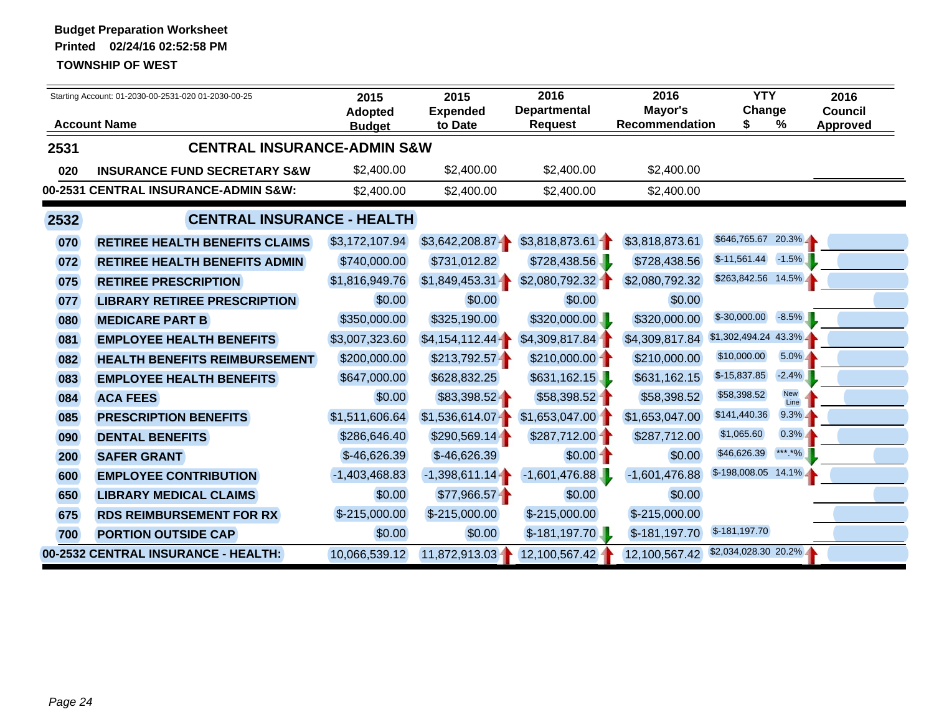|      | Starting Account: 01-2030-00-2531-020 01-2030-00-25<br><b>Account Name</b> |                 | 2015<br><b>Expended</b> | 2016<br><b>Departmental</b> | 2016<br>Mayor's       | <b>YTY</b><br>Change  |                    | 2016<br><b>Council</b> |
|------|----------------------------------------------------------------------------|-----------------|-------------------------|-----------------------------|-----------------------|-----------------------|--------------------|------------------------|
|      |                                                                            | <b>Budget</b>   | to Date                 | <b>Request</b>              | <b>Recommendation</b> |                       | %                  | <b>Approved</b>        |
| 2531 | <b>CENTRAL INSURANCE-ADMIN S&amp;W</b>                                     |                 |                         |                             |                       |                       |                    |                        |
| 020  | <b>INSURANCE FUND SECRETARY S&amp;W</b>                                    | \$2,400.00      | \$2,400.00              | \$2,400.00                  | \$2,400.00            |                       |                    |                        |
|      | 00-2531 CENTRAL INSURANCE-ADMIN S&W:                                       | \$2,400.00      | \$2,400.00              | \$2,400.00                  | \$2,400.00            |                       |                    |                        |
| 2532 | <b>CENTRAL INSURANCE - HEALTH</b>                                          |                 |                         |                             |                       |                       |                    |                        |
| 070  | <b>RETIREE HEALTH BENEFITS CLAIMS</b>                                      | \$3,172,107.94  | \$3,642,208.87          | \$3,818,873.61              | \$3,818,873.61        | \$646,765.67 20.3%    |                    |                        |
| 072  | <b>RETIREE HEALTH BENEFITS ADMIN</b>                                       | \$740,000.00    | \$731,012.82            | \$728,438.56                | \$728,438.56          | $$-11,561.44$         | $-1.5\%$           |                        |
| 075  | <b>RETIREE PRESCRIPTION</b>                                                | \$1,816,949.76  | \$1,849,453.31          | \$2,080,792.32              | \$2,080,792.32        | \$263,842.56 14.5%    |                    |                        |
| 077  | <b>LIBRARY RETIREE PRESCRIPTION</b>                                        | \$0.00          | \$0.00                  | \$0.00                      | \$0.00                |                       |                    |                        |
| 080  | <b>MEDICARE PART B</b>                                                     | \$350,000.00    | \$325,190.00            | \$320,000.00                | \$320,000.00          | $$-30,000.00$         | $-8.5\%$           |                        |
| 081  | <b>EMPLOYEE HEALTH BENEFITS</b>                                            | \$3,007,323.60  | $$4,154,112.44 -$       | \$4,309,817.84              | \$4,309,817.84        | $$1,302,494.24$ 43.3% |                    |                        |
| 082  | <b>HEALTH BENEFITS REIMBURSEMENT</b>                                       | \$200,000.00    | \$213,792.57            | \$210,000.00                | \$210,000.00          | \$10,000.00           | $5.0\%$            |                        |
| 083  | <b>EMPLOYEE HEALTH BENEFITS</b>                                            | \$647,000.00    | \$628,832.25            | \$631,162.15                | \$631,162.15          | $$-15,837.85$         | $-2.4%$            |                        |
| 084  | <b>ACA FEES</b>                                                            | \$0.00          | $$83,398.52 +$          | \$58,398.52                 | \$58,398.52           | \$58,398.52           | <b>New</b><br>Line |                        |
| 085  | <b>PRESCRIPTION BENEFITS</b>                                               | \$1,511,606.64  | $$1,536,614.07 -$       | \$1,653,047.00              | \$1,653,047.00        | \$141,440.36          | $9.3\%$            |                        |
| 090  | <b>DENTAL BENEFITS</b>                                                     | \$286,646.40    | $$290,569.14 -$         | \$287,712.00                | \$287,712.00          | \$1,065.60            | $0.3\%$            |                        |
| 200  | <b>SAFER GRANT</b>                                                         | $$-46,626.39$   | $$-46,626.39$           | $$0.00 -$                   | \$0.00                | \$46,626.39           | *** *%             |                        |
| 600  | <b>EMPLOYEE CONTRIBUTION</b>                                               | $-1,403,468.83$ | $-1,398,611.14-$        | $-1,601,476.88$             | $-1,601,476.88$       | $$-198,008.05$ 14.1%  |                    |                        |
| 650  | <b>LIBRARY MEDICAL CLAIMS</b>                                              | \$0.00          | $$77,966.57 -$          | \$0.00                      | \$0.00                |                       |                    |                        |
| 675  | <b>RDS REIMBURSEMENT FOR RX</b>                                            | $$-215,000.00$  | $$-215,000.00$          | $$-215,000.00$              | \$-215,000.00         |                       |                    |                        |
| 700  | <b>PORTION OUTSIDE CAP</b>                                                 | \$0.00          | \$0.00                  | $$-181,197.70$              | \$-181,197.70         | $$-181,197.70$        |                    |                        |
|      | 00-2532 CENTRAL INSURANCE - HEALTH:                                        | 10,066,539.12   | 11,872,913.03-          | 12,100,567.42               | 12,100,567.42         | \$2,034,028.30 20.2%  |                    |                        |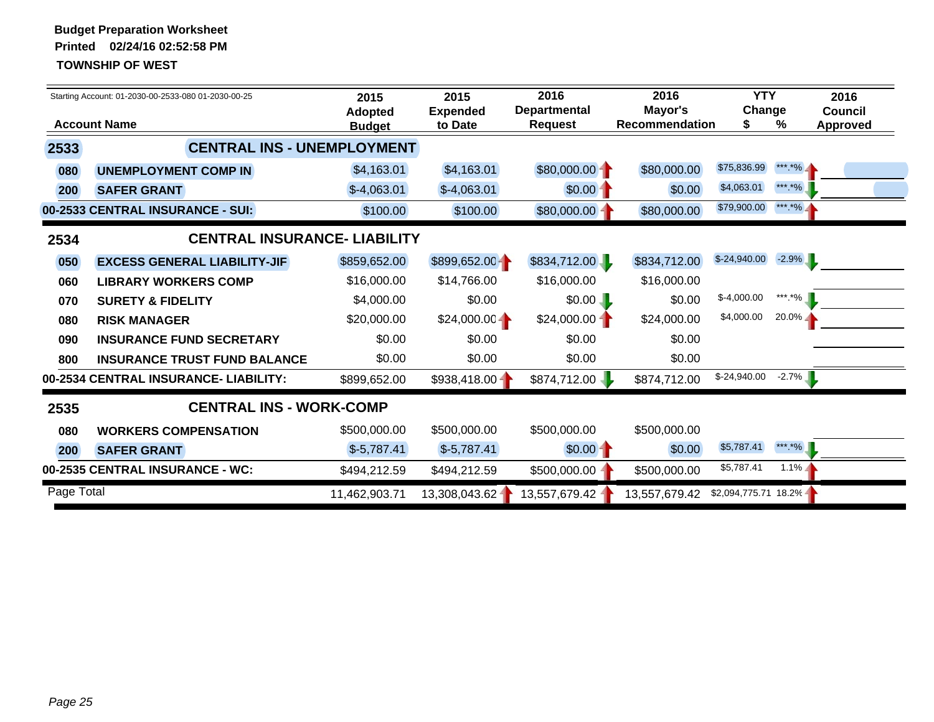|            | Starting Account: 01-2030-00-2533-080 01-2030-00-25 | 2015<br><b>Adopted</b> | 2015<br><b>Expended</b> | 2016<br><b>Departmental</b> | 2016<br>Mayor's       | <b>YTY</b><br>Change |          | 2016<br><b>Council</b> |
|------------|-----------------------------------------------------|------------------------|-------------------------|-----------------------------|-----------------------|----------------------|----------|------------------------|
|            | <b>Account Name</b>                                 | <b>Budget</b>          | to Date                 | <b>Request</b>              | <b>Recommendation</b> | S                    | %        | <b>Approved</b>        |
| 2533       | <b>CENTRAL INS - UNEMPLOYMENT</b>                   |                        |                         |                             |                       |                      |          |                        |
| 080        | <b>UNEMPLOYMENT COMP IN</b>                         | \$4,163.01             | \$4,163.01              | $$80,000.00 -$              | \$80,000.00           | \$75,836.99          | *** *%_  |                        |
| 200        | <b>SAFER GRANT</b>                                  | $$-4,063.01$           | $$-4,063.01$            | $$0.00 -$                   | \$0.00                | \$4,063.01           | *** *%   |                        |
|            | 00-2533 CENTRAL INSURANCE - SUI:                    | \$100.00               | \$100.00                | \$80,000.00                 | \$80,000.00           | \$79,900.00          | *** *% - |                        |
| 2534       | <b>CENTRAL INSURANCE- LIABILITY</b>                 |                        |                         |                             |                       |                      |          |                        |
| 050        | <b>EXCESS GENERAL LIABILITY-JIF</b>                 | \$859,652.00           | \$899,652.00            | \$834,712.00                | \$834,712.00          | $$-24,940.00$        | $-2.9\%$ |                        |
| 060        | <b>LIBRARY WORKERS COMP</b>                         | \$16,000.00            | \$14,766.00             | \$16,000.00                 | \$16,000.00           |                      |          |                        |
| 070        | <b>SURETY &amp; FIDELITY</b>                        | \$4,000.00             | \$0.00                  | \$0.00                      | \$0.00                | $$-4,000.00$         | ***.*%   |                        |
| 080        | <b>RISK MANAGER</b>                                 | \$20,000.00            | $$24,000.00 -$          | $$24,000.00 -$              | \$24,000.00           | \$4,000.00           | $20.0\%$ |                        |
| 090        | <b>INSURANCE FUND SECRETARY</b>                     | \$0.00                 | \$0.00                  | \$0.00                      | \$0.00                |                      |          |                        |
| 800        | <b>INSURANCE TRUST FUND BALANCE</b>                 | \$0.00                 | \$0.00                  | \$0.00                      | \$0.00                |                      |          |                        |
|            | 00-2534 CENTRAL INSURANCE- LIABILITY:               | \$899,652.00           | $$938,418.00 -$         | \$874,712.00                | \$874,712.00          | $$-24,940.00$        | $-2.7%$  |                        |
| 2535       | <b>CENTRAL INS - WORK-COMP</b>                      |                        |                         |                             |                       |                      |          |                        |
| 080        | <b>WORKERS COMPENSATION</b>                         | \$500,000.00           | \$500,000.00            | \$500,000.00                | \$500,000.00          |                      |          |                        |
| 200        | <b>SAFER GRANT</b>                                  | $$-5,787.41$           | $$-5,787.41$            | $$0.00 -$                   | \$0.00                | \$5,787.41           | *** *%   |                        |
|            | 00-2535 CENTRAL INSURANCE - WC:                     | \$494,212.59           | \$494,212.59            | \$500,000.00                | \$500,000.00          | \$5,787.41           | $1.1\%$  |                        |
| Page Total |                                                     | 11,462,903.71          | 13,308,043.62-          | 13,557,679.42               | 13,557,679.42         | \$2,094,775.71 18.2% |          |                        |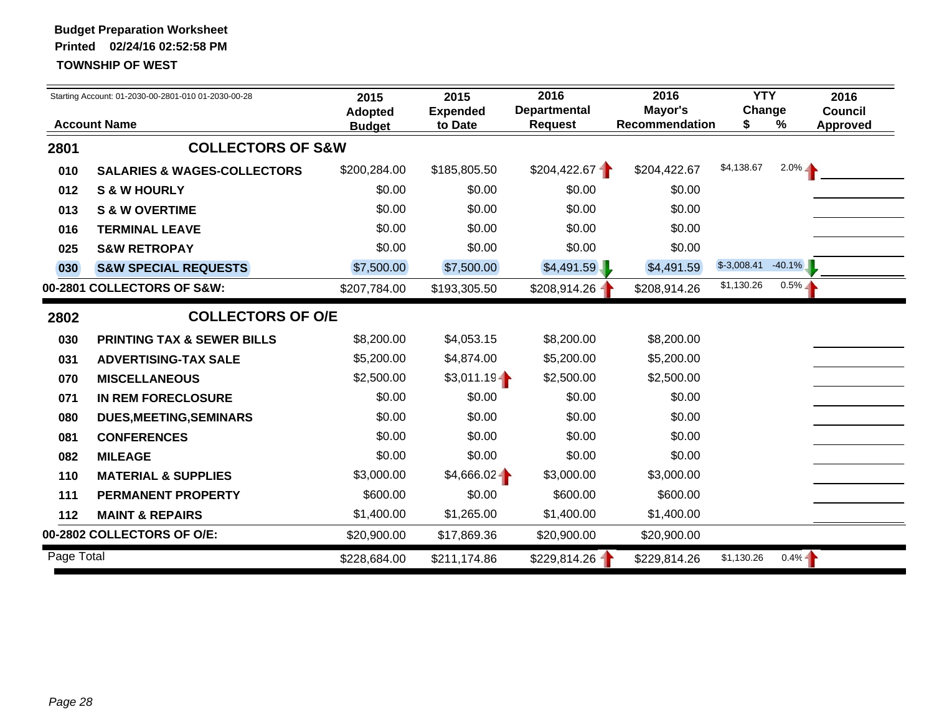|            | Starting Account: 01-2030-00-2801-010 01-2030-00-28 | 2015<br><b>Adopted</b> | 2015<br><b>Expended</b> | 2016<br><b>Departmental</b> | 2016<br>Mayor's       | <b>YTY</b><br>Change |           | 2016<br><b>Council</b> |
|------------|-----------------------------------------------------|------------------------|-------------------------|-----------------------------|-----------------------|----------------------|-----------|------------------------|
|            | <b>Account Name</b>                                 | <b>Budget</b>          | to Date                 | <b>Request</b>              | <b>Recommendation</b> | S.                   | %         | Approved               |
| 2801       | <b>COLLECTORS OF S&amp;W</b>                        |                        |                         |                             |                       |                      |           |                        |
| 010        | <b>SALARIES &amp; WAGES-COLLECTORS</b>              | \$200,284.00           | \$185,805.50            | \$204,422.67                | \$204,422.67          | \$4,138.67           | $2.0\%$   |                        |
| 012        | <b>S &amp; W HOURLY</b>                             | \$0.00                 | \$0.00                  | \$0.00                      | \$0.00                |                      |           |                        |
| 013        | <b>S &amp; W OVERTIME</b>                           | \$0.00                 | \$0.00                  | \$0.00                      | \$0.00                |                      |           |                        |
| 016        | <b>TERMINAL LEAVE</b>                               | \$0.00                 | \$0.00                  | \$0.00                      | \$0.00                |                      |           |                        |
| 025        | <b>S&amp;W RETROPAY</b>                             | \$0.00                 | \$0.00                  | \$0.00                      | \$0.00                |                      |           |                        |
| 030        | <b>S&amp;W SPECIAL REQUESTS</b>                     | \$7,500.00             | \$7,500.00              | \$4,491.59                  | \$4,491.59            | $$-3,008.41$         | $-40.1\%$ |                        |
|            | 00-2801 COLLECTORS OF S&W:                          | \$207,784.00           | \$193,305.50            | \$208,914.26                | \$208,914.26          | \$1,130.26           | $0.5\%$   |                        |
| 2802       | <b>COLLECTORS OF O/E</b>                            |                        |                         |                             |                       |                      |           |                        |
| 030        | <b>PRINTING TAX &amp; SEWER BILLS</b>               | \$8,200.00             | \$4,053.15              | \$8,200.00                  | \$8,200.00            |                      |           |                        |
| 031        | <b>ADVERTISING-TAX SALE</b>                         | \$5,200.00             | \$4,874.00              | \$5,200.00                  | \$5,200.00            |                      |           |                        |
| 070        | <b>MISCELLANEOUS</b>                                | \$2,500.00             | \$3,011.19              | \$2,500.00                  | \$2,500.00            |                      |           |                        |
| 071        | IN REM FORECLOSURE                                  | \$0.00                 | \$0.00                  | \$0.00                      | \$0.00                |                      |           |                        |
| 080        | <b>DUES, MEETING, SEMINARS</b>                      | \$0.00                 | \$0.00                  | \$0.00                      | \$0.00                |                      |           |                        |
| 081        | <b>CONFERENCES</b>                                  | \$0.00                 | \$0.00                  | \$0.00                      | \$0.00                |                      |           |                        |
| 082        | <b>MILEAGE</b>                                      | \$0.00                 | \$0.00                  | \$0.00                      | \$0.00                |                      |           |                        |
| 110        | <b>MATERIAL &amp; SUPPLIES</b>                      | \$3,000.00             | $$4,666.02 -$           | \$3,000.00                  | \$3,000.00            |                      |           |                        |
| 111        | <b>PERMANENT PROPERTY</b>                           | \$600.00               | \$0.00                  | \$600.00                    | \$600.00              |                      |           |                        |
| 112        | <b>MAINT &amp; REPAIRS</b>                          | \$1,400.00             | \$1,265.00              | \$1,400.00                  | \$1,400.00            |                      |           |                        |
|            | 00-2802 COLLECTORS OF O/E:                          | \$20,900.00            | \$17,869.36             | \$20,900.00                 | \$20,900.00           |                      |           |                        |
| Page Total |                                                     | \$228,684.00           | \$211,174.86            | \$229,814.26                | \$229,814.26          | \$1,130.26           | $0.4% -$  |                        |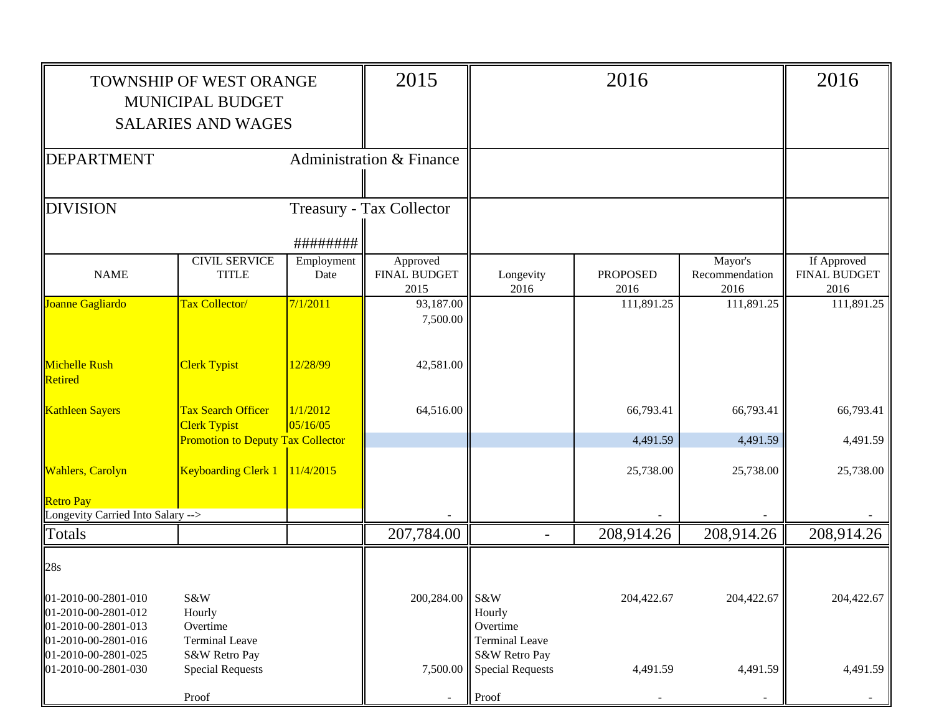|                                                                   | TOWNSHIP OF WEST ORANGE                                           |                      | 2015                                    |                                                                   | 2016                    |                                   | 2016                                       |
|-------------------------------------------------------------------|-------------------------------------------------------------------|----------------------|-----------------------------------------|-------------------------------------------------------------------|-------------------------|-----------------------------------|--------------------------------------------|
|                                                                   | <b>MUNICIPAL BUDGET</b>                                           |                      |                                         |                                                                   |                         |                                   |                                            |
|                                                                   | <b>SALARIES AND WAGES</b>                                         |                      |                                         |                                                                   |                         |                                   |                                            |
| <b>DEPARTMENT</b>                                                 |                                                                   |                      | <b>Administration &amp; Finance</b>     |                                                                   |                         |                                   |                                            |
| <b>DIVISION</b>                                                   |                                                                   |                      | Treasury - Tax Collector                |                                                                   |                         |                                   |                                            |
|                                                                   |                                                                   | ########             |                                         |                                                                   |                         |                                   |                                            |
| <b>NAME</b>                                                       | <b>CIVIL SERVICE</b><br><b>TITLE</b>                              | Employment<br>Date   | Approved<br><b>FINAL BUDGET</b><br>2015 | Longevity<br>2016                                                 | <b>PROPOSED</b><br>2016 | Mayor's<br>Recommendation<br>2016 | If Approved<br><b>FINAL BUDGET</b><br>2016 |
| Joanne Gagliardo                                                  | <b>Tax Collector/</b>                                             | 7/1/2011             | 93,187.00<br>7,500.00                   |                                                                   | 111,891.25              | 111,891.25                        | 111,891.25                                 |
| Michelle Rush<br>Retired                                          | <b>Clerk Typist</b>                                               | 12/28/99             | 42,581.00                               |                                                                   |                         |                                   |                                            |
| <b>Kathleen Sayers</b>                                            | <b>Tax Search Officer</b><br><b>Clerk Typist</b>                  | 1/1/2012<br>05/16/05 | 64,516.00                               |                                                                   | 66,793.41               | 66,793.41                         | 66,793.41                                  |
|                                                                   | <b>Promotion to Deputy Tax Collector</b>                          |                      |                                         |                                                                   | 4,491.59                | 4,491.59                          | 4,491.59                                   |
| <b>Wahlers</b> , Carolyn                                          | <b>Keyboarding Clerk 1</b>                                        | 11/4/2015            |                                         |                                                                   | 25,738.00               | 25,738.00                         | 25,738.00                                  |
| <b>Retro Pay</b><br>Longevity Carried Into Salary -->             |                                                                   |                      |                                         |                                                                   |                         |                                   |                                            |
| Totals                                                            |                                                                   |                      | 207,784.00                              | $\blacksquare$                                                    | 208,914.26              | 208,914.26                        | 208,914.26                                 |
| 28s                                                               |                                                                   |                      |                                         |                                                                   |                         |                                   |                                            |
| 01-2010-00-2801-010<br>01-2010-00-2801-012<br>01-2010-00-2801-013 | S&W<br>Hourly<br>Overtime                                         |                      | 200,284.00 S&W                          | Hourly<br>Overtime                                                | 204,422.67              | 204,422.67                        | 204,422.67                                 |
| 01-2010-00-2801-016<br>01-2010-00-2801-025<br>01-2010-00-2801-030 | <b>Terminal Leave</b><br>S&W Retro Pay<br><b>Special Requests</b> |                      | 7,500.00                                | <b>Terminal Leave</b><br>S&W Retro Pay<br><b>Special Requests</b> | 4,491.59                | 4,491.59                          | 4,491.59                                   |
|                                                                   | Proof                                                             |                      |                                         | Proof                                                             |                         |                                   |                                            |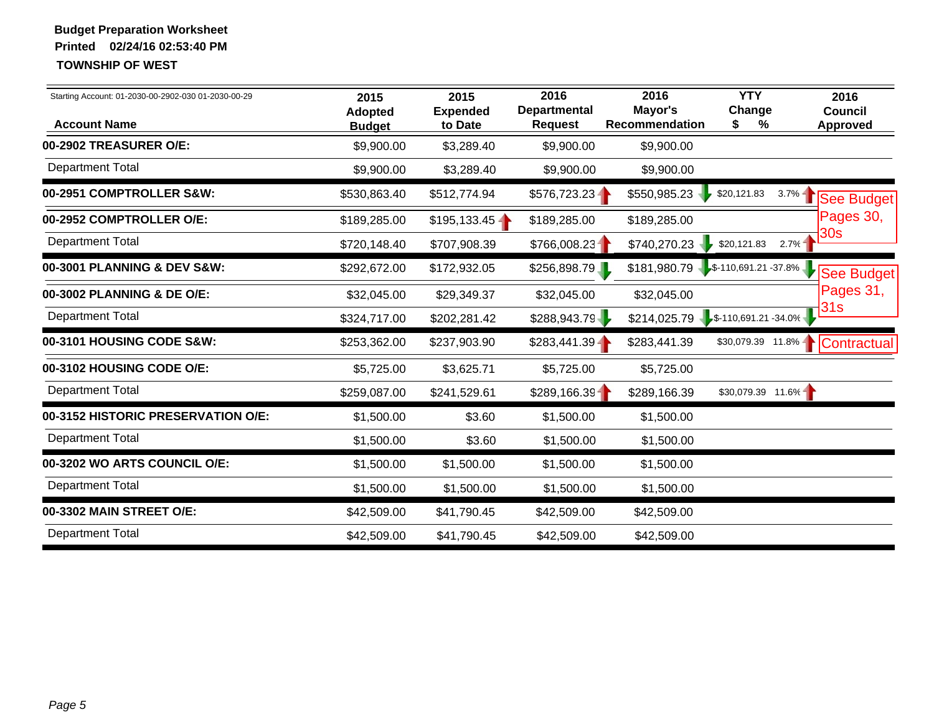| Starting Account: 01-2030-00-2902-030 01-2030-00-29<br><b>Account Name</b> | 2015<br>Adopted<br><b>Budget</b> | 2015<br><b>Expended</b><br>to Date | 2016<br><b>Departmental</b><br><b>Request</b> | 2016<br>Mayor's<br><b>Recommendation</b> | <b>YTY</b><br>Change<br>\$<br>% | 2016<br>Council<br>Approved     |
|----------------------------------------------------------------------------|----------------------------------|------------------------------------|-----------------------------------------------|------------------------------------------|---------------------------------|---------------------------------|
| 00-2902 TREASURER O/E:                                                     | \$9,900.00                       | \$3,289.40                         | \$9,900.00                                    | \$9,900.00                               |                                 |                                 |
| Department Total                                                           | \$9,900.00                       | \$3,289.40                         | \$9,900.00                                    | \$9,900.00                               |                                 |                                 |
| 00-2951 COMPTROLLER S&W:                                                   | \$530,863.40                     | \$512,774.94                       | \$576,723.23                                  | \$550,985.23                             | \$20,121.83                     | $3.7\% -$<br>See Budget         |
| 00-2952 COMPTROLLER O/E:                                                   | \$189,285.00                     | \$195,133.45                       | \$189,285.00                                  | \$189,285.00                             |                                 | Pages 30,                       |
| <b>Department Total</b>                                                    | \$720,148.40                     | \$707,908.39                       | \$766,008.23                                  | \$740,270.23                             | \$20,121.83                     | 30 <sub>s</sub><br>2.7%         |
| 00-3001 PLANNING & DEV S&W:                                                | \$292,672.00                     | \$172,932.05                       | \$256,898.79                                  | $$181,980.79$ $$-110,691.21 -37.8\%$     |                                 | See Budget                      |
| 00-3002 PLANNING & DE O/E:                                                 | \$32,045.00                      | \$29,349.37                        | \$32,045.00                                   | \$32,045.00                              |                                 | Pages 31,                       |
| <b>Department Total</b>                                                    | \$324,717.00                     | \$202,281.42                       | \$288,943.79                                  | $$214,025.79$ $$-110,691.21 -34.0\%$     |                                 | 31s                             |
| 00-3101 HOUSING CODE S&W:                                                  | \$253,362.00                     | \$237,903.90                       | $$283,441.39 -$                               | \$283,441.39                             |                                 | \$30,079.39 11.8%   Contractual |
| 00-3102 HOUSING CODE O/E:                                                  | \$5,725.00                       | \$3,625.71                         | \$5,725.00                                    | \$5,725.00                               |                                 |                                 |
| <b>Department Total</b>                                                    | \$259,087.00                     | \$241,529.61                       | \$289,166.39                                  | \$289,166.39                             | $$30,079.39$ 11.6%              |                                 |
| 00-3152 HISTORIC PRESERVATION O/E:                                         | \$1,500.00                       | \$3.60                             | \$1,500.00                                    | \$1,500.00                               |                                 |                                 |
| <b>Department Total</b>                                                    | \$1,500.00                       | \$3.60                             | \$1,500.00                                    | \$1,500.00                               |                                 |                                 |
| 00-3202 WO ARTS COUNCIL O/E:                                               | \$1,500.00                       | \$1,500.00                         | \$1,500.00                                    | \$1,500.00                               |                                 |                                 |
| <b>Department Total</b>                                                    | \$1,500.00                       | \$1,500.00                         | \$1,500.00                                    | \$1,500.00                               |                                 |                                 |
| 00-3302 MAIN STREET O/E:                                                   | \$42,509.00                      | \$41,790.45                        | \$42,509.00                                   | \$42,509.00                              |                                 |                                 |
| <b>Department Total</b>                                                    | \$42,509.00                      | \$41,790.45                        | \$42,509.00                                   | \$42,509.00                              |                                 |                                 |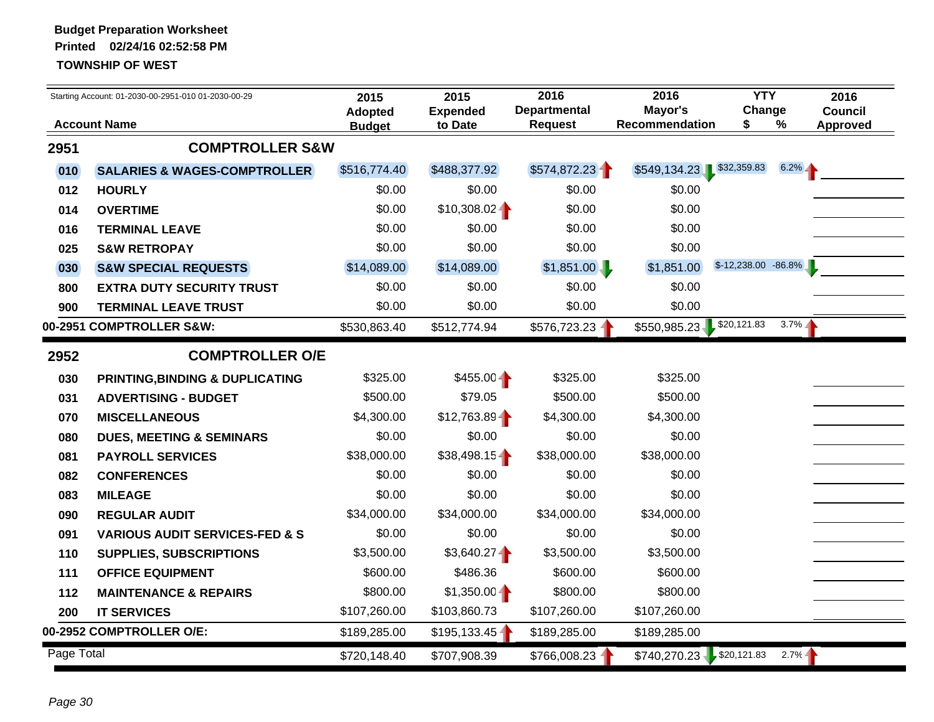|            | Starting Account: 01-2030-00-2951-010 01-2030-00-29 | 2015                            | 2015                       | 2016                                  | 2016                       | <b>YTY</b>              |          | 2016                              |
|------------|-----------------------------------------------------|---------------------------------|----------------------------|---------------------------------------|----------------------------|-------------------------|----------|-----------------------------------|
|            | <b>Account Name</b>                                 | <b>Adopted</b><br><b>Budget</b> | <b>Expended</b><br>to Date | <b>Departmental</b><br><b>Request</b> | Mayor's<br>Recommendation  | Change<br>\$            | %        | <b>Council</b><br><b>Approved</b> |
| 2951       | <b>COMPTROLLER S&amp;W</b>                          |                                 |                            |                                       |                            |                         |          |                                   |
| 010        | <b>SALARIES &amp; WAGES-COMPTROLLER</b>             | \$516,774.40                    | \$488,377.92               | \$574,872.23                          | \$549,134.23 \$32,359.83   |                         | $6.2\%$  |                                   |
| 012        | <b>HOURLY</b>                                       | \$0.00                          | \$0.00                     | \$0.00                                | \$0.00                     |                         |          |                                   |
| 014        | <b>OVERTIME</b>                                     | \$0.00                          | $$10,308.02 -$             | \$0.00                                | \$0.00                     |                         |          |                                   |
| 016        | <b>TERMINAL LEAVE</b>                               | \$0.00                          | \$0.00                     | \$0.00                                | \$0.00                     |                         |          |                                   |
| 025        | <b>S&amp;W RETROPAY</b>                             | \$0.00                          | \$0.00                     | \$0.00                                | \$0.00                     |                         |          |                                   |
| 030        | <b>S&amp;W SPECIAL REQUESTS</b>                     | \$14,089.00                     | \$14,089.00                | \$1,851.00                            | \$1,851.00                 | $$-12,238.00$ $-86.8\%$ |          |                                   |
| 800        | <b>EXTRA DUTY SECURITY TRUST</b>                    | \$0.00                          | \$0.00                     | \$0.00                                | \$0.00                     |                         |          |                                   |
| 900        | <b>TERMINAL LEAVE TRUST</b>                         | \$0.00                          | \$0.00                     | \$0.00                                | \$0.00                     |                         |          |                                   |
|            | 00-2951 COMPTROLLER S&W:                            | \$530,863.40                    | \$512,774.94               | \$576,723.23                          | $$550,985.23$ $$20,121.83$ |                         | $3.7\%$  |                                   |
| 2952       | <b>COMPTROLLER O/E</b>                              |                                 |                            |                                       |                            |                         |          |                                   |
| 030        | PRINTING, BINDING & DUPLICATING                     | \$325.00                        | $$455.00 -$                | \$325.00                              | \$325.00                   |                         |          |                                   |
| 031        | <b>ADVERTISING - BUDGET</b>                         | \$500.00                        | \$79.05                    | \$500.00                              | \$500.00                   |                         |          |                                   |
| 070        | <b>MISCELLANEOUS</b>                                | \$4,300.00                      | \$12,763.89                | \$4,300.00                            | \$4,300.00                 |                         |          |                                   |
| 080        | <b>DUES, MEETING &amp; SEMINARS</b>                 | \$0.00                          | \$0.00                     | \$0.00                                | \$0.00                     |                         |          |                                   |
| 081        | <b>PAYROLL SERVICES</b>                             | \$38,000.00                     | $$38,498.15 -$             | \$38,000.00                           | \$38,000.00                |                         |          |                                   |
| 082        | <b>CONFERENCES</b>                                  | \$0.00                          | \$0.00                     | \$0.00                                | \$0.00                     |                         |          |                                   |
| 083        | <b>MILEAGE</b>                                      | \$0.00                          | \$0.00                     | \$0.00                                | \$0.00                     |                         |          |                                   |
| 090        | <b>REGULAR AUDIT</b>                                | \$34,000.00                     | \$34,000.00                | \$34,000.00                           | \$34,000.00                |                         |          |                                   |
| 091        | <b>VARIOUS AUDIT SERVICES-FED &amp; S</b>           | \$0.00                          | \$0.00                     | \$0.00                                | \$0.00                     |                         |          |                                   |
| 110        | SUPPLIES, SUBSCRIPTIONS                             | \$3,500.00                      | \$3,640.27                 | \$3,500.00                            | \$3,500.00                 |                         |          |                                   |
| 111        | <b>OFFICE EQUIPMENT</b>                             | \$600.00                        | \$486.36                   | \$600.00                              | \$600.00                   |                         |          |                                   |
| 112        | <b>MAINTENANCE &amp; REPAIRS</b>                    | \$800.00                        | $$1,350.00 -$              | \$800.00                              | \$800.00                   |                         |          |                                   |
| 200        | <b>IT SERVICES</b>                                  | \$107,260.00                    | \$103,860.73               | \$107,260.00                          | \$107,260.00               |                         |          |                                   |
|            | 00-2952 COMPTROLLER O/E:                            | \$189,285.00                    | \$195,133.45               | \$189,285.00                          | \$189,285.00               |                         |          |                                   |
| Page Total |                                                     | \$720,148.40                    | \$707,908.39               | \$766,008.23                          | $$740,270.23$ \$20,121.83  |                         | $2.7% -$ |                                   |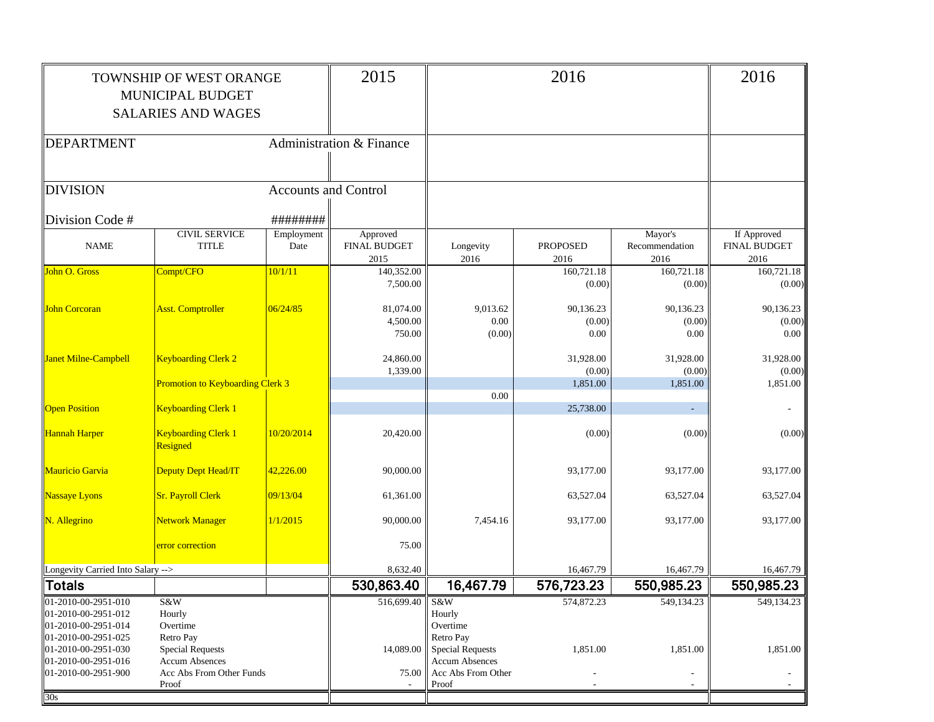|                                                                                          | TOWNSHIP OF WEST ORANGE<br>MUNICIPAL BUDGET<br><b>SALARIES AND WAGES</b> |                             | 2015                                    |                                                                        | 2016                        |                                   | 2016                                       |
|------------------------------------------------------------------------------------------|--------------------------------------------------------------------------|-----------------------------|-----------------------------------------|------------------------------------------------------------------------|-----------------------------|-----------------------------------|--------------------------------------------|
| DEPARTMENT                                                                               |                                                                          |                             | Administration & Finance                |                                                                        |                             |                                   |                                            |
| <b>DIVISION</b>                                                                          |                                                                          | <b>Accounts and Control</b> |                                         |                                                                        |                             |                                   |                                            |
| Division Code #                                                                          |                                                                          | ########                    |                                         |                                                                        |                             |                                   |                                            |
| <b>NAME</b>                                                                              | <b>CIVIL SERVICE</b><br><b>TITLE</b>                                     | Employment<br>Date          | Approved<br><b>FINAL BUDGET</b><br>2015 | Longevity<br>2016                                                      | <b>PROPOSED</b><br>2016     | Mayor's<br>Recommendation<br>2016 | If Approved<br><b>FINAL BUDGET</b><br>2016 |
| John O. Gross                                                                            | Compt/CFO                                                                | 10/1/11                     | 140,352.00<br>7,500.00                  |                                                                        | 160,721.18<br>(0.00)        | 160,721.18<br>(0.00)              | 160,721.18<br>(0.00)                       |
| John Corcoran                                                                            | <b>Asst. Comptroller</b>                                                 | 06/24/85                    | 81,074.00<br>4,500.00<br>750.00         | 9,013.62<br>0.00<br>(0.00)                                             | 90,136.23<br>(0.00)<br>0.00 | 90,136.23<br>(0.00)<br>0.00       | 90,136.23<br>(0.00)<br>$0.00\,$            |
| Janet Milne-Campbell                                                                     | <b>Keyboarding Clerk 2</b>                                               |                             | 24,860.00<br>1,339.00                   |                                                                        | 31,928.00<br>(0.00)         | 31,928.00<br>(0.00)               | 31,928.00<br>(0.00)                        |
|                                                                                          | <b>Promotion to Keyboarding Clerk 3</b>                                  |                             |                                         | 0.00                                                                   | 1,851.00                    | 1,851.00                          | 1,851.00                                   |
| <b>Open Position</b>                                                                     | <b>Keyboarding Clerk 1</b>                                               |                             |                                         |                                                                        | 25,738.00                   | $\sim$                            |                                            |
| Hannah Harper                                                                            | <b>Keyboarding Clerk 1</b><br>Resigned                                   | 10/20/2014                  | 20,420.00                               |                                                                        | (0.00)                      | (0.00)                            | (0.00)                                     |
| Mauricio Garvia                                                                          | Deputy Dept Head/IT                                                      | 42,226.00                   | 90,000.00                               |                                                                        | 93,177.00                   | 93,177.00                         | 93,177.00                                  |
| Nassaye Lyons                                                                            | <b>Sr. Payroll Clerk</b>                                                 | 09/13/04                    | 61,361.00                               |                                                                        | 63,527.04                   | 63,527.04                         | 63,527.04                                  |
| N. Allegrino                                                                             | <b>Network Manager</b>                                                   | 1/1/2015                    | 90,000.00                               | 7,454.16                                                               | 93,177.00                   | 93,177.00                         | 93,177.00                                  |
|                                                                                          | error correction                                                         |                             | 75.00                                   |                                                                        |                             |                                   |                                            |
| Longevity Carried Into Salary -->                                                        |                                                                          |                             | 8,632.40                                |                                                                        | 16,467.79                   | 16,467.79                         | 16,467.79                                  |
| ∥Totals                                                                                  |                                                                          |                             | 530,863.40                              | 16,467.79                                                              | 576,723.23                  | 550,985.23                        | 550,985.23                                 |
| 01-2010-00-2951-010<br>01-2010-00-2951-012<br>01-2010-00-2951-014<br>01-2010-00-2951-025 | S&W<br>Hourly<br>Overtime<br>Retro Pay                                   |                             | 516,699.40                              | S&W<br>Hourly<br>Overtime<br>Retro Pay                                 | 574,872.23                  | 549,134.23                        | 549,134.23                                 |
| 01-2010-00-2951-030<br>01-2010-00-2951-016<br>01-2010-00-2951-900                        | <b>Special Requests</b><br>Accum Absences<br>Acc Abs From Other Funds    |                             | 14,089.00<br>75.00                      | <b>Special Requests</b><br><b>Accum Absences</b><br>Acc Abs From Other | 1,851.00                    | 1,851.00                          | 1,851.00                                   |
|                                                                                          | Proof                                                                    |                             |                                         | Proof                                                                  |                             |                                   |                                            |
| 30s                                                                                      |                                                                          |                             |                                         |                                                                        |                             |                                   |                                            |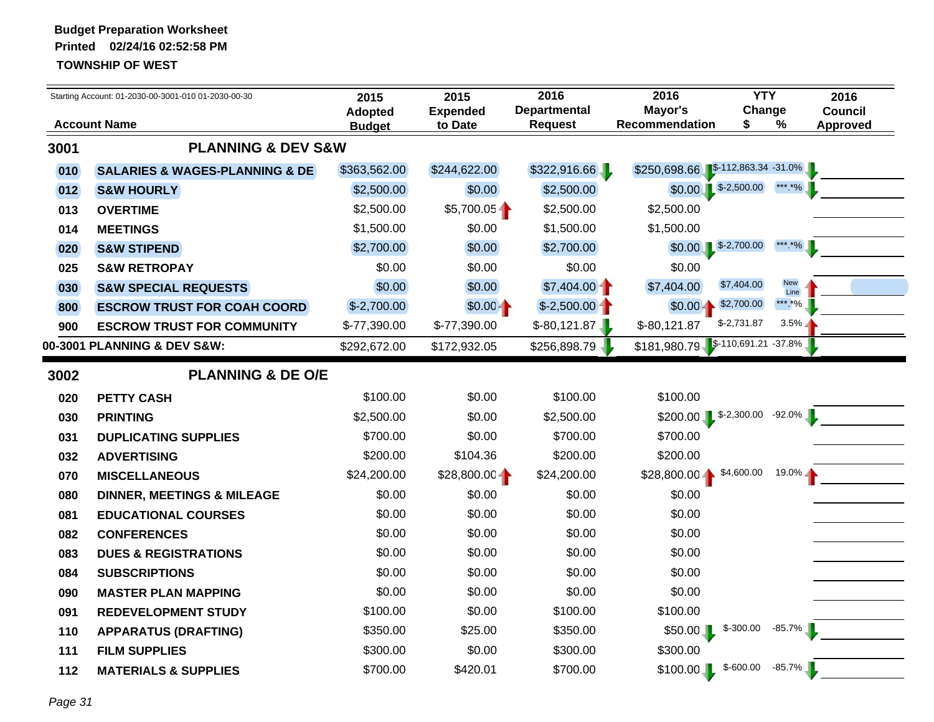|      | Starting Account: 01-2030-00-3001-010 01-2030-00-30 | 2015                     | 2015                       | 2016                           | 2016                              | <b>YTY</b>   | 2016                                      |
|------|-----------------------------------------------------|--------------------------|----------------------------|--------------------------------|-----------------------------------|--------------|-------------------------------------------|
|      | <b>Account Name</b>                                 | Adopted<br><b>Budget</b> | <b>Expended</b><br>to Date | <b>Departmental</b><br>Request | Mayor's<br><b>Recommendation</b>  | Change<br>\$ | <b>Council</b><br>$\%$<br><b>Approved</b> |
| 3001 | <b>PLANNING &amp; DEV S&amp;W</b>                   |                          |                            |                                |                                   |              |                                           |
| 010  | <b>SALARIES &amp; WAGES-PLANNING &amp; DE</b>       | \$363,562.00             | \$244,622.00               | \$322,916.66                   | \$250,698.66 \$-112,863.34 -31.0% |              |                                           |
| 012  | <b>S&amp;W HOURLY</b>                               | \$2,500.00               | \$0.00                     | \$2,500.00                     | \$0.00                            | $$-2,500.00$ | *** *%                                    |
| 013  | <b>OVERTIME</b>                                     | \$2,500.00               | $$5,700.05 -$              | \$2,500.00                     | \$2,500.00                        |              |                                           |
| 014  | <b>MEETINGS</b>                                     | \$1,500.00               | \$0.00                     | \$1,500.00                     | \$1,500.00                        |              |                                           |
| 020  | <b>S&amp;W STIPEND</b>                              | \$2,700.00               | \$0.00                     | \$2,700.00                     | $$0.00$ $$-2,700.00$              |              | *** *%                                    |
| 025  | <b>S&amp;W RETROPAY</b>                             | \$0.00                   | \$0.00                     | \$0.00                         | \$0.00                            |              |                                           |
| 030  | <b>S&amp;W SPECIAL REQUESTS</b>                     | \$0.00                   | \$0.00                     | $$7,404.00 -$                  | \$7,404.00                        | \$7,404.00   | <b>New</b><br>Line                        |
| 800  | <b>ESCROW TRUST FOR COAH COORD</b>                  | $$-2,700.00$             | $$0.00 -$                  | $$-2,500.00$                   | $$0.00 -$                         | \$2,700.00   | *** *%                                    |
| 900  | <b>ESCROW TRUST FOR COMMUNITY</b>                   | \$-77,390.00             | \$-77,390.00               | $$-80,121.87$                  | $$-80,121.87$                     | $$-2,731.87$ | 3.5%                                      |
|      | 00-3001 PLANNING & DEV S&W:                         | \$292,672.00             | \$172,932.05               | \$256,898.79                   | \$181,980.79 \$-110,691.21 -37.8% |              |                                           |
| 3002 | <b>PLANNING &amp; DE O/E</b>                        |                          |                            |                                |                                   |              |                                           |
| 020  | <b>PETTY CASH</b>                                   | \$100.00                 | \$0.00                     | \$100.00                       | \$100.00                          |              |                                           |
| 030  | <b>PRINTING</b>                                     | \$2,500.00               | \$0.00                     | \$2,500.00                     | $$200.00$ $$-2,300.00$            |              | $-92.0\%$                                 |
| 031  | <b>DUPLICATING SUPPLIES</b>                         | \$700.00                 | \$0.00                     | \$700.00                       | \$700.00                          |              |                                           |
| 032  | <b>ADVERTISING</b>                                  | \$200.00                 | \$104.36                   | \$200.00                       | \$200.00                          |              |                                           |
| 070  | <b>MISCELLANEOUS</b>                                | \$24,200.00              | $$28,800.00 -$             | \$24,200.00                    | $$28,800.00 -$                    | \$4,600.00   | $19.0\%$                                  |
| 080  | <b>DINNER, MEETINGS &amp; MILEAGE</b>               | \$0.00                   | \$0.00                     | \$0.00                         | \$0.00                            |              |                                           |
| 081  | <b>EDUCATIONAL COURSES</b>                          | \$0.00                   | \$0.00                     | \$0.00                         | \$0.00                            |              |                                           |
| 082  | <b>CONFERENCES</b>                                  | \$0.00                   | \$0.00                     | \$0.00                         | \$0.00                            |              |                                           |
| 083  | <b>DUES &amp; REGISTRATIONS</b>                     | \$0.00                   | \$0.00                     | \$0.00                         | \$0.00                            |              |                                           |
| 084  | <b>SUBSCRIPTIONS</b>                                | \$0.00                   | \$0.00                     | \$0.00                         | \$0.00                            |              |                                           |
| 090  | <b>MASTER PLAN MAPPING</b>                          | \$0.00                   | \$0.00                     | \$0.00                         | \$0.00                            |              |                                           |
| 091  | <b>REDEVELOPMENT STUDY</b>                          | \$100.00                 | \$0.00                     | \$100.00                       | \$100.00                          |              |                                           |
| 110  | <b>APPARATUS (DRAFTING)</b>                         | \$350.00                 | \$25.00                    | \$350.00                       | $$50.00$ L                        | $$ -300.00$  | $-85.7\%$                                 |
| 111  | <b>FILM SUPPLIES</b>                                | \$300.00                 | \$0.00                     | \$300.00                       | \$300.00                          |              |                                           |
| 112  | <b>MATERIALS &amp; SUPPLIES</b>                     | \$700.00                 | \$420.01                   | \$700.00                       | \$100.00                          | $$-600.00$   | $-85.7%$                                  |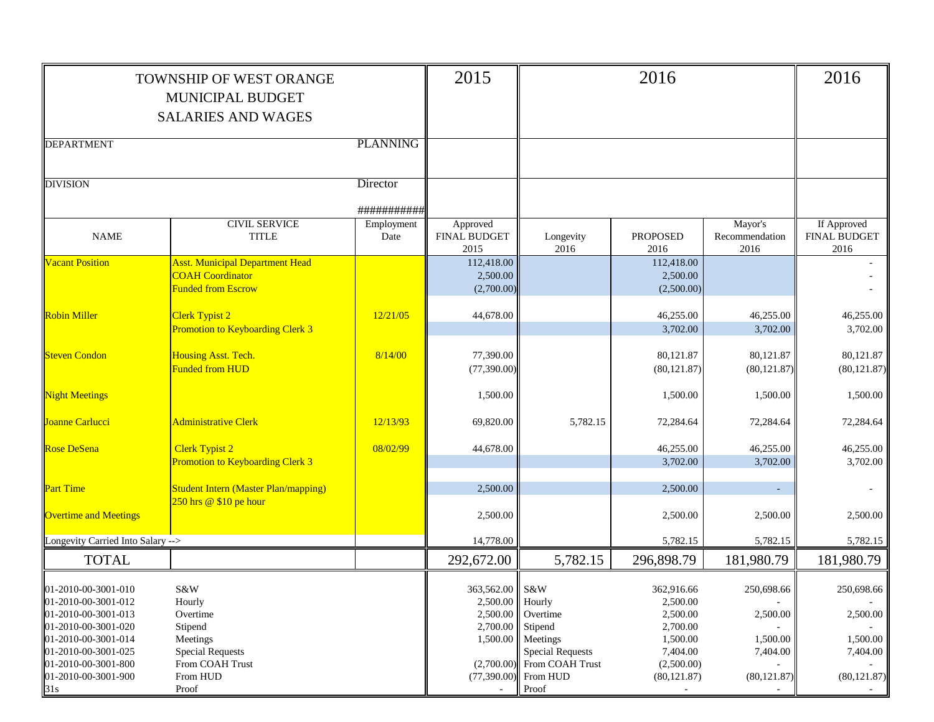|                                                                                          | <b>TOWNSHIP OF WEST ORANGE</b><br>MUNICIPAL BUDGET<br><b>SALARIES AND WAGES</b>                |                    | 2015                                    |                                                                                            | 2016                                   |                                   | 2016                                |
|------------------------------------------------------------------------------------------|------------------------------------------------------------------------------------------------|--------------------|-----------------------------------------|--------------------------------------------------------------------------------------------|----------------------------------------|-----------------------------------|-------------------------------------|
|                                                                                          |                                                                                                |                    |                                         |                                                                                            |                                        |                                   |                                     |
| <b>DEPARTMENT</b>                                                                        |                                                                                                | <b>PLANNING</b>    |                                         |                                                                                            |                                        |                                   |                                     |
| <b>DIVISION</b>                                                                          |                                                                                                | Director           |                                         |                                                                                            |                                        |                                   |                                     |
|                                                                                          |                                                                                                | ###########        |                                         |                                                                                            |                                        |                                   |                                     |
| <b>NAME</b>                                                                              | <b>CIVIL SERVICE</b><br><b>TITLE</b>                                                           | Employment<br>Date | Approved<br><b>FINAL BUDGET</b><br>2015 | Longevity<br>2016                                                                          | <b>PROPOSED</b><br>2016                | Mayor's<br>Recommendation<br>2016 | If Approved<br>FINAL BUDGET<br>2016 |
| <b>Vacant Position</b>                                                                   | <b>Asst. Municipal Department Head</b><br><b>COAH Coordinator</b><br><b>Funded from Escrow</b> |                    | 112,418.00<br>2,500.00<br>(2,700.00)    |                                                                                            | 112,418.00<br>2,500.00<br>(2,500.00)   |                                   |                                     |
| <b>Robin Miller</b>                                                                      | Clerk Typist 2<br><b>Promotion to Keyboarding Clerk 3</b>                                      | 12/21/05           | 44,678.00                               |                                                                                            | 46,255.00<br>3,702.00                  | 46,255.00<br>3,702.00             | 46,255.00<br>3,702.00               |
| <b>Steven Condon</b>                                                                     | Housing Asst. Tech.<br><b>Funded from HUD</b>                                                  | 8/14/00            | 77,390.00<br>(77, 390.00)               |                                                                                            | 80,121.87<br>(80, 121.87)              | 80,121.87<br>(80, 121.87)         | 80,121.87<br>(80, 121.87)           |
| <b>Night Meetings</b>                                                                    |                                                                                                |                    | 1,500.00                                |                                                                                            | 1,500.00                               | 1,500.00                          | 1,500.00                            |
| Joanne Carlucci                                                                          | Administrative Clerk                                                                           | 12/13/93           | 69,820.00                               | 5,782.15                                                                                   | 72,284.64                              | 72,284.64                         | 72,284.64                           |
| <b>Rose DeSena</b>                                                                       | <b>Clerk Typist 2</b><br><b>Promotion to Keyboarding Clerk 3</b>                               | 08/02/99           | 44,678.00                               |                                                                                            | 46,255.00<br>3,702.00                  | 46,255.00<br>3,702.00             | 46,255.00<br>3,702.00               |
| <b>Part Time</b>                                                                         | <b>Student Intern (Master Plan/mapping)</b><br>250 hrs @ \$10 pe hour                          |                    | 2,500.00                                |                                                                                            | 2,500.00                               |                                   |                                     |
| <b>Overtime and Meetings</b>                                                             |                                                                                                |                    | 2,500.00                                |                                                                                            | 2,500.00                               | 2,500.00                          | 2,500.00                            |
| Longevity Carried Into Salary -->                                                        |                                                                                                |                    | 14,778.00                               |                                                                                            | 5,782.15                               | 5,782.15                          | 5,782.15                            |
| <b>TOTAL</b>                                                                             |                                                                                                |                    | 292,672.00                              | 5,782.15                                                                                   | 296,898.79                             | 181,980.79                        | 181,980.79                          |
| 01-2010-00-3001-010<br>01-2010-00-3001-012                                               | $S\&W$<br>Hourly                                                                               |                    | 363,562.00 S&W<br>2,500.00 Hourly       |                                                                                            | 362,916.66<br>2,500.00                 | 250,698.66                        | 250,698.66                          |
| 01-2010-00-3001-013<br>01-2010-00-3001-020<br>01-2010-00-3001-014<br>01-2010-00-3001-025 | Overtime<br>Stipend<br>Meetings                                                                |                    | 2,500.00<br>2,700.00                    | Overtime<br>Stipend<br>1,500.00 Meetings                                                   | 2,500.00<br>2,700.00<br>1,500.00       | 2,500.00<br>1,500.00              | 2,500.00<br>1,500.00                |
| 01-2010-00-3001-800<br>01-2010-00-3001-900<br>31s                                        | <b>Special Requests</b><br>From COAH Trust<br>From HUD<br>Proof                                |                    |                                         | <b>Special Requests</b><br>$(2,700.00)$ From COAH Trust<br>$(77,390.00)$ From HUD<br>Proof | 7,404.00<br>(2,500.00)<br>(80, 121.87) | 7,404.00<br>(80, 121.87)          | 7,404.00<br>(80, 121.87)            |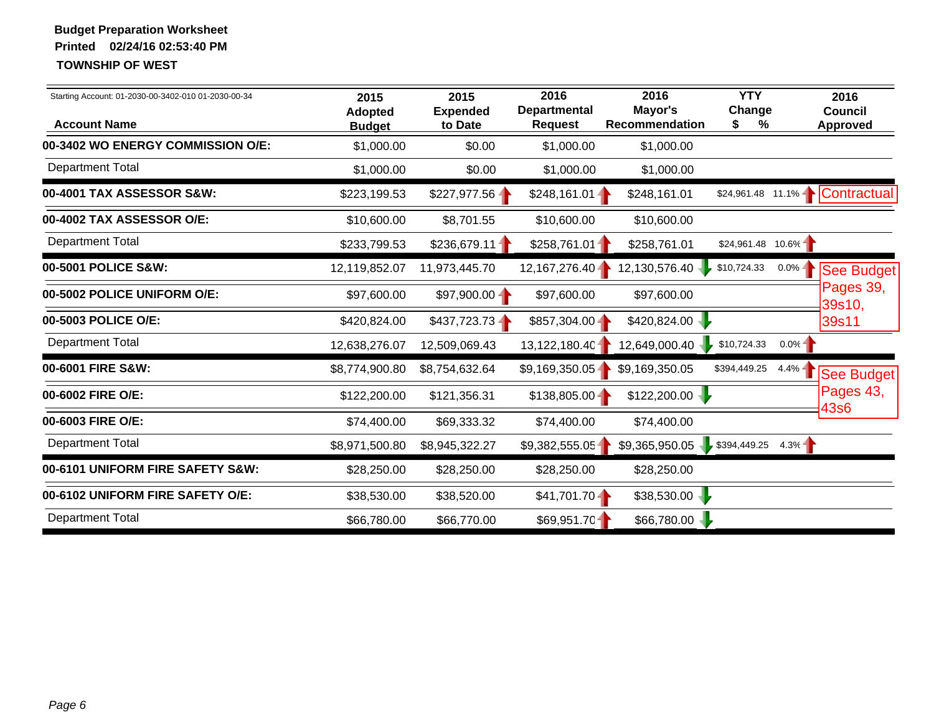| Starting Account: 01-2030-00-3402-010 01-2030-00-34<br><b>Account Name</b> | 2015<br><b>Adopted</b><br><b>Budget</b> | 2015<br><b>Expended</b><br>to Date | 2016<br><b>Departmental</b><br><b>Request</b> | 2016<br>Mayor's<br><b>Recommendation</b> | <b>YTY</b><br>Change<br>%<br>\$ |           | 2016<br><b>Council</b><br><b>Approved</b> |
|----------------------------------------------------------------------------|-----------------------------------------|------------------------------------|-----------------------------------------------|------------------------------------------|---------------------------------|-----------|-------------------------------------------|
| 00-3402 WO ENERGY COMMISSION O/E:                                          | \$1,000.00                              | \$0.00                             | \$1,000.00                                    | \$1,000.00                               |                                 |           |                                           |
| <b>Department Total</b>                                                    | \$1,000.00                              | \$0.00                             | \$1,000.00                                    | \$1,000.00                               |                                 |           |                                           |
| 00-4001 TAX ASSESSOR S&W:                                                  | \$223,199.53                            | $$227,977.56 -$                    | $$248,161.01 -$                               | \$248,161.01                             |                                 |           | \$24,961.48 11.1%   Contractual           |
| 00-4002 TAX ASSESSOR O/E:                                                  | \$10,600.00                             | \$8,701.55                         | \$10,600.00                                   | \$10,600.00                              |                                 |           |                                           |
| <b>Department Total</b>                                                    | \$233,799.53                            | \$236,679.11                       | \$258,761.01                                  | \$258,761.01                             | \$24,961.48 10.6%               |           |                                           |
| 00-5001 POLICE S&W:                                                        | 12,119,852.07                           | 11,973,445.70                      | 12,167,276.40                                 | 12,130,576.40                            | \$10,724.33                     | $0.0\%$ - | See Budget                                |
| 00-5002 POLICE UNIFORM O/E:                                                | \$97,600.00                             | $$97,900.00 -$                     | \$97,600.00                                   | \$97,600.00                              |                                 |           | Pages 39,<br>39s10,                       |
| 00-5003 POLICE O/E:                                                        | \$420,824.00                            | $$437,723.73 -$                    | $$857,304.00 -$                               | \$420,824.00                             |                                 |           | 39s11                                     |
| <b>Department Total</b>                                                    | 12,638,276.07                           | 12,509,069.43                      | 13,122,180.40                                 | 12,649,000.40                            | \$10,724.33                     | $0.0\%$ - |                                           |
| 00-6001 FIRE S&W:                                                          | \$8,774,900.80                          | \$8,754,632.64                     | \$9,169,350.05                                | \$9,169,350.05                           | \$394,449.25                    | $4.4\%$   | See Budget                                |
| 00-6002 FIRE O/E:                                                          | \$122,200.00                            | \$121,356.31                       | $$138,805.00 -$                               | \$122,200.00                             |                                 |           | Pages 43,                                 |
| 00-6003 FIRE O/E:                                                          | \$74,400.00                             | \$69,333.32                        | \$74,400.00                                   | \$74,400.00                              |                                 |           | 43s6                                      |
| <b>Department Total</b>                                                    | \$8,971,500.80                          | \$8,945,322.27                     | \$9,382,555.05                                | $$9,365,950.05$ \$394,449.25 4.3%        |                                 |           |                                           |
| 00-6101 UNIFORM FIRE SAFETY S&W:                                           | \$28,250.00                             | \$28,250.00                        | \$28,250.00                                   | \$28,250.00                              |                                 |           |                                           |
| 00-6102 UNIFORM FIRE SAFETY O/E:                                           | \$38,530.00                             | \$38,520.00                        | $$41,701.70 -$                                | \$38,530.00                              |                                 |           |                                           |
| <b>Department Total</b>                                                    | \$66,780.00                             | \$66,770.00                        | \$69,951.70                                   | \$66,780.00                              |                                 |           |                                           |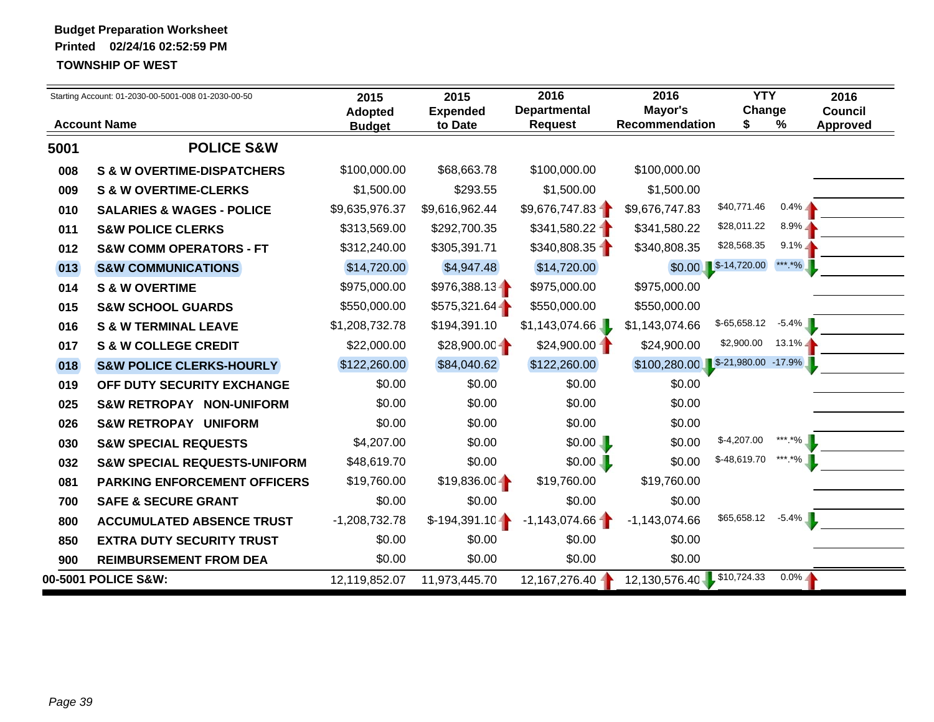|      | Starting Account: 01-2030-00-5001-008 01-2030-00-50 | 2015                            | 2015                       | 2016                           | 2016                                  | <b>YTY</b>    |             | 2016                              |
|------|-----------------------------------------------------|---------------------------------|----------------------------|--------------------------------|---------------------------------------|---------------|-------------|-----------------------------------|
|      | <b>Account Name</b>                                 | <b>Adopted</b><br><b>Budget</b> | <b>Expended</b><br>to Date | <b>Departmental</b><br>Request | Mayor's<br><b>Recommendation</b>      | Change<br>S   | %           | <b>Council</b><br><b>Approved</b> |
| 5001 | <b>POLICE S&amp;W</b>                               |                                 |                            |                                |                                       |               |             |                                   |
| 008  | <b>S &amp; W OVERTIME-DISPATCHERS</b>               | \$100,000.00                    | \$68,663.78                | \$100,000.00                   | \$100,000.00                          |               |             |                                   |
| 009  | <b>S &amp; W OVERTIME-CLERKS</b>                    | \$1,500.00                      | \$293.55                   | \$1,500.00                     | \$1,500.00                            |               |             |                                   |
| 010  | <b>SALARIES &amp; WAGES - POLICE</b>                | \$9,635,976.37                  | \$9,616,962.44             | \$9,676,747.83                 | \$9,676,747.83                        | \$40,771.46   | $0.4\%$ $-$ |                                   |
| 011  | <b>S&amp;W POLICE CLERKS</b>                        | \$313,569.00                    | \$292,700.35               | \$341,580.22                   | \$341,580.22                          | \$28,011.22   | $8.9\%$     |                                   |
| 012  | <b>S&amp;W COMM OPERATORS - FT</b>                  | \$312,240.00                    | \$305,391.71               | \$340,808.35                   | \$340,808.35                          | \$28,568.35   | $9.1\%$     |                                   |
| 013  | <b>S&amp;W COMMUNICATIONS</b>                       | \$14,720.00                     | \$4,947.48                 | \$14,720.00                    | \$0.00                                | $$-14,720.00$ | *** *%      |                                   |
| 014  | <b>S &amp; W OVERTIME</b>                           | \$975,000.00                    | $$976,388.13 -$            | \$975,000.00                   | \$975,000.00                          |               |             |                                   |
| 015  | <b>S&amp;W SCHOOL GUARDS</b>                        | \$550,000.00                    | \$575,321.64               | \$550,000.00                   | \$550,000.00                          |               |             |                                   |
| 016  | <b>S &amp; W TERMINAL LEAVE</b>                     | \$1,208,732.78                  | \$194,391.10               | \$1,143,074.66                 | \$1,143,074.66                        | $$-65,658.12$ | $-5.4\%$    |                                   |
| 017  | <b>S &amp; W COLLEGE CREDIT</b>                     | \$22,000.00                     | $$28,900.00 -$             | $$24,900.00 -$                 | \$24,900.00                           | \$2,900.00    | $13.1\%$    |                                   |
| 018  | <b>S&amp;W POLICE CLERKS-HOURLY</b>                 | \$122,260.00                    | \$84,040.62                | \$122,260.00                   | $$100,280.00$ $$-21,980.00$ $-17.9\%$ |               |             |                                   |
| 019  | OFF DUTY SECURITY EXCHANGE                          | \$0.00                          | \$0.00                     | \$0.00                         | \$0.00                                |               |             |                                   |
| 025  | <b>S&amp;W RETROPAY NON-UNIFORM</b>                 | \$0.00                          | \$0.00                     | \$0.00                         | \$0.00                                |               |             |                                   |
| 026  | <b>S&amp;W RETROPAY UNIFORM</b>                     | \$0.00                          | \$0.00                     | \$0.00                         | \$0.00                                |               |             |                                   |
| 030  | <b>S&amp;W SPECIAL REQUESTS</b>                     | \$4,207.00                      | \$0.00                     | $$0.00$ L                      | \$0.00                                | $$-4,207.00$  | ***.*%      |                                   |
| 032  | <b>S&amp;W SPECIAL REQUESTS-UNIFORM</b>             | \$48,619.70                     | \$0.00                     | $$0.00$                        | \$0.00                                | \$-48,619.70  | ***.*%      |                                   |
| 081  | <b>PARKING ENFORCEMENT OFFICERS</b>                 | \$19,760.00                     | $$19,836.00 -$             | \$19,760.00                    | \$19,760.00                           |               |             |                                   |
| 700  | <b>SAFE &amp; SECURE GRANT</b>                      | \$0.00                          | \$0.00                     | \$0.00                         | \$0.00                                |               |             |                                   |
| 800  | <b>ACCUMULATED ABSENCE TRUST</b>                    | $-1,208,732.78$                 | $$-194,391.10 -$           | $-1,143,074.66$                | $-1,143,074.66$                       | \$65,658.12   | $-5.4\%$    |                                   |
| 850  | <b>EXTRA DUTY SECURITY TRUST</b>                    | \$0.00                          | \$0.00                     | \$0.00                         | \$0.00                                |               |             |                                   |
| 900  | <b>REIMBURSEMENT FROM DEA</b>                       | \$0.00                          | \$0.00                     | \$0.00                         | \$0.00                                |               |             |                                   |
|      | 00-5001 POLICE S&W:                                 | 12,119,852.07                   | 11,973,445.70              | 12,167,276.40                  | 12,130,576.40 \$10,724.33             |               | $0.0\%$     |                                   |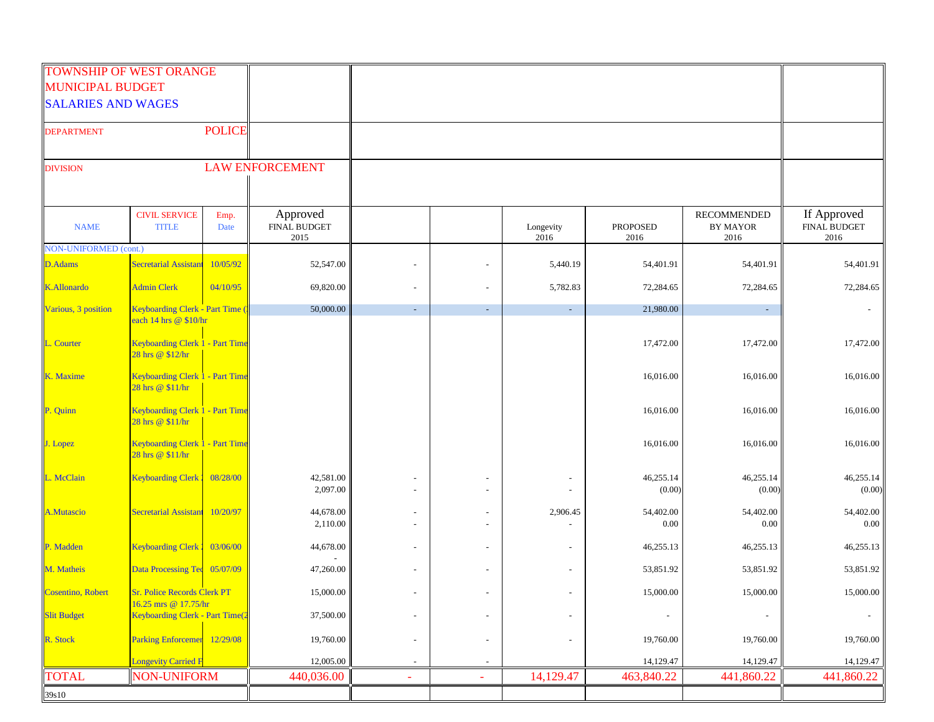|                           | <b>TOWNSHIP OF WEST ORANGE</b>                             |               |                                         |                          |                          |                          |                         |                                        |                                            |
|---------------------------|------------------------------------------------------------|---------------|-----------------------------------------|--------------------------|--------------------------|--------------------------|-------------------------|----------------------------------------|--------------------------------------------|
| <b>MUNICIPAL BUDGET</b>   |                                                            |               |                                         |                          |                          |                          |                         |                                        |                                            |
| <b>SALARIES AND WAGES</b> |                                                            |               |                                         |                          |                          |                          |                         |                                        |                                            |
| <b>DEPARTMENT</b>         |                                                            | <b>POLICE</b> |                                         |                          |                          |                          |                         |                                        |                                            |
| <b>DIVISION</b>           |                                                            |               | <b>LAW ENFORCEMENT</b>                  |                          |                          |                          |                         |                                        |                                            |
|                           |                                                            |               |                                         |                          |                          |                          |                         |                                        |                                            |
| <b>NAME</b>               | <b>CIVIL SERVICE</b><br><b>TITLE</b>                       | Emp.<br>Date  | Approved<br><b>FINAL BUDGET</b><br>2015 |                          |                          | Longevity<br>2016        | <b>PROPOSED</b><br>2016 | RECOMMENDED<br><b>BY MAYOR</b><br>2016 | If Approved<br><b>FINAL BUDGET</b><br>2016 |
| NON-UNIFORMED (cont.)     |                                                            |               |                                         |                          |                          |                          |                         |                                        |                                            |
| <b>D.Adams</b>            | <b>Secretarial Assistant</b>                               | 10/05/92      | 52,547.00                               |                          |                          | 5,440.19                 | 54,401.91               | 54,401.91                              | 54,401.91                                  |
| <b>K.Allonardo</b>        | <b>Admin Clerk</b>                                         | 04/10/95      | 69,820.00                               |                          |                          | 5,782.83                 | 72,284.65               | 72,284.65                              | 72,284.65                                  |
| Various, 3 position       | Keyboarding Clerk - Part Time                              |               | 50,000.00                               | $\sim$                   | $\sim$                   | $\sim$                   | 21,980.00               | $\sim$                                 |                                            |
|                           | each 14 hrs @ \$10/hr                                      |               |                                         |                          |                          |                          |                         |                                        |                                            |
| L. Courter                | Keyboarding Clerk 1 - Part Time<br>28 hrs @ \$12/hr        |               |                                         |                          |                          |                          | 17,472.00               | 17,472.00                              | 17,472.00                                  |
| K. Maxime                 | Keyboarding Clerk 1 - Part Time<br>28 hrs @ \$11/hr        |               |                                         |                          |                          |                          | 16,016.00               | 16,016.00                              | 16,016.00                                  |
| P. Quinn                  | Keyboarding Clerk 1 - Part Time<br>28 hrs @ \$11/hr        |               |                                         |                          |                          |                          | 16,016.00               | 16,016.00                              | 16,016.00                                  |
| J. Lopez                  | <b>Keyboarding Clerk 1 - Part Time</b><br>28 hrs @ \$11/hr |               |                                         |                          |                          |                          | 16,016.00               | 16,016.00                              | 16,016.00                                  |
| L. McClain                | <b>Keyboarding Clerk</b>                                   | 08/28/00      | 42,581.00<br>2,097.00                   |                          |                          |                          | 46,255.14<br>(0.00)     | 46,255.14<br>(0.00)                    | 46,255.14<br>(0.00)                        |
| <b>A.Mutascio</b>         | <b>Secretarial Assistant</b>                               | 10/20/97      | 44,678.00<br>2,110.00                   |                          |                          | 2,906.45                 | 54,402.00<br>0.00       | 54,402.00<br>$0.00\,$                  | 54,402.00<br>0.00                          |
| P. Madden                 | <b>Keyboarding Clerk</b>                                   | 03/06/00      | 44,678.00                               |                          |                          |                          | 46,255.13               | 46,255.13                              | 46,255.13                                  |
| M. Matheis                | Data Processing Tec 05/07/09                               |               | 47,260.00                               |                          |                          |                          | 53,851.92               | 53,851.92                              | 53,851.92                                  |
| Cosentino, Robert         | Sr. Police Records Clerk PT                                |               | 15,000.00                               | $\blacksquare$           |                          | $\overline{\phantom{a}}$ | 15,000.00               | 15,000.00                              | 15,000.00                                  |
| <b>Slit Budget</b>        | 16.25 mrs @ 17.75/hr<br>Keyboarding Clerk - Part Time(2    |               | 37,500.00                               | $\blacksquare$           | $\blacksquare$           | $\overline{\phantom{a}}$ |                         | $\overline{\phantom{a}}$               | $\blacksquare$                             |
| R. Stock                  | Parking Enforcemer 12/29/08                                |               | 19,760.00                               | $\overline{\phantom{a}}$ | $\blacksquare$           | $\overline{\phantom{m}}$ | 19,760.00               | 19,760.00                              | 19,760.00                                  |
|                           | <b>Longevity Carried F</b>                                 |               | 12,005.00                               |                          |                          |                          | 14,129.47               | 14,129.47                              | 14,129.47                                  |
| <b>TOTAL</b>              | <b>NON-UNIFORM</b>                                         |               | 440,036.00                              | ÷                        | $\overline{\phantom{a}}$ | 14,129.47                | 463,840.22              | 441,860.22                             | 441,860.22                                 |
| 39s10                     |                                                            |               |                                         |                          |                          |                          |                         |                                        |                                            |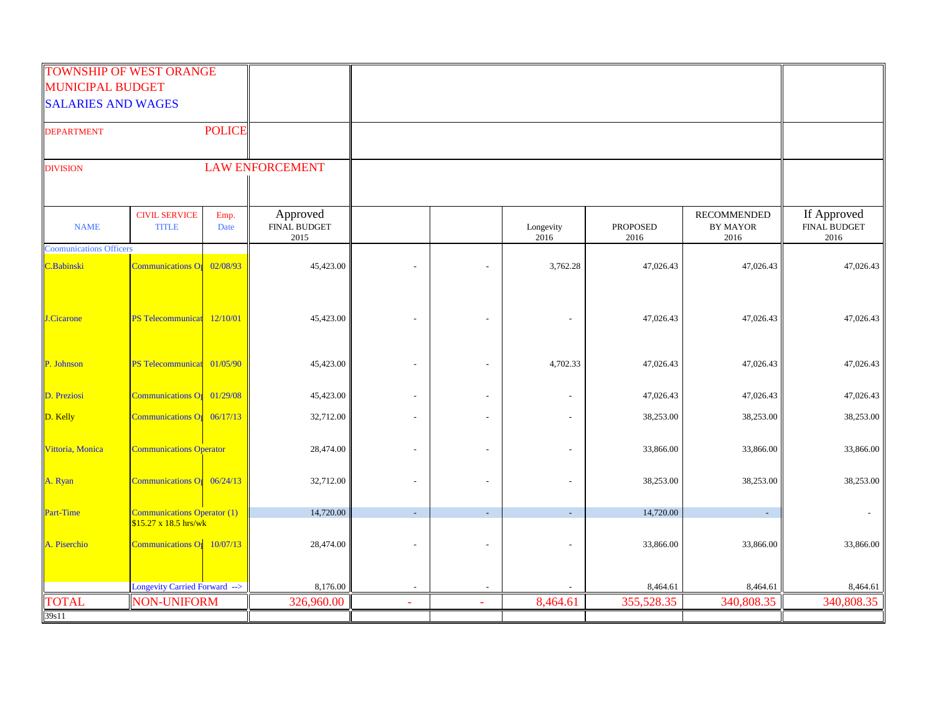|                                | <b>TOWNSHIP OF WEST ORANGE</b>                                         |               |                                         |   |        |                   |                         |                                 |                                            |
|--------------------------------|------------------------------------------------------------------------|---------------|-----------------------------------------|---|--------|-------------------|-------------------------|---------------------------------|--------------------------------------------|
| <b>MUNICIPAL BUDGET</b>        |                                                                        |               |                                         |   |        |                   |                         |                                 |                                            |
| <b>SALARIES AND WAGES</b>      |                                                                        |               |                                         |   |        |                   |                         |                                 |                                            |
| <b>DEPARTMENT</b>              |                                                                        | <b>POLICE</b> |                                         |   |        |                   |                         |                                 |                                            |
| <b>DIVISION</b>                |                                                                        |               | <b>LAW ENFORCEMENT</b>                  |   |        |                   |                         |                                 |                                            |
| <b>NAME</b>                    | <b>CIVIL SERVICE</b><br><b>TITLE</b>                                   | Emp.<br>Date  | Approved<br><b>FINAL BUDGET</b><br>2015 |   |        | Longevity<br>2016 | <b>PROPOSED</b><br>2016 | RECOMMENDED<br>BY MAYOR<br>2016 | If Approved<br><b>FINAL BUDGET</b><br>2016 |
| <b>Coomunications Officers</b> |                                                                        |               |                                         |   |        |                   |                         |                                 |                                            |
| C.Babinski                     | <b>Communications Of</b>                                               | 02/08/93      | 45,423.00                               |   |        | 3,762.28          | 47,026.43               | 47,026.43                       | 47,026.43                                  |
| Cicarone                       | <b>PS Telecommunicat</b>                                               | 12/10/01      | 45,423.00                               |   | $\sim$ |                   | 47,026.43               | 47,026.43                       | 47,026.43                                  |
| P. Johnson                     | PS Telecommunicat 01/05/90                                             |               | 45,423.00                               |   | $\sim$ | 4,702.33          | 47,026.43               | 47,026.43                       | 47,026.43                                  |
| D. Preziosi                    | Communications Or 01/29/08                                             |               | 45,423.00                               |   |        |                   | 47,026.43               | 47,026.43                       | 47,026.43                                  |
| D. Kelly                       | Communications $O_{1}$ 06/17/13                                        |               | 32,712.00                               |   |        |                   | 38,253.00               | 38,253.00                       | 38,253.00                                  |
| Vittoria, Monica               | <b>Communications Operator</b>                                         |               | 28,474.00                               |   |        |                   | 33,866.00               | 33,866.00                       | 33,866.00                                  |
| A. Ryan                        | Communications $O_1$ 06/24/13                                          |               | 32,712.00                               |   |        |                   | 38,253.00               | 38,253.00                       | 38,253.00                                  |
| <b>Part-Time</b>               | <b>Communications Operator (1)</b>                                     |               | 14,720.00                               |   |        |                   | 14,720.00               |                                 |                                            |
| A. Piserchio                   | $$15.27 \times 18.5 \text{ hrs/wk}$<br>Communications $O_{1}$ 10/07/13 |               | 28,474.00                               |   |        |                   | 33,866.00               | 33,866.00                       | 33,866.00                                  |
|                                | Longevity Carried Forward -->                                          |               | 8,176.00                                |   |        |                   | 8,464.61                | 8,464.61                        | 8,464.61                                   |
| <b>TOTAL</b>                   | <b>NON-UNIFORM</b>                                                     |               | 326,960.00                              | ٠ |        | 8,464.61          | 355,528.35              | 340,808.35                      | 340,808.35                                 |
| 39s11                          |                                                                        |               |                                         |   |        |                   |                         |                                 |                                            |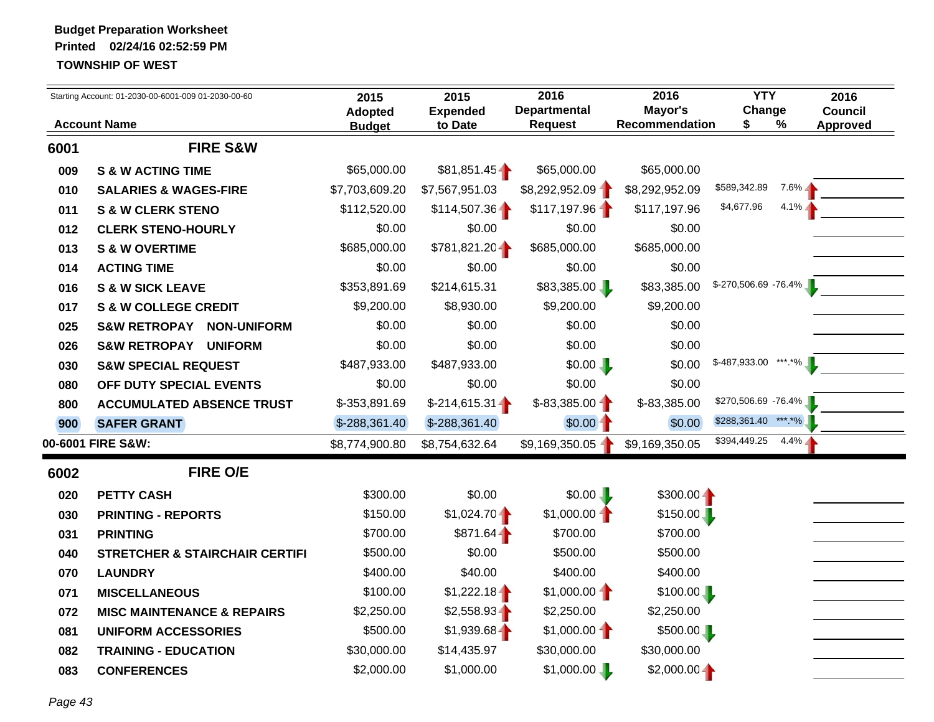| Mayor's<br>Change<br><b>Departmental</b><br><b>Council</b><br><b>Expended</b><br><b>Adopted</b><br><b>Account Name</b><br>%<br><b>Request</b><br>Recommendation<br>S<br><b>Approved</b><br>to Date<br><b>Budget</b><br><b>FIRE S&amp;W</b><br>\$65,000.00<br>\$81,851.45<br>\$65,000.00<br>\$65,000.00<br><b>S &amp; W ACTING TIME</b><br>\$589,342.89<br>$7.6\%$<br>\$7,567,951.03<br>\$8,292,952.09<br>\$7,703,609.20<br>\$8,292,952.09<br><b>SALARIES &amp; WAGES-FIRE</b><br>\$4,677.96<br>$4.1\%$<br>\$117,197.96<br>$$114,507.36 -$<br>\$112,520.00<br>\$117,197.96<br><b>S &amp; W CLERK STENO</b><br>\$0.00<br>\$0.00<br>\$0.00<br><b>CLERK STENO-HOURLY</b><br>\$0.00<br>\$781,821.20<br>\$685,000.00<br>\$685,000.00<br>\$685,000.00<br><b>S &amp; W OVERTIME</b><br>\$0.00<br>\$0.00<br>\$0.00<br>\$0.00<br><b>ACTING TIME</b><br>$$-270,506.69 -76.4\%$<br>\$83,385.00<br>\$353,891.69<br>\$214,615.31<br>\$83,385.00<br><b>S &amp; W SICK LEAVE</b><br>\$9,200.00<br>\$8,930.00<br>\$9,200.00<br>\$9,200.00<br><b>S &amp; W COLLEGE CREDIT</b><br>\$0.00<br>\$0.00<br>\$0.00<br>\$0.00<br><b>S&amp;W RETROPAY</b><br><b>NON-UNIFORM</b><br>\$0.00<br>\$0.00<br>\$0.00<br>\$0.00<br><b>S&amp;W RETROPAY UNIFORM</b><br>$$-487,933.00$ ***.*%<br>\$487,933.00<br>\$487,933.00<br>\$0.00<br>\$0.00<br><b>S&amp;W SPECIAL REQUEST</b><br>\$0.00<br>\$0.00<br>\$0.00<br>\$0.00<br>OFF DUTY SPECIAL EVENTS<br>\$270,506.69 -76.4%<br>$$-83,385.00$<br>\$-83,385.00<br>$$-214,615.31$<br>\$-353,891.69<br><b>ACCUMULATED ABSENCE TRUST</b><br>*** *%<br>\$288,361.40<br>$$0.00 -$<br>\$0.00<br>$$-288,361.40$<br>\$-288,361.40<br><b>SAFER GRANT</b><br>\$394,449.25<br>$4.4\%$<br>00-6001 FIRE S&W:<br>\$9,169,350.05 1<br>\$9,169,350.05<br>\$8,774,900.80<br>\$8,754,632.64<br><b>FIRE O/E</b><br>\$0.00<br>\$0.00<br>\$300.00<br>$$300.00 -$<br><b>PETTY CASH</b><br>$$1,024.70 -$<br>$$1,000.00 -$<br>\$150.00<br>\$150.00<br><b>PRINTING - REPORTS</b><br>$$871.64 -$<br>\$700.00<br><b>PRINTING</b><br>\$700.00<br>\$700.00<br>\$0.00<br>\$500.00<br>\$500.00<br>\$500.00<br><b>STRETCHER &amp; STAIRCHAIR CERTIFI</b><br>\$40.00<br>\$400.00<br>\$400.00<br>\$400.00<br><b>LAUNDRY</b><br>$$1,000.00 -$<br>\$1,222.18<br>\$100.00<br>\$100.00<br><b>MISCELLANEOUS</b><br>\$2,250.00<br>\$2,558.93<br>\$2,250.00<br>\$2,250.00<br><b>MISC MAINTENANCE &amp; REPAIRS</b><br>$$1,000.00 -$<br>\$1,939.68<br>\$500.00<br>\$500.00<br><b>UNIFORM ACCESSORIES</b><br>\$14,435.97<br>\$30,000.00<br>\$30,000.00<br>\$30,000.00<br><b>TRAINING - EDUCATION</b><br>\$1,000.00<br>$$2,000.00 -$<br>\$2,000.00<br>\$1,000.00<br><b>CONFERENCES</b> |      | Starting Account: 01-2030-00-6001-009 01-2030-00-60 | 2015 | 2015 | 2016 | 2016 | <b>YTY</b> | 2016 |
|-------------------------------------------------------------------------------------------------------------------------------------------------------------------------------------------------------------------------------------------------------------------------------------------------------------------------------------------------------------------------------------------------------------------------------------------------------------------------------------------------------------------------------------------------------------------------------------------------------------------------------------------------------------------------------------------------------------------------------------------------------------------------------------------------------------------------------------------------------------------------------------------------------------------------------------------------------------------------------------------------------------------------------------------------------------------------------------------------------------------------------------------------------------------------------------------------------------------------------------------------------------------------------------------------------------------------------------------------------------------------------------------------------------------------------------------------------------------------------------------------------------------------------------------------------------------------------------------------------------------------------------------------------------------------------------------------------------------------------------------------------------------------------------------------------------------------------------------------------------------------------------------------------------------------------------------------------------------------------------------------------------------------------------------------------------------------------------------------------------------------------------------------------------------------------------------------------------------------------------------------------------------------------------------------------------------------------------------------------------------------------------------------------------------------------------------------------------------------------------------------------------------------------------------------------------------------------------------------------------------------------------------------------|------|-----------------------------------------------------|------|------|------|------|------------|------|
|                                                                                                                                                                                                                                                                                                                                                                                                                                                                                                                                                                                                                                                                                                                                                                                                                                                                                                                                                                                                                                                                                                                                                                                                                                                                                                                                                                                                                                                                                                                                                                                                                                                                                                                                                                                                                                                                                                                                                                                                                                                                                                                                                                                                                                                                                                                                                                                                                                                                                                                                                                                                                                                       |      |                                                     |      |      |      |      |            |      |
|                                                                                                                                                                                                                                                                                                                                                                                                                                                                                                                                                                                                                                                                                                                                                                                                                                                                                                                                                                                                                                                                                                                                                                                                                                                                                                                                                                                                                                                                                                                                                                                                                                                                                                                                                                                                                                                                                                                                                                                                                                                                                                                                                                                                                                                                                                                                                                                                                                                                                                                                                                                                                                                       | 6001 |                                                     |      |      |      |      |            |      |
|                                                                                                                                                                                                                                                                                                                                                                                                                                                                                                                                                                                                                                                                                                                                                                                                                                                                                                                                                                                                                                                                                                                                                                                                                                                                                                                                                                                                                                                                                                                                                                                                                                                                                                                                                                                                                                                                                                                                                                                                                                                                                                                                                                                                                                                                                                                                                                                                                                                                                                                                                                                                                                                       | 009  |                                                     |      |      |      |      |            |      |
|                                                                                                                                                                                                                                                                                                                                                                                                                                                                                                                                                                                                                                                                                                                                                                                                                                                                                                                                                                                                                                                                                                                                                                                                                                                                                                                                                                                                                                                                                                                                                                                                                                                                                                                                                                                                                                                                                                                                                                                                                                                                                                                                                                                                                                                                                                                                                                                                                                                                                                                                                                                                                                                       | 010  |                                                     |      |      |      |      |            |      |
|                                                                                                                                                                                                                                                                                                                                                                                                                                                                                                                                                                                                                                                                                                                                                                                                                                                                                                                                                                                                                                                                                                                                                                                                                                                                                                                                                                                                                                                                                                                                                                                                                                                                                                                                                                                                                                                                                                                                                                                                                                                                                                                                                                                                                                                                                                                                                                                                                                                                                                                                                                                                                                                       | 011  |                                                     |      |      |      |      |            |      |
|                                                                                                                                                                                                                                                                                                                                                                                                                                                                                                                                                                                                                                                                                                                                                                                                                                                                                                                                                                                                                                                                                                                                                                                                                                                                                                                                                                                                                                                                                                                                                                                                                                                                                                                                                                                                                                                                                                                                                                                                                                                                                                                                                                                                                                                                                                                                                                                                                                                                                                                                                                                                                                                       | 012  |                                                     |      |      |      |      |            |      |
|                                                                                                                                                                                                                                                                                                                                                                                                                                                                                                                                                                                                                                                                                                                                                                                                                                                                                                                                                                                                                                                                                                                                                                                                                                                                                                                                                                                                                                                                                                                                                                                                                                                                                                                                                                                                                                                                                                                                                                                                                                                                                                                                                                                                                                                                                                                                                                                                                                                                                                                                                                                                                                                       | 013  |                                                     |      |      |      |      |            |      |
|                                                                                                                                                                                                                                                                                                                                                                                                                                                                                                                                                                                                                                                                                                                                                                                                                                                                                                                                                                                                                                                                                                                                                                                                                                                                                                                                                                                                                                                                                                                                                                                                                                                                                                                                                                                                                                                                                                                                                                                                                                                                                                                                                                                                                                                                                                                                                                                                                                                                                                                                                                                                                                                       | 014  |                                                     |      |      |      |      |            |      |
|                                                                                                                                                                                                                                                                                                                                                                                                                                                                                                                                                                                                                                                                                                                                                                                                                                                                                                                                                                                                                                                                                                                                                                                                                                                                                                                                                                                                                                                                                                                                                                                                                                                                                                                                                                                                                                                                                                                                                                                                                                                                                                                                                                                                                                                                                                                                                                                                                                                                                                                                                                                                                                                       | 016  |                                                     |      |      |      |      |            |      |
|                                                                                                                                                                                                                                                                                                                                                                                                                                                                                                                                                                                                                                                                                                                                                                                                                                                                                                                                                                                                                                                                                                                                                                                                                                                                                                                                                                                                                                                                                                                                                                                                                                                                                                                                                                                                                                                                                                                                                                                                                                                                                                                                                                                                                                                                                                                                                                                                                                                                                                                                                                                                                                                       | 017  |                                                     |      |      |      |      |            |      |
|                                                                                                                                                                                                                                                                                                                                                                                                                                                                                                                                                                                                                                                                                                                                                                                                                                                                                                                                                                                                                                                                                                                                                                                                                                                                                                                                                                                                                                                                                                                                                                                                                                                                                                                                                                                                                                                                                                                                                                                                                                                                                                                                                                                                                                                                                                                                                                                                                                                                                                                                                                                                                                                       | 025  |                                                     |      |      |      |      |            |      |
|                                                                                                                                                                                                                                                                                                                                                                                                                                                                                                                                                                                                                                                                                                                                                                                                                                                                                                                                                                                                                                                                                                                                                                                                                                                                                                                                                                                                                                                                                                                                                                                                                                                                                                                                                                                                                                                                                                                                                                                                                                                                                                                                                                                                                                                                                                                                                                                                                                                                                                                                                                                                                                                       | 026  |                                                     |      |      |      |      |            |      |
|                                                                                                                                                                                                                                                                                                                                                                                                                                                                                                                                                                                                                                                                                                                                                                                                                                                                                                                                                                                                                                                                                                                                                                                                                                                                                                                                                                                                                                                                                                                                                                                                                                                                                                                                                                                                                                                                                                                                                                                                                                                                                                                                                                                                                                                                                                                                                                                                                                                                                                                                                                                                                                                       | 030  |                                                     |      |      |      |      |            |      |
|                                                                                                                                                                                                                                                                                                                                                                                                                                                                                                                                                                                                                                                                                                                                                                                                                                                                                                                                                                                                                                                                                                                                                                                                                                                                                                                                                                                                                                                                                                                                                                                                                                                                                                                                                                                                                                                                                                                                                                                                                                                                                                                                                                                                                                                                                                                                                                                                                                                                                                                                                                                                                                                       | 080  |                                                     |      |      |      |      |            |      |
|                                                                                                                                                                                                                                                                                                                                                                                                                                                                                                                                                                                                                                                                                                                                                                                                                                                                                                                                                                                                                                                                                                                                                                                                                                                                                                                                                                                                                                                                                                                                                                                                                                                                                                                                                                                                                                                                                                                                                                                                                                                                                                                                                                                                                                                                                                                                                                                                                                                                                                                                                                                                                                                       | 800  |                                                     |      |      |      |      |            |      |
|                                                                                                                                                                                                                                                                                                                                                                                                                                                                                                                                                                                                                                                                                                                                                                                                                                                                                                                                                                                                                                                                                                                                                                                                                                                                                                                                                                                                                                                                                                                                                                                                                                                                                                                                                                                                                                                                                                                                                                                                                                                                                                                                                                                                                                                                                                                                                                                                                                                                                                                                                                                                                                                       | 900  |                                                     |      |      |      |      |            |      |
|                                                                                                                                                                                                                                                                                                                                                                                                                                                                                                                                                                                                                                                                                                                                                                                                                                                                                                                                                                                                                                                                                                                                                                                                                                                                                                                                                                                                                                                                                                                                                                                                                                                                                                                                                                                                                                                                                                                                                                                                                                                                                                                                                                                                                                                                                                                                                                                                                                                                                                                                                                                                                                                       |      |                                                     |      |      |      |      |            |      |
|                                                                                                                                                                                                                                                                                                                                                                                                                                                                                                                                                                                                                                                                                                                                                                                                                                                                                                                                                                                                                                                                                                                                                                                                                                                                                                                                                                                                                                                                                                                                                                                                                                                                                                                                                                                                                                                                                                                                                                                                                                                                                                                                                                                                                                                                                                                                                                                                                                                                                                                                                                                                                                                       | 6002 |                                                     |      |      |      |      |            |      |
|                                                                                                                                                                                                                                                                                                                                                                                                                                                                                                                                                                                                                                                                                                                                                                                                                                                                                                                                                                                                                                                                                                                                                                                                                                                                                                                                                                                                                                                                                                                                                                                                                                                                                                                                                                                                                                                                                                                                                                                                                                                                                                                                                                                                                                                                                                                                                                                                                                                                                                                                                                                                                                                       | 020  |                                                     |      |      |      |      |            |      |
|                                                                                                                                                                                                                                                                                                                                                                                                                                                                                                                                                                                                                                                                                                                                                                                                                                                                                                                                                                                                                                                                                                                                                                                                                                                                                                                                                                                                                                                                                                                                                                                                                                                                                                                                                                                                                                                                                                                                                                                                                                                                                                                                                                                                                                                                                                                                                                                                                                                                                                                                                                                                                                                       | 030  |                                                     |      |      |      |      |            |      |
|                                                                                                                                                                                                                                                                                                                                                                                                                                                                                                                                                                                                                                                                                                                                                                                                                                                                                                                                                                                                                                                                                                                                                                                                                                                                                                                                                                                                                                                                                                                                                                                                                                                                                                                                                                                                                                                                                                                                                                                                                                                                                                                                                                                                                                                                                                                                                                                                                                                                                                                                                                                                                                                       | 031  |                                                     |      |      |      |      |            |      |
|                                                                                                                                                                                                                                                                                                                                                                                                                                                                                                                                                                                                                                                                                                                                                                                                                                                                                                                                                                                                                                                                                                                                                                                                                                                                                                                                                                                                                                                                                                                                                                                                                                                                                                                                                                                                                                                                                                                                                                                                                                                                                                                                                                                                                                                                                                                                                                                                                                                                                                                                                                                                                                                       | 040  |                                                     |      |      |      |      |            |      |
|                                                                                                                                                                                                                                                                                                                                                                                                                                                                                                                                                                                                                                                                                                                                                                                                                                                                                                                                                                                                                                                                                                                                                                                                                                                                                                                                                                                                                                                                                                                                                                                                                                                                                                                                                                                                                                                                                                                                                                                                                                                                                                                                                                                                                                                                                                                                                                                                                                                                                                                                                                                                                                                       | 070  |                                                     |      |      |      |      |            |      |
|                                                                                                                                                                                                                                                                                                                                                                                                                                                                                                                                                                                                                                                                                                                                                                                                                                                                                                                                                                                                                                                                                                                                                                                                                                                                                                                                                                                                                                                                                                                                                                                                                                                                                                                                                                                                                                                                                                                                                                                                                                                                                                                                                                                                                                                                                                                                                                                                                                                                                                                                                                                                                                                       | 071  |                                                     |      |      |      |      |            |      |
|                                                                                                                                                                                                                                                                                                                                                                                                                                                                                                                                                                                                                                                                                                                                                                                                                                                                                                                                                                                                                                                                                                                                                                                                                                                                                                                                                                                                                                                                                                                                                                                                                                                                                                                                                                                                                                                                                                                                                                                                                                                                                                                                                                                                                                                                                                                                                                                                                                                                                                                                                                                                                                                       | 072  |                                                     |      |      |      |      |            |      |
|                                                                                                                                                                                                                                                                                                                                                                                                                                                                                                                                                                                                                                                                                                                                                                                                                                                                                                                                                                                                                                                                                                                                                                                                                                                                                                                                                                                                                                                                                                                                                                                                                                                                                                                                                                                                                                                                                                                                                                                                                                                                                                                                                                                                                                                                                                                                                                                                                                                                                                                                                                                                                                                       | 081  |                                                     |      |      |      |      |            |      |
|                                                                                                                                                                                                                                                                                                                                                                                                                                                                                                                                                                                                                                                                                                                                                                                                                                                                                                                                                                                                                                                                                                                                                                                                                                                                                                                                                                                                                                                                                                                                                                                                                                                                                                                                                                                                                                                                                                                                                                                                                                                                                                                                                                                                                                                                                                                                                                                                                                                                                                                                                                                                                                                       | 082  |                                                     |      |      |      |      |            |      |
|                                                                                                                                                                                                                                                                                                                                                                                                                                                                                                                                                                                                                                                                                                                                                                                                                                                                                                                                                                                                                                                                                                                                                                                                                                                                                                                                                                                                                                                                                                                                                                                                                                                                                                                                                                                                                                                                                                                                                                                                                                                                                                                                                                                                                                                                                                                                                                                                                                                                                                                                                                                                                                                       | 083  |                                                     |      |      |      |      |            |      |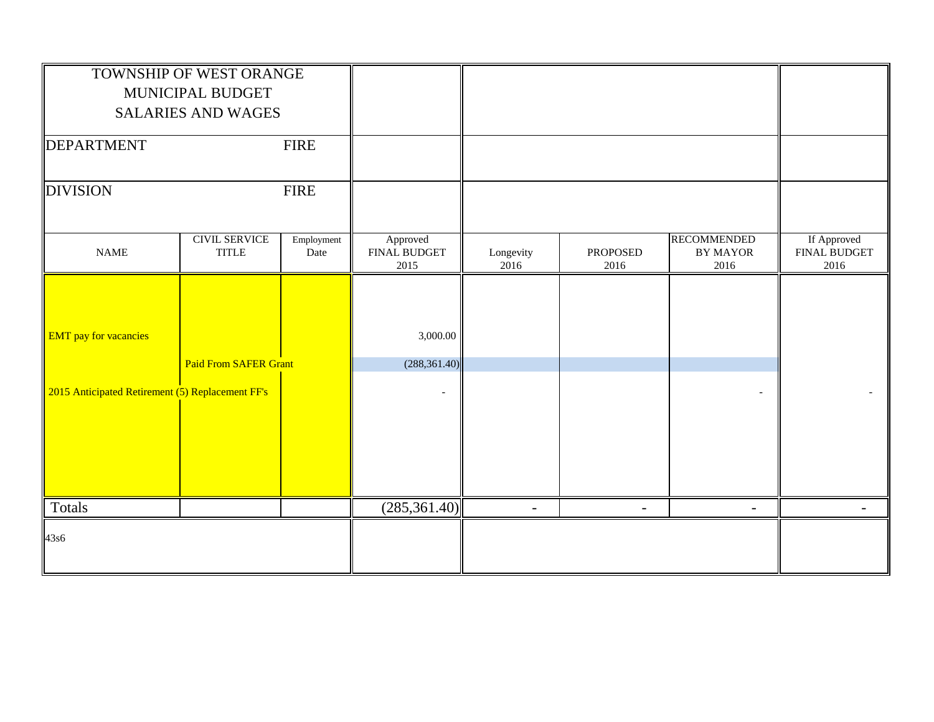|                                                  | TOWNSHIP OF WEST ORANGE              |                    |                                  |                   |                         |                                               |                                     |
|--------------------------------------------------|--------------------------------------|--------------------|----------------------------------|-------------------|-------------------------|-----------------------------------------------|-------------------------------------|
|                                                  | MUNICIPAL BUDGET                     |                    |                                  |                   |                         |                                               |                                     |
|                                                  | <b>SALARIES AND WAGES</b>            |                    |                                  |                   |                         |                                               |                                     |
| DEPARTMENT                                       |                                      | <b>FIRE</b>        |                                  |                   |                         |                                               |                                     |
| <b>DIVISION</b>                                  |                                      | <b>FIRE</b>        |                                  |                   |                         |                                               |                                     |
| <b>NAME</b>                                      | <b>CIVIL SERVICE</b><br><b>TITLE</b> | Employment<br>Date | Approved<br>FINAL BUDGET<br>2015 | Longevity<br>2016 | <b>PROPOSED</b><br>2016 | <b>RECOMMENDED</b><br><b>BY MAYOR</b><br>2016 | If Approved<br>FINAL BUDGET<br>2016 |
|                                                  |                                      |                    |                                  |                   |                         |                                               |                                     |
|                                                  |                                      |                    |                                  |                   |                         |                                               |                                     |
| <b>EMT</b> pay for vacancies                     |                                      |                    | 3,000.00                         |                   |                         |                                               |                                     |
|                                                  | <b>Paid From SAFER Grant</b>         |                    | (288, 361.40)                    |                   |                         |                                               |                                     |
| 2015 Anticipated Retirement (5) Replacement FF's |                                      |                    |                                  |                   |                         |                                               |                                     |
|                                                  |                                      |                    |                                  |                   |                         |                                               |                                     |
|                                                  |                                      |                    |                                  |                   |                         |                                               |                                     |
|                                                  |                                      |                    |                                  |                   |                         |                                               |                                     |
|                                                  |                                      |                    |                                  |                   |                         |                                               |                                     |
| Totals                                           |                                      |                    | (285, 361.40)                    |                   |                         |                                               |                                     |
| 43s6                                             |                                      |                    |                                  |                   |                         |                                               |                                     |
|                                                  |                                      |                    |                                  |                   |                         |                                               |                                     |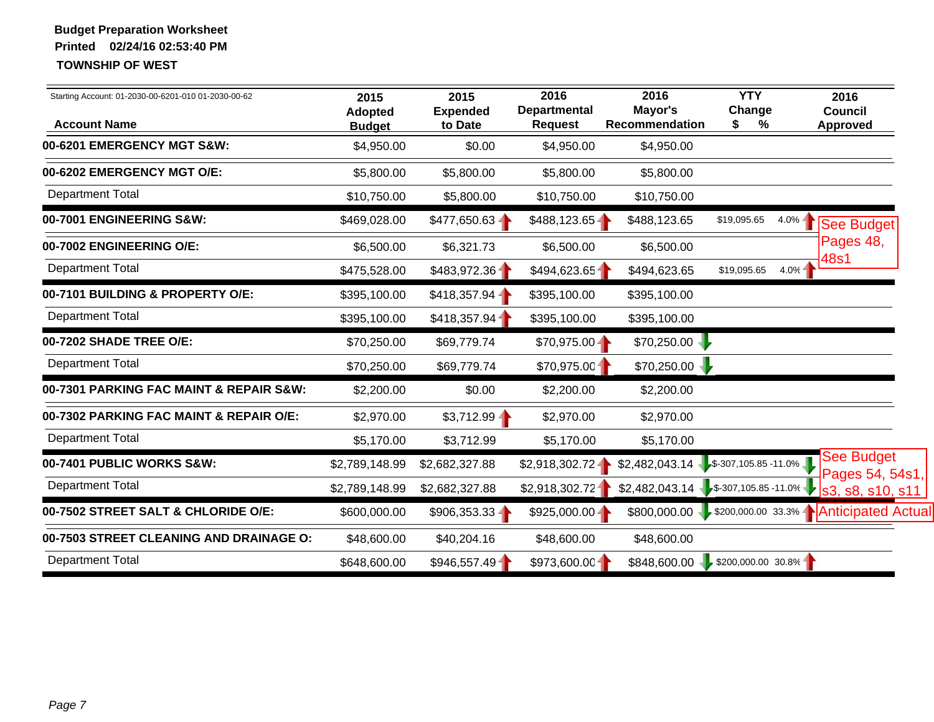| Starting Account: 01-2030-00-6201-010 01-2030-00-62<br><b>Account Name</b> | 2015<br><b>Adopted</b><br><b>Budget</b> | 2015<br><b>Expended</b><br>to Date | 2016<br><b>Departmental</b><br><b>Request</b> | 2016<br>Mayor's<br>Recommendation | <b>YTY</b><br>Change<br>S.<br>%       | 2016<br><b>Council</b><br>Approved                     |
|----------------------------------------------------------------------------|-----------------------------------------|------------------------------------|-----------------------------------------------|-----------------------------------|---------------------------------------|--------------------------------------------------------|
| 00-6201 EMERGENCY MGT S&W:                                                 | \$4,950.00                              | \$0.00                             | \$4,950.00                                    | \$4,950.00                        |                                       |                                                        |
| 00-6202 EMERGENCY MGT O/E:                                                 | \$5,800.00                              | \$5,800.00                         | \$5,800.00                                    | \$5,800.00                        |                                       |                                                        |
| <b>Department Total</b>                                                    | \$10,750.00                             | \$5,800.00                         | \$10,750.00                                   | \$10,750.00                       |                                       |                                                        |
| 00-7001 ENGINEERING S&W:                                                   | \$469,028.00                            | $$477,650.63 -$                    | \$488,123.65                                  | \$488,123.65                      | \$19,095.65<br>$4.0% -$               | See Budget                                             |
| 00-7002 ENGINEERING O/E:                                                   | \$6,500.00                              | \$6,321.73                         | \$6,500.00                                    | \$6,500.00                        |                                       | Pages 48,                                              |
| <b>Department Total</b>                                                    | \$475,528.00                            | \$483,972.36                       | \$494,623.65                                  | \$494,623.65                      | 4.0%<br>\$19,095.65                   | 48s1                                                   |
| 00-7101 BUILDING & PROPERTY O/E:                                           | \$395,100.00                            | \$418,357.94                       | \$395,100.00                                  | \$395,100.00                      |                                       |                                                        |
| <b>Department Total</b>                                                    | \$395,100.00                            | \$418,357.94                       | \$395,100.00                                  | \$395,100.00                      |                                       |                                                        |
| 00-7202 SHADE TREE O/E:                                                    | \$70,250.00                             | \$69,779.74                        | $$70,975.00 -$                                | \$70,250.00                       |                                       |                                                        |
| <b>Department Total</b>                                                    | \$70,250.00                             | \$69,779.74                        | \$70,975.00                                   | \$70,250.00                       |                                       |                                                        |
| 00-7301 PARKING FAC MAINT & REPAIR S&W:                                    | \$2,200.00                              | \$0.00                             | \$2,200.00                                    | \$2,200.00                        |                                       |                                                        |
| 00-7302 PARKING FAC MAINT & REPAIR O/E:                                    | \$2,970.00                              | \$3,712.99                         | \$2,970.00                                    | \$2,970.00                        |                                       |                                                        |
| <b>Department Total</b>                                                    | \$5,170.00                              | \$3,712.99                         | \$5,170.00                                    | \$5,170.00                        |                                       |                                                        |
| 00-7401 PUBLIC WORKS S&W:                                                  | \$2,789,148.99                          | \$2,682,327.88                     | \$2,918,302.72                                |                                   | $$2,482,043.14$ $$-307,105.85-11.0\%$ | See Budget<br>Pages 54, 54s1,                          |
| <b>Department Total</b>                                                    | \$2,789,148.99                          | \$2,682,327.88                     | \$2,918,302.72                                |                                   | $$2,482,043.14$ $$-307,105.85-11.0\%$ | s3, s8, s10, s11                                       |
| 00-7502 STREET SALT & CHLORIDE O/E:                                        | \$600,000.00                            | $$906,353.33 -$                    | $$925,000.00 -$                               |                                   |                                       | \$800,000.00 > \$200,000.00 33.3% A Anticipated Actual |
| 00-7503 STREET CLEANING AND DRAINAGE O:                                    | \$48,600.00                             | \$40,204.16                        | \$48,600.00                                   | \$48,600.00                       |                                       |                                                        |
| <b>Department Total</b>                                                    | \$648,600.00                            | \$946,557.49                       | \$973,600.00                                  |                                   | \$848,600.00 \$200,000.00 30.8%       |                                                        |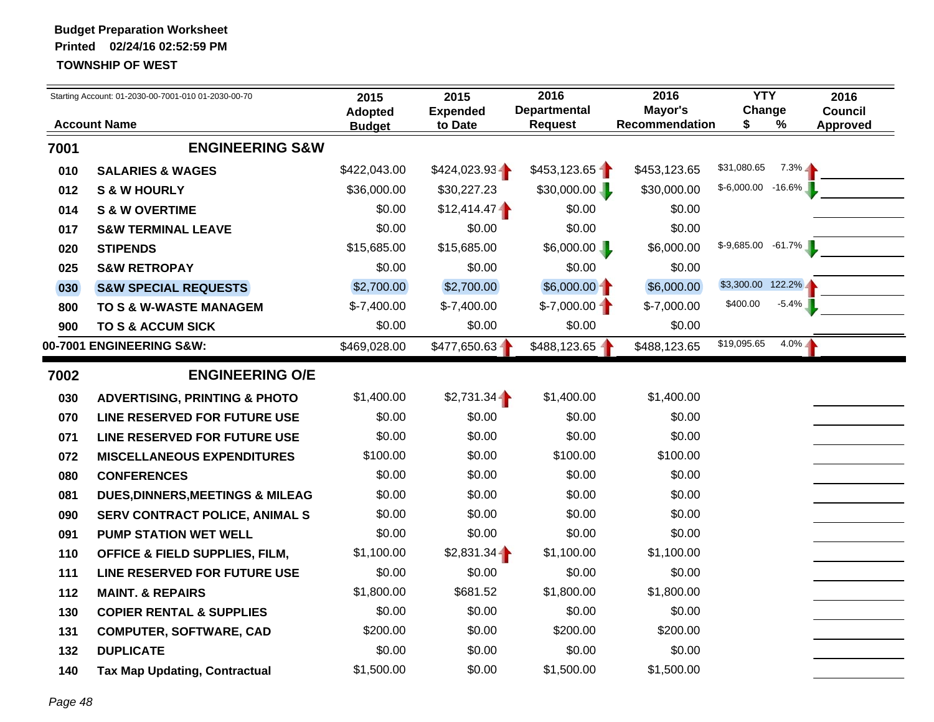|      | Starting Account: 01-2030-00-7001-010 01-2030-00-70 | 2015                            | 2015                       | 2016                                  | 2016                             | <b>YTY</b>             |          | 2016                              |
|------|-----------------------------------------------------|---------------------------------|----------------------------|---------------------------------------|----------------------------------|------------------------|----------|-----------------------------------|
|      | <b>Account Name</b>                                 | <b>Adopted</b><br><b>Budget</b> | <b>Expended</b><br>to Date | <b>Departmental</b><br><b>Request</b> | Mayor's<br><b>Recommendation</b> | Change<br>\$           | %        | <b>Council</b><br><b>Approved</b> |
| 7001 | <b>ENGINEERING S&amp;W</b>                          |                                 |                            |                                       |                                  |                        |          |                                   |
| 010  | <b>SALARIES &amp; WAGES</b>                         | \$422,043.00                    | \$424,023.93               | \$453,123.65                          | \$453,123.65                     | \$31,080.65            | $7.3\%$  |                                   |
| 012  | <b>S &amp; W HOURLY</b>                             | \$36,000.00                     | \$30,227.23                | \$30,000.00                           | \$30,000.00                      | $$-6,000.00$ -16.6%    |          |                                   |
| 014  | <b>S &amp; W OVERTIME</b>                           | \$0.00                          | \$12,414.47                | \$0.00                                | \$0.00                           |                        |          |                                   |
| 017  | <b>S&amp;W TERMINAL LEAVE</b>                       | \$0.00                          | \$0.00                     | \$0.00                                | \$0.00                           |                        |          |                                   |
| 020  | <b>STIPENDS</b>                                     | \$15,685.00                     | \$15,685.00                | \$6,000.00                            | \$6,000.00                       | $$-9,685.00$ $-61.7\%$ |          |                                   |
| 025  | <b>S&amp;W RETROPAY</b>                             | \$0.00                          | \$0.00                     | \$0.00                                | \$0.00                           |                        |          |                                   |
| 030  | <b>S&amp;W SPECIAL REQUESTS</b>                     | \$2,700.00                      | \$2,700.00                 | \$6,000.00                            | \$6,000.00                       | \$3,300.00 122.2%      |          |                                   |
| 800  | TO S & W-WASTE MANAGEM                              | $$-7,400.00$                    | $$-7,400.00$               | $$-7,000.00$                          | $$-7,000.00$                     | \$400.00               | $-5.4\%$ |                                   |
| 900  | TO S & ACCUM SICK                                   | \$0.00                          | \$0.00                     | \$0.00                                | \$0.00                           |                        |          |                                   |
|      | 00-7001 ENGINEERING S&W:                            | \$469,028.00                    | $$477,650.63 -$            | \$488,123.65 -                        | \$488,123.65                     | \$19,095.65            | $4.0\%$  |                                   |
| 7002 | <b>ENGINEERING O/E</b>                              |                                 |                            |                                       |                                  |                        |          |                                   |
| 030  | <b>ADVERTISING, PRINTING &amp; PHOTO</b>            | \$1,400.00                      | $$2,731.34 -$              | \$1,400.00                            | \$1,400.00                       |                        |          |                                   |
| 070  | LINE RESERVED FOR FUTURE USE                        | \$0.00                          | \$0.00                     | \$0.00                                | \$0.00                           |                        |          |                                   |
| 071  | LINE RESERVED FOR FUTURE USE                        | \$0.00                          | \$0.00                     | \$0.00                                | \$0.00                           |                        |          |                                   |
| 072  | <b>MISCELLANEOUS EXPENDITURES</b>                   | \$100.00                        | \$0.00                     | \$100.00                              | \$100.00                         |                        |          |                                   |
| 080  | <b>CONFERENCES</b>                                  | \$0.00                          | \$0.00                     | \$0.00                                | \$0.00                           |                        |          |                                   |
| 081  | <b>DUES, DINNERS, MEETINGS &amp; MILEAG</b>         | \$0.00                          | \$0.00                     | \$0.00                                | \$0.00                           |                        |          |                                   |
| 090  | <b>SERV CONTRACT POLICE, ANIMAL S</b>               | \$0.00                          | \$0.00                     | \$0.00                                | \$0.00                           |                        |          |                                   |
| 091  | <b>PUMP STATION WET WELL</b>                        | \$0.00                          | \$0.00                     | \$0.00                                | \$0.00                           |                        |          |                                   |
| 110  | <b>OFFICE &amp; FIELD SUPPLIES, FILM,</b>           | \$1,100.00                      | $$2,831.34 -$              | \$1,100.00                            | \$1,100.00                       |                        |          |                                   |
| 111  | LINE RESERVED FOR FUTURE USE                        | \$0.00                          | \$0.00                     | \$0.00                                | \$0.00                           |                        |          |                                   |
| 112  | <b>MAINT. &amp; REPAIRS</b>                         | \$1,800.00                      | \$681.52                   | \$1,800.00                            | \$1,800.00                       |                        |          |                                   |
| 130  | <b>COPIER RENTAL &amp; SUPPLIES</b>                 | \$0.00                          | \$0.00                     | \$0.00                                | \$0.00                           |                        |          |                                   |
| 131  | <b>COMPUTER, SOFTWARE, CAD</b>                      | \$200.00                        | \$0.00                     | \$200.00                              | \$200.00                         |                        |          |                                   |
| 132  | <b>DUPLICATE</b>                                    | \$0.00                          | \$0.00                     | \$0.00                                | \$0.00                           |                        |          |                                   |
| 140  | <b>Tax Map Updating, Contractual</b>                | \$1,500.00                      | \$0.00                     | \$1,500.00                            | \$1,500.00                       |                        |          |                                   |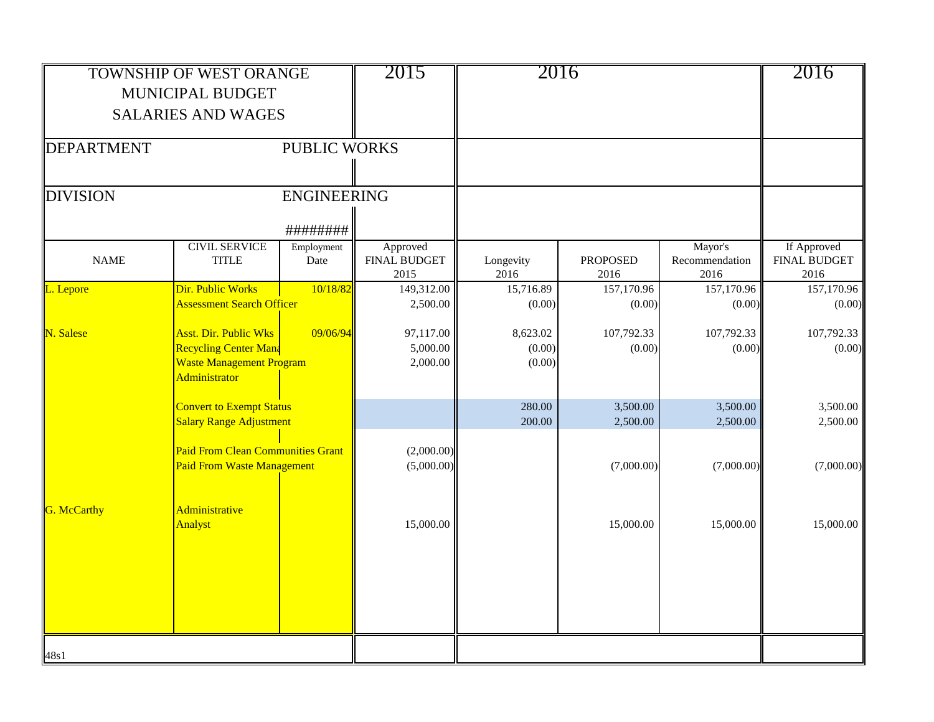|                    | <b>TOWNSHIP OF WEST ORANGE</b>                                                |                     | 2015                                    | 2016              |                         |                                   | 2016                                       |
|--------------------|-------------------------------------------------------------------------------|---------------------|-----------------------------------------|-------------------|-------------------------|-----------------------------------|--------------------------------------------|
|                    | MUNICIPAL BUDGET                                                              |                     |                                         |                   |                         |                                   |                                            |
|                    | <b>SALARIES AND WAGES</b>                                                     |                     |                                         |                   |                         |                                   |                                            |
|                    |                                                                               |                     |                                         |                   |                         |                                   |                                            |
| <b>DEPARTMENT</b>  |                                                                               | <b>PUBLIC WORKS</b> |                                         |                   |                         |                                   |                                            |
| <b>DIVISION</b>    |                                                                               | <b>ENGINEERING</b>  |                                         |                   |                         |                                   |                                            |
|                    |                                                                               |                     |                                         |                   |                         |                                   |                                            |
|                    |                                                                               | #########           |                                         |                   |                         |                                   |                                            |
| <b>NAME</b>        | <b>CIVIL SERVICE</b><br><b>TITLE</b>                                          | Employment<br>Date  | Approved<br><b>FINAL BUDGET</b><br>2015 | Longevity<br>2016 | <b>PROPOSED</b><br>2016 | Mayor's<br>Recommendation<br>2016 | If Approved<br><b>FINAL BUDGET</b><br>2016 |
| L. Lepore          | Dir. Public Works                                                             | 10/18/82            | 149,312.00                              | 15,716.89         | 157,170.96              | 157,170.96                        | 157,170.96                                 |
|                    | <b>Assessment Search Officer</b>                                              |                     | 2,500.00                                | (0.00)            | (0.00)                  | (0.00)                            | (0.00)                                     |
| N. Salese          | <b>Asst. Dir. Public Wks</b>                                                  | 09/06/94            | 97,117.00                               | 8,623.02          | 107,792.33              | 107,792.33                        | 107,792.33                                 |
|                    | <b>Recycling Center Mana</b>                                                  |                     | 5,000.00                                | (0.00)            | (0.00)                  | (0.00)                            | (0.00)                                     |
|                    | <b>Waste Management Program</b><br>Administrator                              |                     | 2,000.00                                | (0.00)            |                         |                                   |                                            |
|                    | <b>Convert to Exempt Status</b>                                               |                     |                                         | 280.00            | 3,500.00                | 3,500.00                          | 3,500.00                                   |
|                    | <b>Salary Range Adjustment</b>                                                |                     |                                         | 200.00            | 2,500.00                | 2,500.00                          | 2,500.00                                   |
|                    | <b>Paid From Clean Communities Grant</b><br><b>Paid From Waste Management</b> |                     | (2,000.00)<br>(5,000.00)                |                   | (7,000.00)              | (7,000.00)                        | (7,000.00)                                 |
|                    |                                                                               |                     |                                         |                   |                         |                                   |                                            |
| <b>G.</b> McCarthy | Administrative<br>Analyst                                                     |                     | 15,000.00                               |                   | 15,000.00               | 15,000.00                         | 15,000.00                                  |
|                    |                                                                               |                     |                                         |                   |                         |                                   |                                            |
|                    |                                                                               |                     |                                         |                   |                         |                                   |                                            |
|                    |                                                                               |                     |                                         |                   |                         |                                   |                                            |
|                    |                                                                               |                     |                                         |                   |                         |                                   |                                            |
| 48s1               |                                                                               |                     |                                         |                   |                         |                                   |                                            |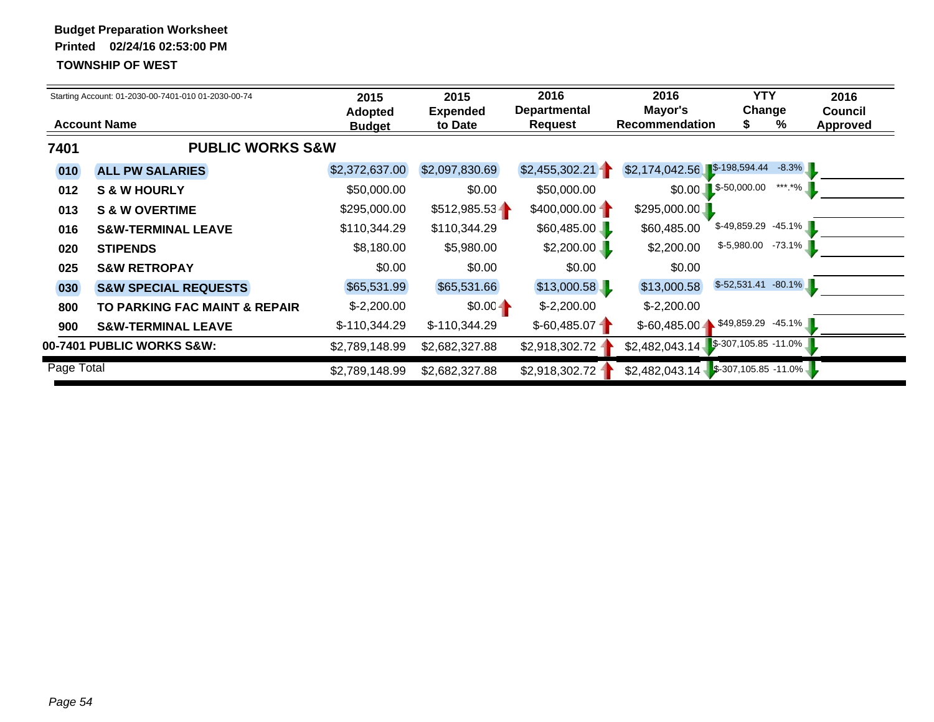|            | Starting Account: 01-2030-00-7401-010 01-2030-00-74 | 2015<br><b>Adopted</b> | 2015<br><b>Expended</b> | 2016<br><b>Departmental</b> | 2016<br>Mayor's                          | <b>YTY</b><br>Change             | 2016<br><b>Council</b> |
|------------|-----------------------------------------------------|------------------------|-------------------------|-----------------------------|------------------------------------------|----------------------------------|------------------------|
|            | <b>Account Name</b>                                 | <b>Budget</b>          | to Date                 | <b>Request</b>              | <b>Recommendation</b>                    | ℅                                | <b>Approved</b>        |
| 7401       | <b>PUBLIC WORKS S&amp;W</b>                         |                        |                         |                             |                                          |                                  |                        |
| 010        | <b>ALL PW SALARIES</b>                              | \$2,372,637.00         | \$2,097,830.69          | \$2,455,302.21              | $$2,174,042.56$ $$-198,594.44$           | $-8.3\%$                         |                        |
| 012        | <b>S &amp; W HOURLY</b>                             | \$50,000.00            | \$0.00                  | \$50,000.00                 |                                          | $$0.00$ $$-50,000.00$<br>***.*%  |                        |
| 013        | <b>S &amp; W OVERTIME</b>                           | \$295,000.00           | \$512,985.53            | \$400,000.00                | \$295,000.00                             |                                  |                        |
| 016        | <b>S&amp;W-TERMINAL LEAVE</b>                       | \$110,344.29           | \$110,344.29            | \$60,485.00                 | \$60,485.00                              | $$-49,859.29$ $-45.1\%$          |                        |
| 020        | <b>STIPENDS</b>                                     | \$8,180.00             | \$5,980.00              | \$2,200.00                  | \$2,200.00                               | $$-5,980.00$<br>$-73.1\%$        |                        |
| 025        | <b>S&amp;W RETROPAY</b>                             | \$0.00                 | \$0.00                  | \$0.00                      | \$0.00                                   |                                  |                        |
| 030        | <b>S&amp;W SPECIAL REQUESTS</b>                     | \$65,531.99            | \$65,531.66             | \$13,000.58                 | \$13,000.58                              | $$-52,531.41$ $-80.1\%$          |                        |
| 800        | TO PARKING FAC MAINT & REPAIR                       | $$-2,200.00$           | $$0.00 -$               | $$-2,200.00$                | $$-2,200.00$                             |                                  |                        |
| 900        | <b>S&amp;W-TERMINAL LEAVE</b>                       | $$-110,344.29$         | $$-110,344.29$          | $$-60,485.07$               |                                          | $$-60,485.00$ \$49,859.29 -45.1% |                        |
|            | 00-7401 PUBLIC WORKS S&W:                           | \$2,789,148.99         | \$2,682,327.88          | \$2,918,302.72              | $$2,482,043.14$ $$-307,105.85$ $-11.0\%$ |                                  |                        |
| Page Total |                                                     | \$2,789,148.99         | \$2,682,327.88          | \$2,918,302.72 -            | $$2,482,043.14$ $$-307,105.85 -11.0\%$   |                                  |                        |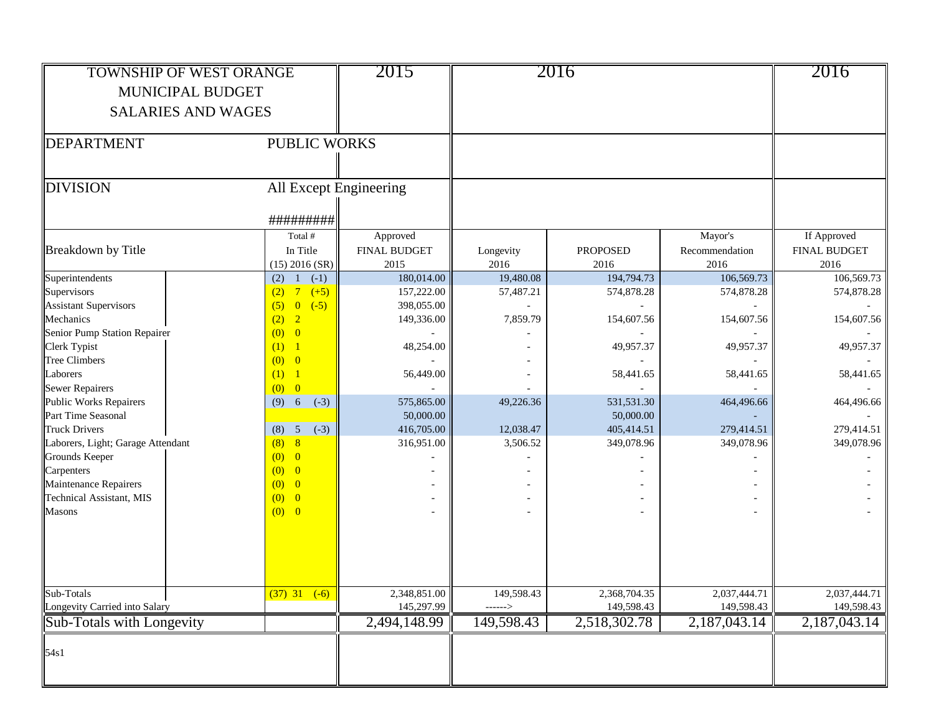| <b>TOWNSHIP OF WEST ORANGE</b><br>MUNICIPAL BUDGET<br><b>SALARIES AND WAGES</b> |                                     | 2015                        |                       | 2016                       |                            | 2016                        |
|---------------------------------------------------------------------------------|-------------------------------------|-----------------------------|-----------------------|----------------------------|----------------------------|-----------------------------|
| DEPARTMENT                                                                      | <b>PUBLIC WORKS</b>                 |                             |                       |                            |                            |                             |
| DIVISION                                                                        | All Except Engineering<br>######### |                             |                       |                            |                            |                             |
|                                                                                 | Total #                             | Approved                    |                       |                            | Mayor's                    | If Approved                 |
| Breakdown by Title                                                              | In Title<br>$(15)$ 2016 (SR)        | <b>FINAL BUDGET</b><br>2015 | Longevity<br>2016     | <b>PROPOSED</b><br>2016    | Recommendation<br>2016     | <b>FINAL BUDGET</b><br>2016 |
| Superintendents                                                                 | $(2)$ 1 $(-1)$                      | 180,014.00                  | 19,480.08             | 194,794.73                 | 106,569.73                 | 106,569.73                  |
| Supervisors                                                                     | $(2)$ 7 $(+5)$                      | 157,222.00                  | 57,487.21             | 574,878.28                 | 574,878.28                 | 574,878.28                  |
| <b>Assistant Supervisors</b>                                                    | $(5) 0 (-5)$                        | 398,055.00                  |                       |                            |                            |                             |
| Mechanics                                                                       | (2) 2                               | 149,336.00                  | 7,859.79              | 154,607.56                 | 154,607.56                 | 154,607.56                  |
| Senior Pump Station Repairer                                                    | (0) 0                               |                             |                       |                            |                            |                             |
| Clerk Typist                                                                    | (1) 1                               | 48,254.00                   |                       | 49,957.37                  | 49,957.37                  | 49,957.37                   |
| <b>Tree Climbers</b>                                                            | (0) 0                               |                             |                       |                            |                            |                             |
| Laborers                                                                        | (1) 1                               | 56,449.00                   |                       | 58,441.65                  | 58,441.65                  | 58,441.65                   |
| <b>Sewer Repairers</b>                                                          | (0) 0                               |                             |                       |                            |                            |                             |
| <b>Public Works Repairers</b>                                                   | $(9) 6 ( -3)$                       | 575,865.00                  | 49,226.36             | 531,531.30                 | 464,496.66                 | 464,496.66                  |
| Part Time Seasonal                                                              |                                     | 50,000.00                   |                       | 50,000.00                  |                            |                             |
| <b>Truck Drivers</b>                                                            | (8) 5<br>$(-3)$<br>(8) 8            | 416,705.00                  | 12,038.47             | 405,414.51                 | 279,414.51                 | 279,414.51                  |
| Laborers, Light; Garage Attendant<br>Grounds Keeper                             | (0) 0                               | 316,951.00                  | 3,506.52              | 349,078.96                 | 349,078.96                 | 349,078.96                  |
| Carpenters                                                                      | (0) 0                               |                             |                       |                            |                            |                             |
| Maintenance Repairers                                                           | $(0)$ 0                             |                             |                       |                            |                            |                             |
| Technical Assistant, MIS                                                        | (0) 0                               |                             |                       |                            |                            |                             |
| <b>Masons</b>                                                                   | (0) 0                               |                             |                       |                            |                            |                             |
| Sub-Totals<br>Longevity Carried into Salary                                     | $(37)$ 31 $(-6)$                    | 2,348,851.00<br>145,297.99  | 149,598.43<br>------> | 2,368,704.35<br>149,598.43 | 2,037,444.71<br>149,598.43 | 2,037,444.71<br>149,598.43  |
| Sub-Totals with Longevity                                                       |                                     | 2,494,148.99                | 149,598.43            | 2,518,302.78               | 2,187,043.14               | 2,187,043.14                |
| 54s1                                                                            |                                     |                             |                       |                            |                            |                             |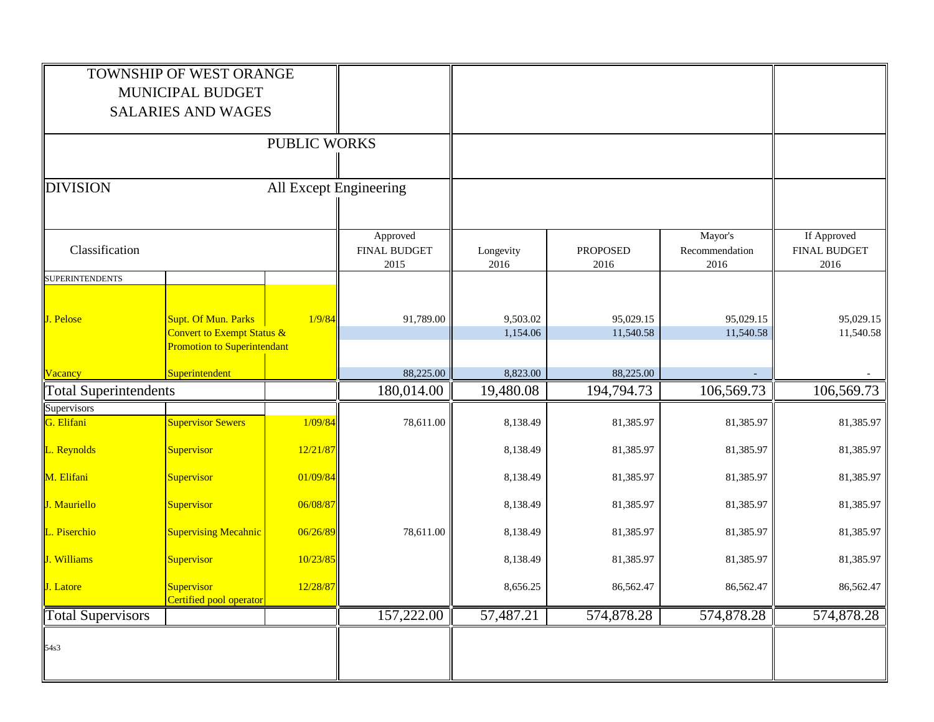|                              | TOWNSHIP OF WEST ORANGE<br>MUNICIPAL BUDGET<br><b>SALARIES AND WAGES</b>                |                        |                                         |                      |                         |                                   |                                            |
|------------------------------|-----------------------------------------------------------------------------------------|------------------------|-----------------------------------------|----------------------|-------------------------|-----------------------------------|--------------------------------------------|
|                              |                                                                                         | <b>PUBLIC WORKS</b>    |                                         |                      |                         |                                   |                                            |
| <b>DIVISION</b>              |                                                                                         | All Except Engineering |                                         |                      |                         |                                   |                                            |
| Classification               |                                                                                         |                        | Approved<br><b>FINAL BUDGET</b><br>2015 | Longevity<br>2016    | <b>PROPOSED</b><br>2016 | Mayor's<br>Recommendation<br>2016 | If Approved<br><b>FINAL BUDGET</b><br>2016 |
| <b>SUPERINTENDENTS</b>       |                                                                                         |                        |                                         |                      |                         |                                   |                                            |
| J. Pelose                    | Supt. Of Mun. Parks<br>Convert to Exempt Status &<br><b>Promotion to Superintendant</b> | 1/9/84                 | 91,789.00                               | 9,503.02<br>1,154.06 | 95,029.15<br>11,540.58  | 95,029.15<br>11,540.58            | 95,029.15<br>11,540.58                     |
| Vacancy                      | Superintendent                                                                          |                        | 88,225.00                               | 8,823.00             | 88,225.00               |                                   |                                            |
| <b>Total Superintendents</b> |                                                                                         |                        | 180,014.00                              | 19,480.08            | 194,794.73              | 106,569.73                        | 106,569.73                                 |
| Supervisors                  |                                                                                         |                        |                                         |                      |                         |                                   |                                            |
| G. Elifani                   | <b>Supervisor Sewers</b>                                                                | 1/09/84                | 78,611.00                               | 8,138.49             | 81,385.97               | 81,385.97                         | 81,385.97                                  |
| L. Reynolds                  | Supervisor                                                                              | 12/21/87               |                                         | 8,138.49             | 81,385.97               | 81,385.97                         | 81,385.97                                  |
| M. Elifani                   | Supervisor                                                                              | 01/09/84               |                                         | 8,138.49             | 81,385.97               | 81,385.97                         | 81,385.97                                  |
| J. Mauriello                 | Supervisor                                                                              | 06/08/87               |                                         | 8,138.49             | 81,385.97               | 81,385.97                         | 81,385.97                                  |
| L. Piserchio                 | <b>Supervising Mecahnic</b>                                                             | 06/26/89               | 78,611.00                               | 8,138.49             | 81,385.97               | 81,385.97                         | 81,385.97                                  |
| J. Williams                  | Supervisor                                                                              | 10/23/85               |                                         | 8,138.49             | 81,385.97               | 81,385.97                         | 81,385.97                                  |
| J. Latore                    | <b>Supervisor</b><br>Certified pool operator                                            | 12/28/87               |                                         | 8,656.25             | 86,562.47               | 86,562.47                         | 86,562.47                                  |
| <b>Total Supervisors</b>     |                                                                                         |                        | 157,222.00                              | 57,487.21            | 574,878.28              | 574,878.28                        | 574,878.28                                 |
| 54s3                         |                                                                                         |                        |                                         |                      |                         |                                   |                                            |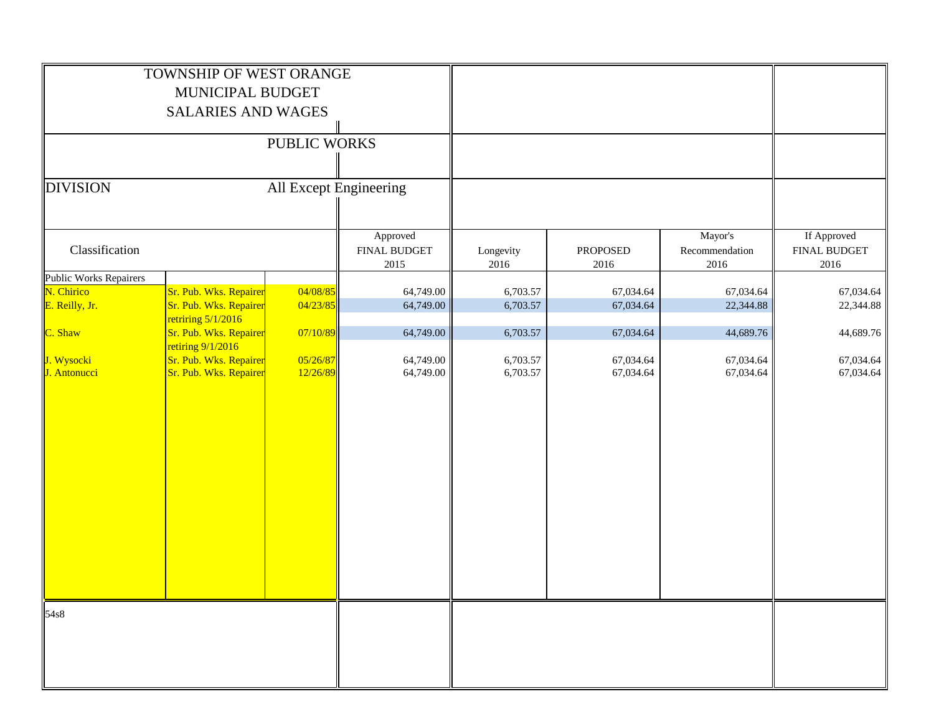|                               | TOWNSHIP OF WEST ORANGE<br>MUNICIPAL BUDGET<br><b>SALARIES AND WAGES</b> |                        |                                  |                      |                         |                                   |                                     |
|-------------------------------|--------------------------------------------------------------------------|------------------------|----------------------------------|----------------------|-------------------------|-----------------------------------|-------------------------------------|
|                               |                                                                          | PUBLIC WORKS           |                                  |                      |                         |                                   |                                     |
| <b>DIVISION</b>               |                                                                          | All Except Engineering |                                  |                      |                         |                                   |                                     |
| Classification                |                                                                          |                        | Approved<br>FINAL BUDGET<br>2015 | Longevity<br>2016    | <b>PROPOSED</b><br>2016 | Mayor's<br>Recommendation<br>2016 | If Approved<br>FINAL BUDGET<br>2016 |
| <b>Public Works Repairers</b> |                                                                          |                        |                                  |                      |                         |                                   |                                     |
| N. Chirico<br>E. Reilly, Jr.  | Sr. Pub. Wks. Repairer<br>Sr. Pub. Wks. Repairer                         | 04/08/85<br>04/23/85   | 64,749.00<br>64,749.00           | 6,703.57<br>6,703.57 | 67,034.64<br>67,034.64  | 67,034.64<br>22,344.88            | 67,034.64<br>22,344.88              |
|                               | retriring $5/1/2016$                                                     |                        |                                  |                      |                         |                                   |                                     |
| C. Shaw                       | Sr. Pub. Wks. Repairer                                                   | 07/10/89               | 64,749.00                        | 6,703.57             | 67,034.64               | 44,689.76                         | 44,689.76                           |
|                               | retiring $9/1/2016$                                                      |                        |                                  |                      |                         |                                   |                                     |
| J. Wysocki<br>J. Antonucci    | Sr. Pub. Wks. Repairer<br>Sr. Pub. Wks. Repairer                         | 05/26/87<br>12/26/89   | 64,749.00<br>64,749.00           | 6,703.57<br>6,703.57 | 67,034.64<br>67,034.64  | 67,034.64<br>67,034.64            | 67,034.64<br>67,034.64              |
| 54s8                          |                                                                          |                        |                                  |                      |                         |                                   |                                     |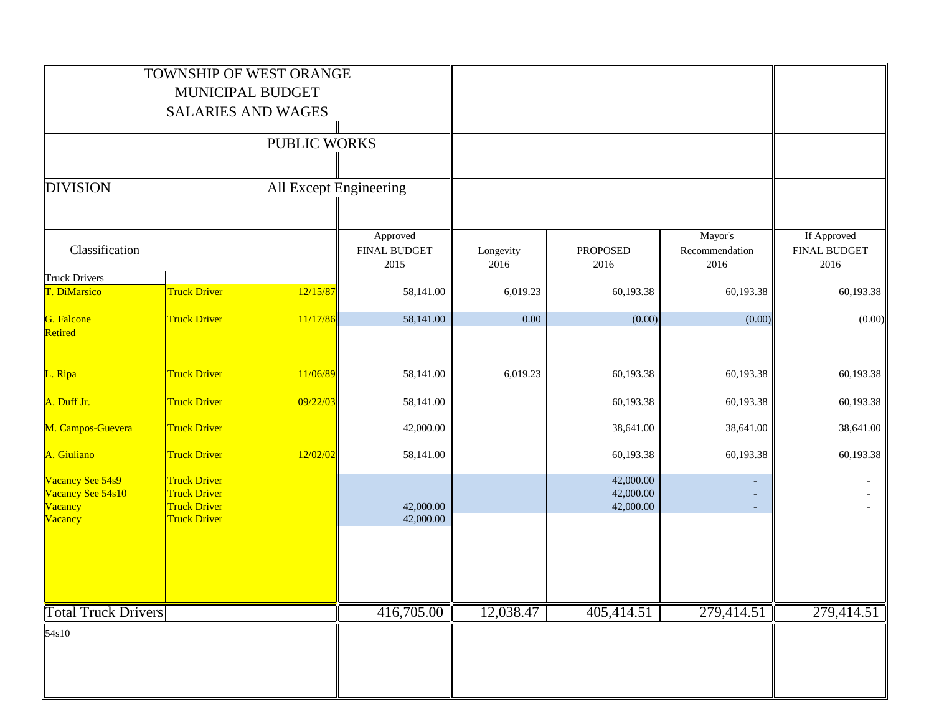|                                                             | TOWNSHIP OF WEST ORANGE<br>MUNICIPAL BUDGET<br><b>SALARIES AND WAGES</b>                 |                        |                                         |                   |                                     |                                   |                                            |
|-------------------------------------------------------------|------------------------------------------------------------------------------------------|------------------------|-----------------------------------------|-------------------|-------------------------------------|-----------------------------------|--------------------------------------------|
|                                                             |                                                                                          | PUBLIC WORKS           |                                         |                   |                                     |                                   |                                            |
| <b>DIVISION</b>                                             |                                                                                          | All Except Engineering |                                         |                   |                                     |                                   |                                            |
| Classification                                              |                                                                                          |                        | Approved<br><b>FINAL BUDGET</b><br>2015 | Longevity<br>2016 | PROPOSED<br>2016                    | Mayor's<br>Recommendation<br>2016 | If Approved<br><b>FINAL BUDGET</b><br>2016 |
| <b>Truck Drivers</b><br>T. DiMarsico                        | <b>Truck Driver</b>                                                                      | 12/15/87               | 58,141.00                               | 6,019.23          | 60,193.38                           | 60,193.38                         | 60,193.38                                  |
|                                                             |                                                                                          |                        |                                         |                   |                                     |                                   |                                            |
| G. Falcone<br>Retired                                       | <b>Truck Driver</b>                                                                      | 11/17/86               | 58,141.00                               | 0.00              | (0.00)                              | (0.00)                            | (0.00)                                     |
| L. Ripa                                                     | <b>Truck Driver</b>                                                                      | 11/06/89               | 58,141.00                               | 6,019.23          | 60,193.38                           | 60,193.38                         | 60,193.38                                  |
| A. Duff Jr.                                                 | <b>Truck Driver</b>                                                                      | 09/22/03               | 58,141.00                               |                   | 60,193.38                           | 60,193.38                         | 60,193.38                                  |
| M. Campos-Guevera                                           | <b>Truck Driver</b>                                                                      |                        | 42,000.00                               |                   | 38,641.00                           | 38,641.00                         | 38,641.00                                  |
| A. Giuliano                                                 | <b>Truck Driver</b>                                                                      | 12/02/02               | 58,141.00                               |                   | 60,193.38                           | 60,193.38                         | 60,193.38                                  |
| Vacancy See 54s9<br>Vacancy See 54s10<br>Vacancy<br>Vacancy | <b>Truck Driver</b><br><b>Truck Driver</b><br><b>Truck Driver</b><br><b>Truck Driver</b> |                        | 42,000.00<br>42,000.00                  |                   | 42,000.00<br>42,000.00<br>42,000.00 |                                   |                                            |
| <b>Total Truck Drivers</b>                                  |                                                                                          |                        | 416,705.00                              | 12,038.47         | 405,414.51                          | 279,414.51                        | 279,414.51                                 |
| 54s10                                                       |                                                                                          |                        |                                         |                   |                                     |                                   |                                            |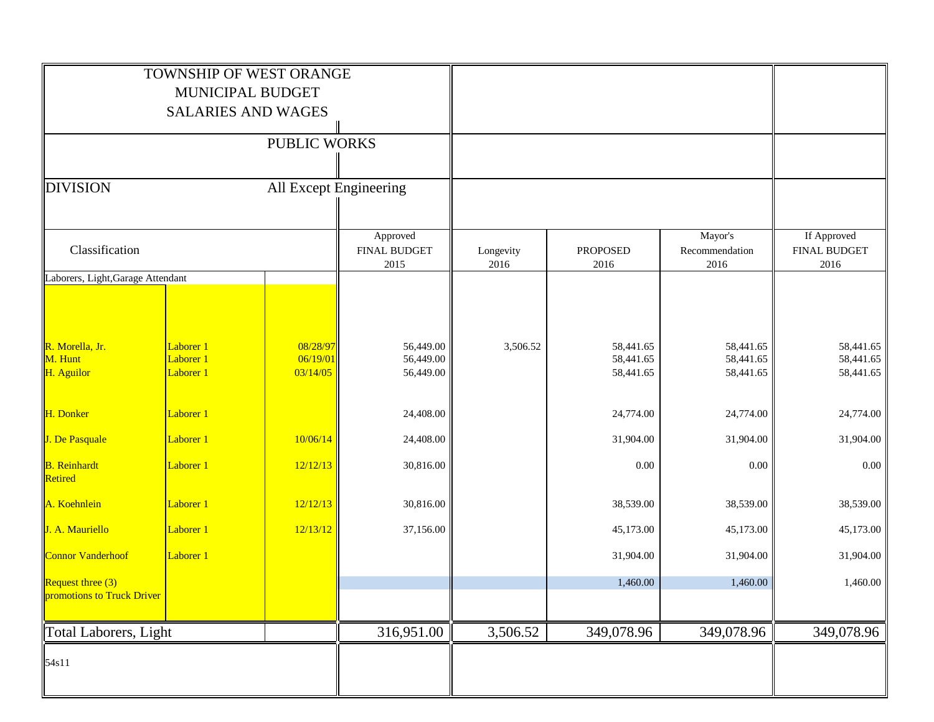|                                                 | TOWNSHIP OF WEST ORANGE<br>MUNICIPAL BUDGET |                                  |                                         |                   |                                     |                                     |                                            |
|-------------------------------------------------|---------------------------------------------|----------------------------------|-----------------------------------------|-------------------|-------------------------------------|-------------------------------------|--------------------------------------------|
|                                                 | <b>SALARIES AND WAGES</b>                   |                                  |                                         |                   |                                     |                                     |                                            |
|                                                 |                                             | PUBLIC WORKS                     |                                         |                   |                                     |                                     |                                            |
| <b>DIVISION</b>                                 |                                             | All Except Engineering           |                                         |                   |                                     |                                     |                                            |
| Classification                                  |                                             |                                  | Approved<br><b>FINAL BUDGET</b><br>2015 | Longevity<br>2016 | <b>PROPOSED</b><br>2016             | Mayor's<br>Recommendation<br>2016   | If Approved<br><b>FINAL BUDGET</b><br>2016 |
| Laborers, Light, Garage Attendant               |                                             |                                  |                                         |                   |                                     |                                     |                                            |
| R. Morella, Jr.<br>M. Hunt<br>H. Aguilor        | Laborer 1<br>Laborer 1<br>Laborer 1         | 08/28/97<br>06/19/01<br>03/14/05 | 56,449.00<br>56,449.00<br>56,449.00     | 3,506.52          | 58,441.65<br>58,441.65<br>58,441.65 | 58,441.65<br>58,441.65<br>58,441.65 | 58,441.65<br>58,441.65<br>58,441.65        |
| H. Donker                                       | Laborer 1                                   |                                  | 24,408.00                               |                   | 24,774.00                           | 24,774.00                           | 24,774.00                                  |
| J. De Pasquale                                  | Laborer 1                                   | 10/06/14                         | 24,408.00                               |                   | 31,904.00                           | 31,904.00                           | 31,904.00                                  |
| <b>B.</b> Reinhardt<br>Retired                  | Laborer 1                                   | 12/12/13                         | 30,816.00                               |                   | 0.00                                | 0.00                                | $0.00\,$                                   |
| A. Koehnlein                                    | Laborer 1                                   | 12/12/13                         | 30,816.00                               |                   | 38,539.00                           | 38,539.00                           | 38,539.00                                  |
| J. A. Mauriello                                 | Laborer 1                                   | 12/13/12                         | 37,156.00                               |                   | 45,173.00                           | 45,173.00                           | 45,173.00                                  |
| <b>Connor Vanderhoof</b>                        | Laborer 1                                   |                                  |                                         |                   | 31,904.00                           | 31,904.00                           | 31,904.00                                  |
| Request three (3)<br>promotions to Truck Driver |                                             |                                  |                                         |                   | 1,460.00                            | 1,460.00                            | 1,460.00                                   |
| <b>Total Laborers, Light</b>                    |                                             |                                  | 316,951.00                              | 3,506.52          | 349,078.96                          | 349,078.96                          | 349,078.96                                 |
| 54s11                                           |                                             |                                  |                                         |                   |                                     |                                     |                                            |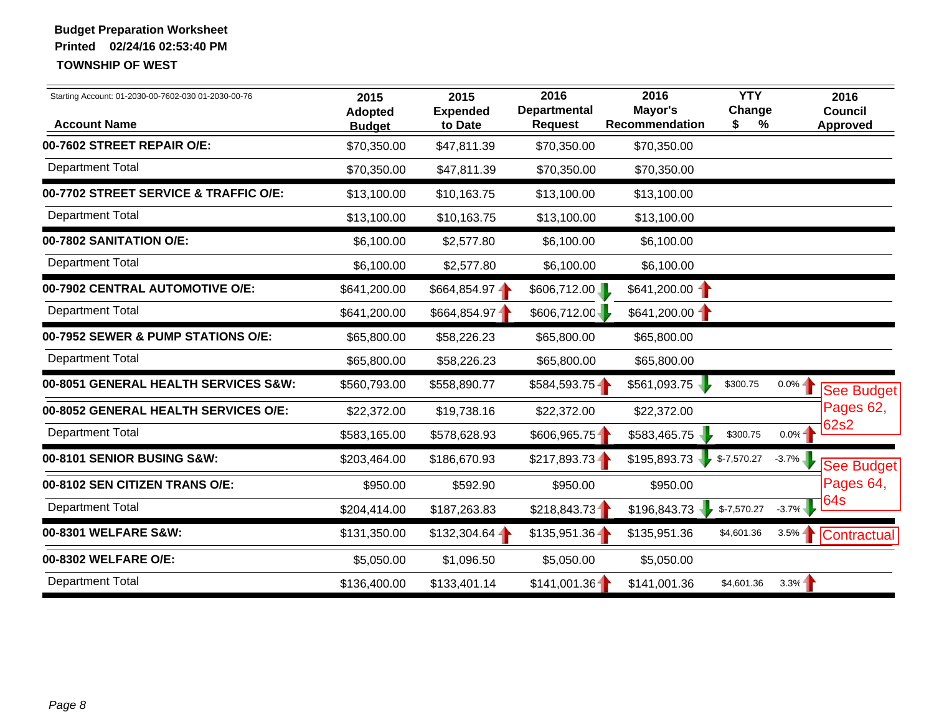| Starting Account: 01-2030-00-7602-030 01-2030-00-76<br><b>Account Name</b> | 2016<br>2016<br>2015<br>2015<br><b>Departmental</b><br>Mayor's<br><b>Expended</b><br><b>Adopted</b><br><b>Request</b><br>Recommendation<br>to Date<br><b>Budget</b> |                 |                 | <b>YTY</b><br>Change<br>\$<br>% |              | 2016<br><b>Council</b><br><b>Approved</b> |             |
|----------------------------------------------------------------------------|---------------------------------------------------------------------------------------------------------------------------------------------------------------------|-----------------|-----------------|---------------------------------|--------------|-------------------------------------------|-------------|
| 00-7602 STREET REPAIR O/E:                                                 | \$70,350.00                                                                                                                                                         | \$47,811.39     | \$70,350.00     | \$70,350.00                     |              |                                           |             |
| <b>Department Total</b>                                                    | \$70,350.00                                                                                                                                                         | \$47,811.39     | \$70,350.00     | \$70,350.00                     |              |                                           |             |
| 00-7702 STREET SERVICE & TRAFFIC O/E:                                      | \$13,100.00                                                                                                                                                         | \$10,163.75     | \$13,100.00     | \$13,100.00                     |              |                                           |             |
| <b>Department Total</b>                                                    | \$13,100.00                                                                                                                                                         | \$10,163.75     | \$13,100.00     | \$13,100.00                     |              |                                           |             |
| 00-7802 SANITATION O/E:                                                    | \$6,100.00                                                                                                                                                          | \$2,577.80      | \$6,100.00      | \$6,100.00                      |              |                                           |             |
| <b>Department Total</b>                                                    | \$6,100.00                                                                                                                                                          | \$2,577.80      | \$6,100.00      | \$6,100.00                      |              |                                           |             |
| 00-7902 CENTRAL AUTOMOTIVE O/E:                                            | \$641,200.00                                                                                                                                                        | $$664,854.97 -$ | \$606,712.00    | $$641,200.00$ -                 |              |                                           |             |
| <b>Department Total</b>                                                    | \$641,200.00                                                                                                                                                        | \$664,854.97    | \$606,712.00    | \$641,200.00                    |              |                                           |             |
| 00-7952 SEWER & PUMP STATIONS O/E:                                         | \$65,800.00                                                                                                                                                         | \$58,226.23     | \$65,800.00     | \$65,800.00                     |              |                                           |             |
| <b>Department Total</b>                                                    | \$65,800.00                                                                                                                                                         | \$58,226.23     | \$65,800.00     | \$65,800.00                     |              |                                           |             |
| 00-8051 GENERAL HEALTH SERVICES S&W:                                       | \$560,793.00                                                                                                                                                        | \$558,890.77    | $$584,593.75 -$ | \$561,093.75                    | \$300.75     | $0.0\%$ –                                 | See Budget  |
| 00-8052 GENERAL HEALTH SERVICES O/E:                                       | \$22,372.00                                                                                                                                                         | \$19,738.16     | \$22,372.00     | \$22,372.00                     |              |                                           | Pages 62,   |
| <b>Department Total</b>                                                    | \$583,165.00                                                                                                                                                        | \$578,628.93    | \$606,965.75    | \$583,465.75                    | \$300.75     | $0.0\%$ -                                 | 62s2        |
| 00-8101 SENIOR BUSING S&W:                                                 | \$203,464.00                                                                                                                                                        | \$186,670.93    | $$217,893.73-$  | \$195,893.73                    | $$-7,570.27$ | $-3.7\%$                                  | See Budget  |
| 00-8102 SEN CITIZEN TRANS O/E:                                             | \$950.00                                                                                                                                                            | \$592.90        | \$950.00        | \$950.00                        |              |                                           | Pages 64,   |
| <b>Department Total</b>                                                    | \$204,414.00                                                                                                                                                        | \$187,263.83    | \$218,843.73    | \$196,843.73                    | $$-7,570.27$ | $-3.7\%$                                  | 64s         |
| 00-8301 WELFARE S&W:                                                       | \$131,350.00                                                                                                                                                        | $$132,304.64 -$ | $$135,951.36 -$ | \$135,951.36                    | \$4,601.36   | $3.5\%$                                   | Contractual |
| 00-8302 WELFARE O/E:                                                       | \$5,050.00                                                                                                                                                          | \$1,096.50      | \$5,050.00      | \$5,050.00                      |              |                                           |             |
| <b>Department Total</b>                                                    | \$136,400.00                                                                                                                                                        | \$133,401.14    | \$141,001.36    | \$141,001.36                    | \$4,601.36   | 3.3%                                      |             |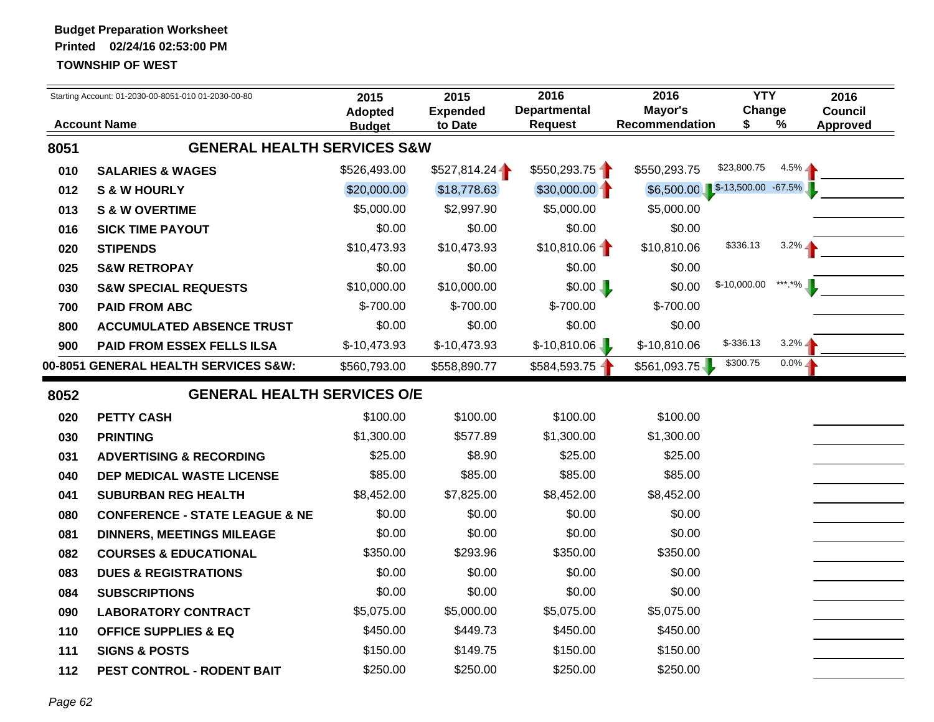|      | Starting Account: 01-2030-00-8051-010 01-2030-00-80 | 2015                            | 2015                       | 2016                           | 2016                             | <b>YTY</b>   |         | 2016                              |
|------|-----------------------------------------------------|---------------------------------|----------------------------|--------------------------------|----------------------------------|--------------|---------|-----------------------------------|
|      | <b>Account Name</b>                                 | <b>Adopted</b><br><b>Budget</b> | <b>Expended</b><br>to Date | Departmental<br><b>Request</b> | Mayor's<br><b>Recommendation</b> | Change<br>\$ | %       | <b>Council</b><br><b>Approved</b> |
| 8051 | <b>GENERAL HEALTH SERVICES S&amp;W</b>              |                                 |                            |                                |                                  |              |         |                                   |
| 010  | <b>SALARIES &amp; WAGES</b>                         | \$526,493.00                    | \$527,814.24               | \$550,293.75                   | \$550,293.75                     | \$23,800.75  | $4.5\%$ |                                   |
| 012  | <b>S &amp; W HOURLY</b>                             | \$20,000.00                     | \$18,778.63                | $$30,000.00 -$                 | \$6,500.00 \$-13,500.00 -67.5%   |              |         |                                   |
| 013  | <b>S &amp; W OVERTIME</b>                           | \$5,000.00                      | \$2,997.90                 | \$5,000.00                     | \$5,000.00                       |              |         |                                   |
| 016  | <b>SICK TIME PAYOUT</b>                             | \$0.00                          | \$0.00                     | \$0.00                         | \$0.00                           |              |         |                                   |
| 020  | <b>STIPENDS</b>                                     | \$10,473.93                     | \$10,473.93                | \$10,810.06                    | \$10,810.06                      | \$336.13     | $3.2\%$ |                                   |
| 025  | <b>S&amp;W RETROPAY</b>                             | \$0.00                          | \$0.00                     | \$0.00                         | \$0.00                           |              |         |                                   |
| 030  | <b>S&amp;W SPECIAL REQUESTS</b>                     | \$10,000.00                     | \$10,000.00                | \$0.00                         | \$0.00                           | \$-10,000.00 | *** *%  |                                   |
| 700  | <b>PAID FROM ABC</b>                                | \$-700.00                       | $$-700.00$                 | \$-700.00                      | \$-700.00                        |              |         |                                   |
| 800  | <b>ACCUMULATED ABSENCE TRUST</b>                    | \$0.00                          | \$0.00                     | \$0.00                         | \$0.00                           |              |         |                                   |
| 900  | PAID FROM ESSEX FELLS ILSA                          | $$-10,473.93$                   | $$-10,473.93$              | $$-10,810.06$                  | \$-10,810.06                     | $$-336.13$   | $3.2\%$ |                                   |
|      | 00-8051 GENERAL HEALTH SERVICES S&W:                | \$560,793.00                    | \$558,890.77               | \$584,593.75                   | \$561,093.75                     | \$300.75     | $0.0\%$ |                                   |
| 8052 | <b>GENERAL HEALTH SERVICES O/E</b>                  |                                 |                            |                                |                                  |              |         |                                   |
| 020  | <b>PETTY CASH</b>                                   | \$100.00                        | \$100.00                   | \$100.00                       | \$100.00                         |              |         |                                   |
| 030  | <b>PRINTING</b>                                     | \$1,300.00                      | \$577.89                   | \$1,300.00                     | \$1,300.00                       |              |         |                                   |
| 031  | <b>ADVERTISING &amp; RECORDING</b>                  | \$25.00                         | \$8.90                     | \$25.00                        | \$25.00                          |              |         |                                   |
| 040  | DEP MEDICAL WASTE LICENSE                           | \$85.00                         | \$85.00                    | \$85.00                        | \$85.00                          |              |         |                                   |
| 041  | <b>SUBURBAN REG HEALTH</b>                          | \$8,452.00                      | \$7,825.00                 | \$8,452.00                     | \$8,452.00                       |              |         |                                   |
| 080  | <b>CONFERENCE - STATE LEAGUE &amp; NE</b>           | \$0.00                          | \$0.00                     | \$0.00                         | \$0.00                           |              |         |                                   |
| 081  | <b>DINNERS, MEETINGS MILEAGE</b>                    | \$0.00                          | \$0.00                     | \$0.00                         | \$0.00                           |              |         |                                   |
| 082  | <b>COURSES &amp; EDUCATIONAL</b>                    | \$350.00                        | \$293.96                   | \$350.00                       | \$350.00                         |              |         |                                   |
| 083  | <b>DUES &amp; REGISTRATIONS</b>                     | \$0.00                          | \$0.00                     | \$0.00                         | \$0.00                           |              |         |                                   |
| 084  | <b>SUBSCRIPTIONS</b>                                | \$0.00                          | \$0.00                     | \$0.00                         | \$0.00                           |              |         |                                   |
| 090  | <b>LABORATORY CONTRACT</b>                          | \$5,075.00                      | \$5,000.00                 | \$5,075.00                     | \$5,075.00                       |              |         |                                   |
| 110  | <b>OFFICE SUPPLIES &amp; EQ</b>                     | \$450.00                        | \$449.73                   | \$450.00                       | \$450.00                         |              |         |                                   |
| 111  | <b>SIGNS &amp; POSTS</b>                            | \$150.00                        | \$149.75                   | \$150.00                       | \$150.00                         |              |         |                                   |
| 112  | PEST CONTROL - RODENT BAIT                          | \$250.00                        | \$250.00                   | \$250.00                       | \$250.00                         |              |         |                                   |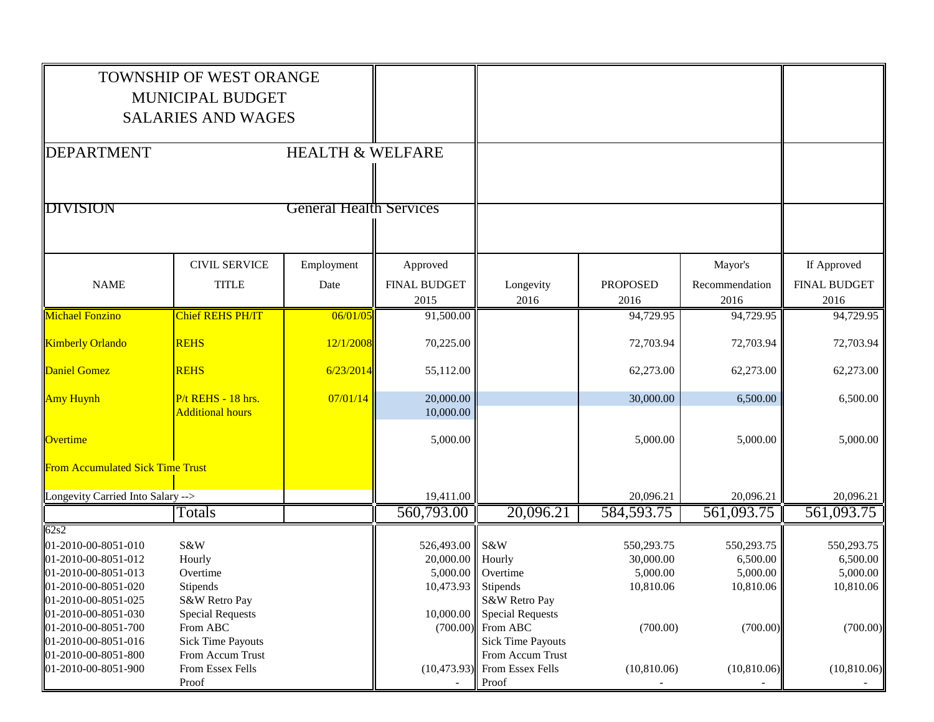|                                         | <b>TOWNSHIP OF WEST ORANGE</b> |                                |                     |                                |                 |                |                     |
|-----------------------------------------|--------------------------------|--------------------------------|---------------------|--------------------------------|-----------------|----------------|---------------------|
|                                         | MUNICIPAL BUDGET               |                                |                     |                                |                 |                |                     |
|                                         | <b>SALARIES AND WAGES</b>      |                                |                     |                                |                 |                |                     |
|                                         |                                |                                |                     |                                |                 |                |                     |
| DEPARTMENT                              |                                | <b>HEALTH &amp; WELFARE</b>    |                     |                                |                 |                |                     |
|                                         |                                |                                |                     |                                |                 |                |                     |
|                                         |                                |                                |                     |                                |                 |                |                     |
| DIVISION                                |                                | <b>General Health Services</b> |                     |                                |                 |                |                     |
|                                         |                                |                                |                     |                                |                 |                |                     |
|                                         |                                |                                |                     |                                |                 |                |                     |
|                                         | <b>CIVIL SERVICE</b>           | Employment                     | Approved            |                                |                 | Mayor's        | If Approved         |
| <b>NAME</b>                             | <b>TITLE</b>                   | Date                           | <b>FINAL BUDGET</b> | Longevity                      | <b>PROPOSED</b> | Recommendation | <b>FINAL BUDGET</b> |
|                                         |                                |                                | 2015                | 2016                           | 2016            | 2016           | 2016                |
| <b>Michael Fonzino</b>                  | <b>Chief REHS PH/IT</b>        | 06/01/05                       | 91,500.00           |                                | 94,729.95       | 94,729.95      | 94,729.95           |
| <b>Kimberly Orlando</b>                 | <b>REHS</b>                    | 12/1/2008                      | 70,225.00           |                                | 72,703.94       | 72,703.94      | 72,703.94           |
|                                         |                                |                                |                     |                                |                 |                |                     |
| <b>Daniel Gomez</b>                     | <b>REHS</b>                    | 6/23/2014                      | 55,112.00           |                                | 62,273.00       | 62,273.00      | 62,273.00           |
| <b>Amy Huynh</b>                        | P/t REHS - 18 hrs.             | 07/01/14                       | 20,000.00           |                                | 30,000.00       | 6,500.00       | 6,500.00            |
|                                         | <b>Additional hours</b>        |                                | 10,000.00           |                                |                 |                |                     |
| Overtime                                |                                |                                | 5,000.00            |                                | 5,000.00        | 5,000.00       | 5,000.00            |
|                                         |                                |                                |                     |                                |                 |                |                     |
| <b>From Accumulated Sick Time Trust</b> |                                |                                |                     |                                |                 |                |                     |
| Longevity Carried Into Salary -->       |                                |                                | 19,411.00           |                                | 20,096.21       | 20,096.21      | 20,096.21           |
|                                         | <b>Totals</b>                  |                                | 560,793.00          | 20,096.21                      | 584,593.75      | 561,093.75     | 561,093.75          |
| 62s2                                    |                                |                                |                     |                                |                 |                |                     |
| 01-2010-00-8051-010                     | S&W                            |                                | 526,493.00 S&W      |                                | 550,293.75      | 550,293.75     | 550,293.75          |
| 01-2010-00-8051-012                     | Hourly                         |                                | 20,000.00 Hourly    |                                | 30,000.00       | 6,500.00       | 6,500.00            |
| 01-2010-00-8051-013                     | Overtime                       |                                |                     | 5,000.00 Overtime              | 5,000.00        | 5,000.00       | 5,000.00            |
| 01-2010-00-8051-020                     | <b>Stipends</b>                |                                | 10,473.93 Stipends  |                                | 10,810.06       | 10,810.06      | 10,810.06           |
| 01-2010-00-8051-025                     | S&W Retro Pay                  |                                |                     | S&W Retro Pay                  |                 |                |                     |
| 01-2010-00-8051-030                     | <b>Special Requests</b>        |                                | 10,000.00           | Special Requests               |                 |                |                     |
| 01-2010-00-8051-700                     | From ABC                       |                                |                     | $(700.00)$ From ABC            | (700.00)        | (700.00)       | (700.00)            |
| 01-2010-00-8051-016                     | <b>Sick Time Payouts</b>       |                                |                     | <b>Sick Time Payouts</b>       |                 |                |                     |
| 01-2010-00-8051-800                     | From Accum Trust               |                                |                     | From Accum Trust               |                 |                |                     |
| 01-2010-00-8051-900                     | From Essex Fells               |                                |                     | $(10,473.93)$ From Essex Fells | (10,810.06)     | (10, 810.06)   | (10,810.06)         |
|                                         | Proof                          |                                |                     | Proof                          |                 |                |                     |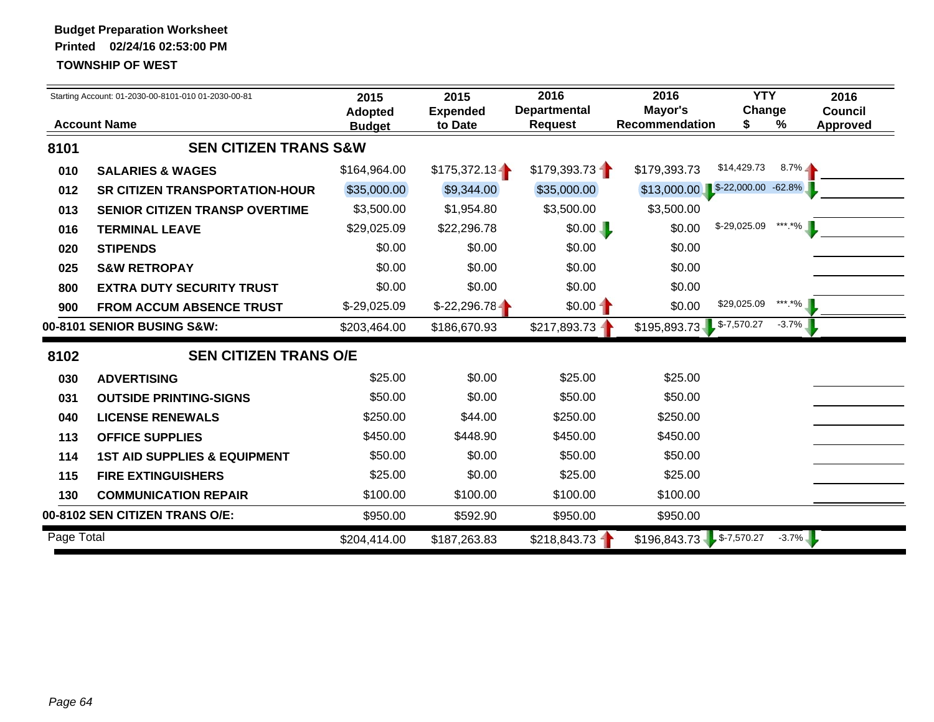|            | Starting Account: 01-2030-00-8101-010 01-2030-00-81 | 2015<br><b>Adopted</b> | 2015<br><b>Expended</b> | 2016<br><b>Departmental</b> | 2016<br>Mayor's            | <b>YTY</b><br>Change |           | 2016<br><b>Council</b> |
|------------|-----------------------------------------------------|------------------------|-------------------------|-----------------------------|----------------------------|----------------------|-----------|------------------------|
|            | <b>Account Name</b>                                 | <b>Budget</b>          | to Date                 | <b>Request</b>              | <b>Recommendation</b>      | \$                   | %         | <b>Approved</b>        |
| 8101       | <b>SEN CITIZEN TRANS S&amp;W</b>                    |                        |                         |                             |                            |                      |           |                        |
| 010        | <b>SALARIES &amp; WAGES</b>                         | \$164,964.00           | \$175,372.13            | \$179,393.73                | \$179,393.73               | \$14,429.73          | $8.7\%$   |                        |
| 012        | <b>SR CITIZEN TRANSPORTATION-HOUR</b>               | \$35,000.00            | \$9,344.00              | \$35,000.00                 | \$13,000.00                | $$-22,000.00$        | $-62.8\%$ |                        |
| 013        | <b>SENIOR CITIZEN TRANSP OVERTIME</b>               | \$3,500.00             | \$1,954.80              | \$3,500.00                  | \$3,500.00                 |                      |           |                        |
| 016        | <b>TERMINAL LEAVE</b>                               | \$29,025.09            | \$22,296.78             | \$0.00                      | \$0.00                     | $$-29,025.09$        | *** *%    |                        |
| 020        | <b>STIPENDS</b>                                     | \$0.00                 | \$0.00                  | \$0.00                      | \$0.00                     |                      |           |                        |
| 025        | <b>S&amp;W RETROPAY</b>                             | \$0.00                 | \$0.00                  | \$0.00                      | \$0.00                     |                      |           |                        |
| 800        | <b>EXTRA DUTY SECURITY TRUST</b>                    | \$0.00                 | \$0.00                  | \$0.00                      | \$0.00                     |                      |           |                        |
| 900        | <b>FROM ACCUM ABSENCE TRUST</b>                     | \$-29,025.09           | $$-22,296.78$           | $$0.00 -$                   | \$0.00                     | \$29,025.09          | *** *%    |                        |
|            | 00-8101 SENIOR BUSING S&W:                          | \$203,464.00           | \$186,670.93            | \$217,893.73                | \$195,893.73               | $$-7,570.27$         | $-3.7%$   |                        |
| 8102       | <b>SEN CITIZEN TRANS O/E</b>                        |                        |                         |                             |                            |                      |           |                        |
| 030        | <b>ADVERTISING</b>                                  | \$25.00                | \$0.00                  | \$25.00                     | \$25.00                    |                      |           |                        |
| 031        | <b>OUTSIDE PRINTING-SIGNS</b>                       | \$50.00                | \$0.00                  | \$50.00                     | \$50.00                    |                      |           |                        |
| 040        | <b>LICENSE RENEWALS</b>                             | \$250.00               | \$44.00                 | \$250.00                    | \$250.00                   |                      |           |                        |
| 113        | <b>OFFICE SUPPLIES</b>                              | \$450.00               | \$448.90                | \$450.00                    | \$450.00                   |                      |           |                        |
| 114        | <b>1ST AID SUPPLIES &amp; EQUIPMENT</b>             | \$50.00                | \$0.00                  | \$50.00                     | \$50.00                    |                      |           |                        |
| 115        | <b>FIRE EXTINGUISHERS</b>                           | \$25.00                | \$0.00                  | \$25.00                     | \$25.00                    |                      |           |                        |
| 130        | <b>COMMUNICATION REPAIR</b>                         | \$100.00               | \$100.00                | \$100.00                    | \$100.00                   |                      |           |                        |
|            | 00-8102 SEN CITIZEN TRANS O/E:                      | \$950.00               | \$592.90                | \$950.00                    | \$950.00                   |                      |           |                        |
| Page Total |                                                     | \$204,414.00           | \$187,263.83            | \$218,843.73                | $$196,843.73$ $$-7,570.27$ |                      | $-3.7\%$  |                        |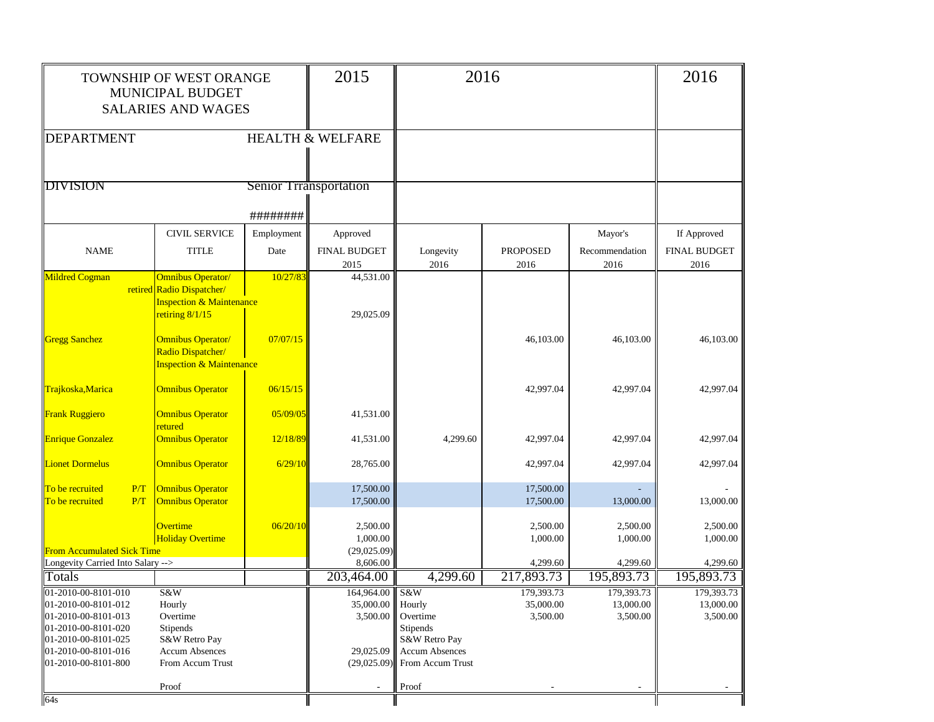|                                                                   | TOWNSHIP OF WEST ORANGE<br>MUNICIPAL BUDGET<br><b>SALARIES AND WAGES</b>             |                        |                                     | 2016                                                                     |                         |                        | 2016                        |
|-------------------------------------------------------------------|--------------------------------------------------------------------------------------|------------------------|-------------------------------------|--------------------------------------------------------------------------|-------------------------|------------------------|-----------------------------|
| <b>DEPARTMENT</b>                                                 |                                                                                      |                        | <b>HEALTH &amp; WELFARE</b>         |                                                                          |                         |                        |                             |
|                                                                   |                                                                                      |                        |                                     |                                                                          |                         |                        |                             |
| <b>DIVISION</b>                                                   |                                                                                      | Senior Trransportation |                                     |                                                                          |                         |                        |                             |
|                                                                   |                                                                                      | ########               |                                     |                                                                          |                         |                        |                             |
|                                                                   | <b>CIVIL SERVICE</b>                                                                 | Employment             | Approved                            |                                                                          |                         | Mayor's                | If Approved                 |
| <b>NAME</b>                                                       | <b>TITLE</b>                                                                         | Date                   | FINAL BUDGET<br>2015                | Longevity<br>2016                                                        | <b>PROPOSED</b><br>2016 | Recommendation<br>2016 | <b>FINAL BUDGET</b><br>2016 |
| Mildred Cogman                                                    | <b>Omnibus Operator/</b><br>retired Radio Dispatcher/                                | 10/27/83               | 44,531.00                           |                                                                          |                         |                        |                             |
|                                                                   | <b>Inspection &amp; Maintenance</b>                                                  |                        |                                     |                                                                          |                         |                        |                             |
|                                                                   | retiring 8/1/15                                                                      |                        | 29,025.09                           |                                                                          |                         |                        |                             |
| <b>Gregg Sanchez</b>                                              | <b>Omnibus Operator/</b><br>Radio Dispatcher/<br><b>Inspection &amp; Maintenance</b> | 07/07/15               |                                     |                                                                          | 46,103.00               | 46,103.00              | 46,103.00                   |
| Trajkoska, Marica                                                 | <b>Omnibus Operator</b>                                                              | 06/15/15               |                                     |                                                                          | 42,997.04               | 42,997.04              | 42,997.04                   |
| <b>Frank Ruggiero</b>                                             | <b>Omnibus Operator</b>                                                              | 05/09/05               | 41,531.00                           |                                                                          |                         |                        |                             |
| <b>Enrique Gonzalez</b>                                           | retured<br><b>Omnibus Operator</b>                                                   | 12/18/89               | 41,531.00                           | 4,299.60                                                                 | 42,997.04               | 42,997.04              | 42,997.04                   |
| <b>Lionet Dormelus</b>                                            | <b>Omnibus Operator</b>                                                              | 6/29/10                | 28,765.00                           |                                                                          | 42,997.04               | 42,997.04              | 42,997.04                   |
| To be recruited<br>P/T<br>To be recruited<br>P/T                  | <b>Omnibus Operator</b><br><b>Omnibus Operator</b>                                   |                        | 17,500.00<br>17,500.00              |                                                                          | 17,500.00<br>17,500.00  | 13,000.00              | 13,000.00                   |
| <b>From Accumulated Sick Time</b>                                 | <b>Overtime</b><br><b>Holiday Overtime</b>                                           | 06/20/10               | 2,500.00<br>1,000.00<br>(29,025.09) |                                                                          | 2,500.00<br>1,000.00    | 2,500.00<br>1,000.00   | 2,500.00<br>1,000.00        |
| Longevity Carried Into Salary -->                                 |                                                                                      |                        | 8,606.00                            |                                                                          | 4,299.60                | 4,299.60               | 4,299.60                    |
| Totals                                                            |                                                                                      |                        | 203,464.00                          | 4,299.60                                                                 | 217,893.73              | 195,893.73             | 195,893.73                  |
| $[01-2010-00-8101-010]$                                           | S&W                                                                                  |                        | 164,964.00   S&W                    |                                                                          | 179,393.73              | 179,393.73             | 179,393.73                  |
| 01-2010-00-8101-012<br>01-2010-00-8101-013<br>01-2010-00-8101-020 | Hourly<br>Overtime<br>Stipends                                                       |                        | 35,000.00 Hourly                    | 3,500.00 Overtime<br>Stipends                                            | 35,000.00<br>3,500.00   | 13,000.00<br>3,500.00  | 13,000.00<br>3,500.00       |
| 01-2010-00-8101-025<br>01-2010-00-8101-016<br>01-2010-00-8101-800 | S&W Retro Pay<br><b>Accum Absences</b><br>From Accum Trust                           |                        | 29,025.09                           | S&W Retro Pay<br><b>Accum Absences</b><br>$(29,025.09)$ From Accum Trust |                         |                        |                             |
|                                                                   | Proof                                                                                |                        | $\sim$                              | Proof                                                                    |                         | $\sim$                 | $\overline{\phantom{a}}$    |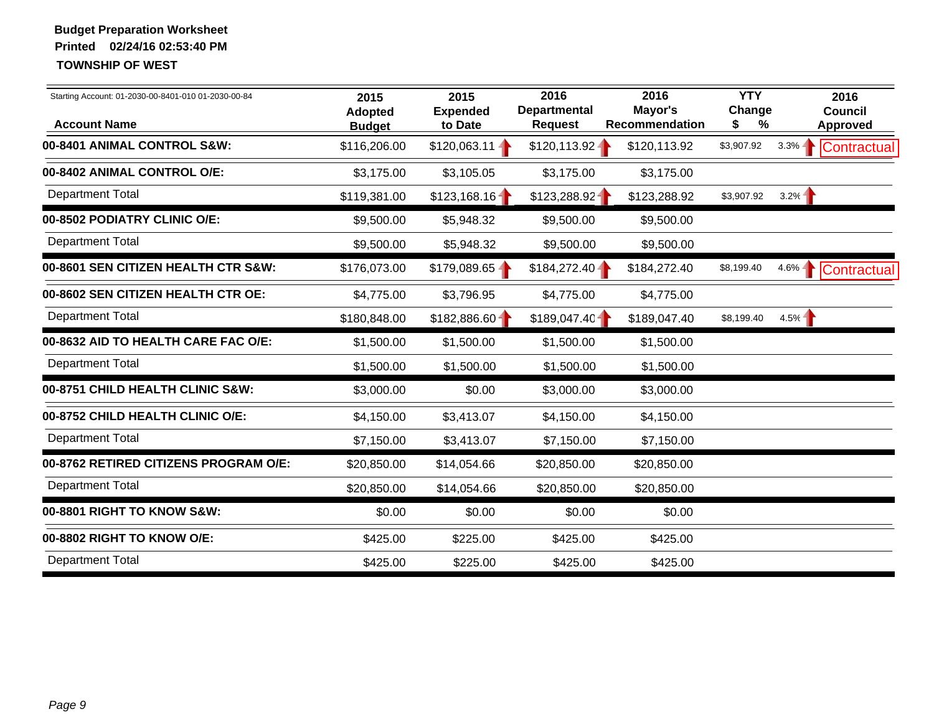| Starting Account: 01-2030-00-8401-010 01-2030-00-84<br><b>Account Name</b> | 2015<br><b>Adopted</b><br><b>Budget</b> | 2015<br><b>Expended</b><br>to Date | 2016<br><b>Departmental</b><br><b>Request</b> | 2016<br>Mayor's<br><b>Recommendation</b> | <b>YTY</b><br>Change<br>%<br>S | 2016<br><b>Council</b><br><b>Approved</b> |
|----------------------------------------------------------------------------|-----------------------------------------|------------------------------------|-----------------------------------------------|------------------------------------------|--------------------------------|-------------------------------------------|
| 00-8401 ANIMAL CONTROL S&W:                                                | \$116,206.00                            | $$120,063.11 -$                    | \$120,113.92                                  | \$120,113.92                             | \$3,907.92                     | $3.3\% -$<br>Contractual                  |
| 00-8402 ANIMAL CONTROL O/E:                                                | \$3,175.00                              | \$3,105.05                         | \$3,175.00                                    | \$3,175.00                               |                                |                                           |
| <b>Department Total</b>                                                    | \$119,381.00                            | \$123,168.16                       | \$123,288.92                                  | \$123,288.92                             | \$3,907.92                     | 3.2%                                      |
| 00-8502 PODIATRY CLINIC O/E:                                               | \$9,500.00                              | \$5,948.32                         | \$9,500.00                                    | \$9,500.00                               |                                |                                           |
| <b>Department Total</b>                                                    | \$9,500.00                              | \$5,948.32                         | \$9,500.00                                    | \$9,500.00                               |                                |                                           |
| 00-8601 SEN CITIZEN HEALTH CTR S&W:                                        | \$176,073.00                            | $$179,089.65 -$                    | $$184,272.40 -$                               | \$184,272.40                             | \$8,199.40                     | $4.6\% - 1$<br>Contractual                |
| 00-8602 SEN CITIZEN HEALTH CTR OE:                                         | \$4,775.00                              | \$3,796.95                         | \$4,775.00                                    | \$4,775.00                               |                                |                                           |
| <b>Department Total</b>                                                    | \$180,848.00                            | \$182,886.60                       | \$189,047.40                                  | \$189,047.40                             | \$8,199.40                     | 4.5%                                      |
| 00-8632 AID TO HEALTH CARE FAC O/E:                                        | \$1,500.00                              | \$1,500.00                         | \$1,500.00                                    | \$1,500.00                               |                                |                                           |
| <b>Department Total</b>                                                    | \$1,500.00                              | \$1,500.00                         | \$1,500.00                                    | \$1,500.00                               |                                |                                           |
| 00-8751 CHILD HEALTH CLINIC S&W:                                           | \$3,000.00                              | \$0.00                             | \$3,000.00                                    | \$3,000.00                               |                                |                                           |
| 00-8752 CHILD HEALTH CLINIC O/E:                                           | \$4,150.00                              | \$3,413.07                         | \$4,150.00                                    | \$4,150.00                               |                                |                                           |
| <b>Department Total</b>                                                    | \$7,150.00                              | \$3,413.07                         | \$7,150.00                                    | \$7,150.00                               |                                |                                           |
| 00-8762 RETIRED CITIZENS PROGRAM O/E:                                      | \$20,850.00                             | \$14,054.66                        | \$20,850.00                                   | \$20,850.00                              |                                |                                           |
| <b>Department Total</b>                                                    | \$20,850.00                             | \$14,054.66                        | \$20,850.00                                   | \$20,850.00                              |                                |                                           |
| 00-8801 RIGHT TO KNOW S&W:                                                 | \$0.00                                  | \$0.00                             | \$0.00                                        | \$0.00                                   |                                |                                           |
| 00-8802 RIGHT TO KNOW O/E:                                                 | \$425.00                                | \$225.00                           | \$425.00                                      | \$425.00                                 |                                |                                           |
| <b>Department Total</b>                                                    | \$425.00                                | \$225.00                           | \$425.00                                      | \$425.00                                 |                                |                                           |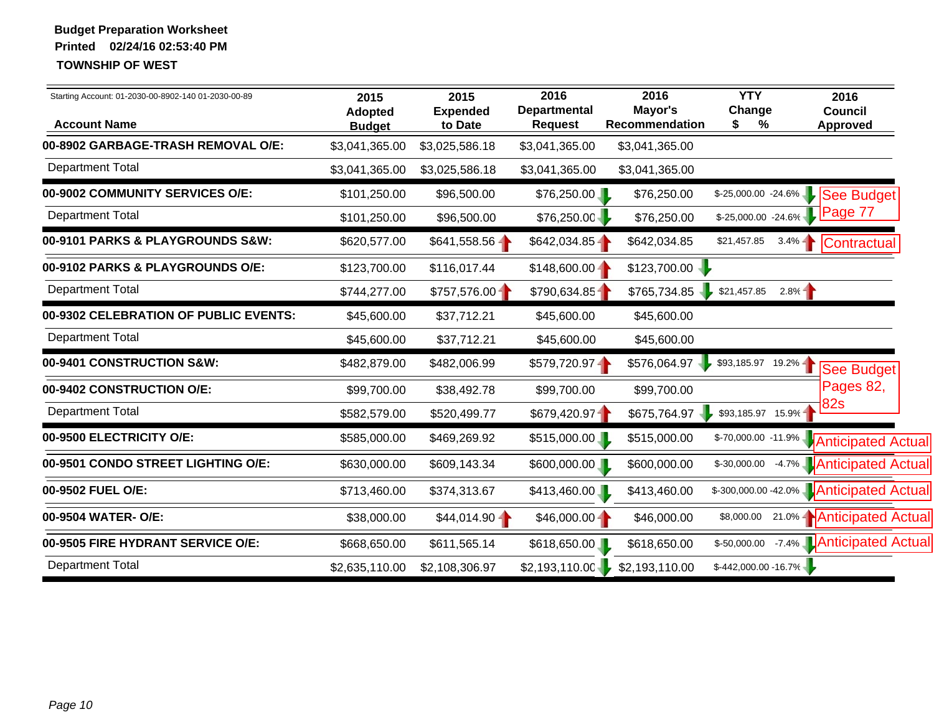| Starting Account: 01-2030-00-8902-140 01-2030-00-89<br><b>Account Name</b> | 2015<br><b>Adopted</b><br><b>Budget</b> | 2015<br><b>Expended</b><br>to Date | 2016<br><b>Departmental</b><br><b>Request</b> | 2016<br>Mayor's<br>Recommendation | <b>YTY</b><br>Change<br>\$<br>% | 2016<br><b>Council</b><br><b>Approved</b> |
|----------------------------------------------------------------------------|-----------------------------------------|------------------------------------|-----------------------------------------------|-----------------------------------|---------------------------------|-------------------------------------------|
| 00-8902 GARBAGE-TRASH REMOVAL O/E:                                         | \$3,041,365.00                          | \$3,025,586.18                     | \$3,041,365.00                                | \$3,041,365.00                    |                                 |                                           |
| <b>Department Total</b>                                                    | \$3,041,365.00                          | \$3,025,586.18                     | \$3,041,365.00                                | \$3,041,365.00                    |                                 |                                           |
| 00-9002 COMMUNITY SERVICES O/E:                                            | \$101,250.00                            | \$96,500.00                        | \$76,250.00                                   | \$76,250.00                       | $$-25,000.00 -24.6\%$           | See Budget                                |
| <b>Department Total</b>                                                    | \$101,250.00                            | \$96,500.00                        | \$76,250.00                                   | \$76,250.00                       | $$-25,000.00 -24.6\%$           | Page 77                                   |
| 00-9101 PARKS & PLAYGROUNDS S&W:                                           | \$620,577.00                            | $$641,558.56 -$                    | $$642,034.85 -$                               | \$642,034.85                      | \$21,457.85                     | $3.4\%$<br>Contractual                    |
| 00-9102 PARKS & PLAYGROUNDS O/E:                                           | \$123,700.00                            | \$116,017.44                       | $$148,600.00 -$                               | \$123,700.00                      |                                 |                                           |
| <b>Department Total</b>                                                    | \$744,277.00                            | \$757,576.00                       | \$790,634.85                                  | \$765,734.85                      | \$21,457.85                     | 2.8%                                      |
| 00-9302 CELEBRATION OF PUBLIC EVENTS:                                      | \$45,600.00                             | \$37,712.21                        | \$45,600.00                                   | \$45,600.00                       |                                 |                                           |
| <b>Department Total</b>                                                    | \$45,600.00                             | \$37,712.21                        | \$45,600.00                                   | \$45,600.00                       |                                 |                                           |
| 00-9401 CONSTRUCTION S&W:                                                  | \$482,879.00                            | \$482,006.99                       | $$579,720.97 -$                               | \$576,064.97                      | $$93,185.97$ 19.2% -            | See Budget                                |
| 00-9402 CONSTRUCTION O/E:                                                  | \$99,700.00                             | \$38,492.78                        | \$99,700.00                                   | \$99,700.00                       |                                 | Pages 82,                                 |
| <b>Department Total</b>                                                    | \$582,579.00                            | \$520,499.77                       | \$679,420.97                                  | \$675,764.97                      | \$93,185.97 15.9%               | <b>82s</b>                                |
| 00-9500 ELECTRICITY O/E:                                                   | \$585,000.00                            | \$469,269.92                       | \$515,000.00                                  | \$515,000.00                      | $$-70,000.00 - 11.9\%$          | <b>Anticipated Actual</b>                 |
| 00-9501 CONDO STREET LIGHTING O/E:                                         | \$630,000.00                            | \$609,143.34                       | \$600,000.00                                  | \$600,000.00                      | \$-30,000.00                    | -4.7% <b>Anticipated Actual</b>           |
| 00-9502 FUEL O/E:                                                          | \$713,460.00                            | \$374,313.67                       | \$413,460.00                                  | \$413,460.00                      |                                 | \$-300,000.00 -42.0% Anticipated Actual   |
| 00-9504 WATER- O/E:                                                        | \$38,000.00                             | $$44,014.90 -$                     | $$46,000.00 -$                                | \$46,000.00                       | \$8,000.00                      | 21.0%   Anticipated Actual                |
| 00-9505 FIRE HYDRANT SERVICE O/E:                                          | \$668,650.00                            | \$611,565.14                       | \$618,650.00                                  | \$618,650.00                      | \$-50,000.00                    | -7.4% <b>Anticipated Actual</b>           |
| <b>Department Total</b>                                                    | \$2,635,110.00                          | \$2,108,306.97                     | \$2,193,110.00                                | \$2,193,110.00                    | $$-442,000.00 - 16.7\%$         |                                           |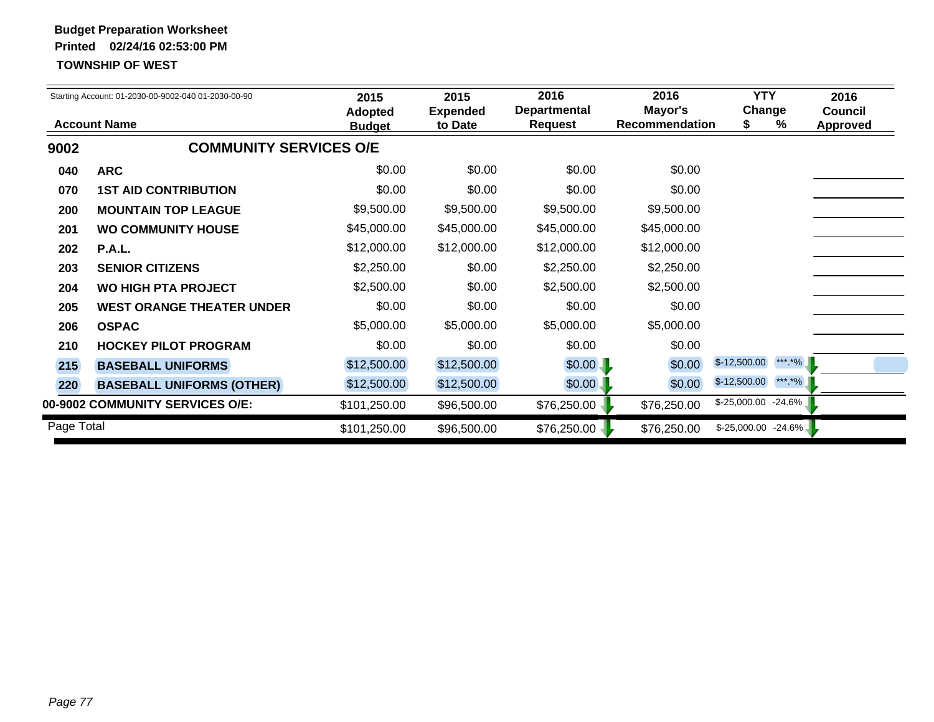|            | Starting Account: 01-2030-00-9002-040 01-2030-00-90 | 2015<br><b>Adopted</b> | 2015<br><b>Expended</b> | 2016<br><b>Departmental</b> | 2016<br>Mayor's       | <b>YTY</b><br>Change    | 2016<br><b>Council</b> |
|------------|-----------------------------------------------------|------------------------|-------------------------|-----------------------------|-----------------------|-------------------------|------------------------|
|            | <b>Account Name</b>                                 | <b>Budget</b>          | to Date                 | <b>Request</b>              | <b>Recommendation</b> | %                       | <b>Approved</b>        |
| 9002       | <b>COMMUNITY SERVICES O/E</b>                       |                        |                         |                             |                       |                         |                        |
| 040        | <b>ARC</b>                                          | \$0.00                 | \$0.00                  | \$0.00                      | \$0.00                |                         |                        |
| 070        | <b>1ST AID CONTRIBUTION</b>                         | \$0.00                 | \$0.00                  | \$0.00                      | \$0.00                |                         |                        |
| 200        | <b>MOUNTAIN TOP LEAGUE</b>                          | \$9,500.00             | \$9,500.00              | \$9,500.00                  | \$9,500.00            |                         |                        |
| 201        | <b>WO COMMUNITY HOUSE</b>                           | \$45,000.00            | \$45,000.00             | \$45,000.00                 | \$45,000.00           |                         |                        |
| 202        | P.A.L.                                              | \$12,000.00            | \$12,000.00             | \$12,000.00                 | \$12,000.00           |                         |                        |
| 203        | <b>SENIOR CITIZENS</b>                              | \$2,250.00             | \$0.00                  | \$2,250.00                  | \$2,250.00            |                         |                        |
| 204        | <b>WO HIGH PTA PROJECT</b>                          | \$2,500.00             | \$0.00                  | \$2,500.00                  | \$2,500.00            |                         |                        |
| 205        | <b>WEST ORANGE THEATER UNDER</b>                    | \$0.00                 | \$0.00                  | \$0.00                      | \$0.00                |                         |                        |
| 206        | <b>OSPAC</b>                                        | \$5,000.00             | \$5,000.00              | \$5,000.00                  | \$5,000.00            |                         |                        |
| 210        | <b>HOCKEY PILOT PROGRAM</b>                         | \$0.00                 | \$0.00                  | \$0.00                      | \$0.00                |                         |                        |
| 215        | <b>BASEBALL UNIFORMS</b>                            | \$12,500.00            | \$12,500.00             | \$0.00                      | \$0.00                | *** *%<br>$$-12,500.00$ |                        |
| 220        | <b>BASEBALL UNIFORMS (OTHER)</b>                    | \$12,500.00            | \$12,500.00             | \$0.00                      | \$0.00                | *** *%<br>$$-12,500.00$ |                        |
|            | 00-9002 COMMUNITY SERVICES O/E:                     | \$101,250.00           | \$96,500.00             | \$76,250.00                 | \$76,250.00           | $$-25,000.00$ $-24.6\%$ |                        |
| Page Total |                                                     | \$101,250.00           | \$96,500.00             | \$76,250.00                 | \$76,250.00           | $$-25,000.00$ $-24.6\%$ |                        |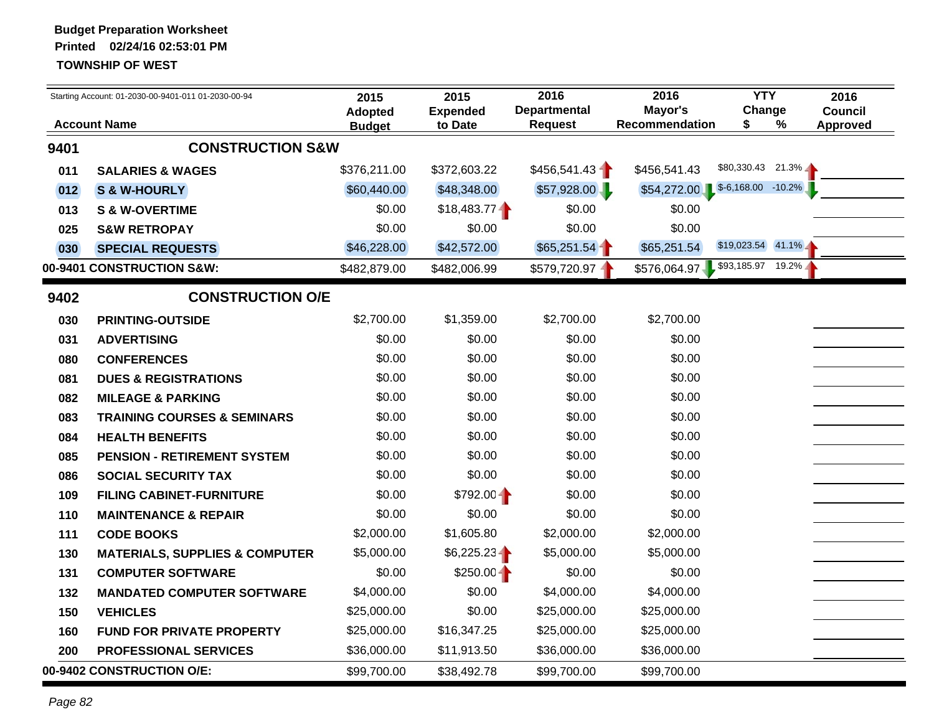|      | Starting Account: 01-2030-00-9401-011 01-2030-00-94 | 2015                            | 2015                       | 2016                                  | 2016                      | <b>YTY</b>             |   | 2016                              |
|------|-----------------------------------------------------|---------------------------------|----------------------------|---------------------------------------|---------------------------|------------------------|---|-----------------------------------|
|      | <b>Account Name</b>                                 | <b>Adopted</b><br><b>Budget</b> | <b>Expended</b><br>to Date | <b>Departmental</b><br><b>Request</b> | Mayor's<br>Recommendation | Change<br>S            | % | <b>Council</b><br><b>Approved</b> |
| 9401 | <b>CONSTRUCTION S&amp;W</b>                         |                                 |                            |                                       |                           |                        |   |                                   |
| 011  | <b>SALARIES &amp; WAGES</b>                         | \$376,211.00                    | \$372,603.22               | \$456,541.43                          | \$456,541.43              | $$80,330.43$ 21.3%     |   |                                   |
| 012  | S & W-HOURLY                                        | \$60,440.00                     | \$48,348.00                | \$57,928.00                           | \$54,272.00               | $$-6,168.00$ $-10.2\%$ |   |                                   |
| 013  | <b>S &amp; W-OVERTIME</b>                           | \$0.00                          | \$18,483.77                | \$0.00                                | \$0.00                    |                        |   |                                   |
| 025  | <b>S&amp;W RETROPAY</b>                             | \$0.00                          | \$0.00                     | \$0.00                                | \$0.00                    |                        |   |                                   |
| 030  | <b>SPECIAL REQUESTS</b>                             | \$46,228.00                     | \$42,572.00                | \$65,251.54                           | \$65,251.54               | $$19,023.54$ 41.1%     |   |                                   |
|      | 00-9401 CONSTRUCTION S&W:                           | \$482,879.00                    | \$482,006.99               | \$579,720.97                          | \$576,064.97              | \$93,185.97 19.2%      |   |                                   |
| 9402 | <b>CONSTRUCTION O/E</b>                             |                                 |                            |                                       |                           |                        |   |                                   |
| 030  | <b>PRINTING-OUTSIDE</b>                             | \$2,700.00                      | \$1,359.00                 | \$2,700.00                            | \$2,700.00                |                        |   |                                   |
| 031  | <b>ADVERTISING</b>                                  | \$0.00                          | \$0.00                     | \$0.00                                | \$0.00                    |                        |   |                                   |
| 080  | <b>CONFERENCES</b>                                  | \$0.00                          | \$0.00                     | \$0.00                                | \$0.00                    |                        |   |                                   |
| 081  | <b>DUES &amp; REGISTRATIONS</b>                     | \$0.00                          | \$0.00                     | \$0.00                                | \$0.00                    |                        |   |                                   |
| 082  | <b>MILEAGE &amp; PARKING</b>                        | \$0.00                          | \$0.00                     | \$0.00                                | \$0.00                    |                        |   |                                   |
| 083  | <b>TRAINING COURSES &amp; SEMINARS</b>              | \$0.00                          | \$0.00                     | \$0.00                                | \$0.00                    |                        |   |                                   |
| 084  | <b>HEALTH BENEFITS</b>                              | \$0.00                          | \$0.00                     | \$0.00                                | \$0.00                    |                        |   |                                   |
| 085  | <b>PENSION - RETIREMENT SYSTEM</b>                  | \$0.00                          | \$0.00                     | \$0.00                                | \$0.00                    |                        |   |                                   |
| 086  | <b>SOCIAL SECURITY TAX</b>                          | \$0.00                          | \$0.00                     | \$0.00                                | \$0.00                    |                        |   |                                   |
| 109  | <b>FILING CABINET-FURNITURE</b>                     | \$0.00                          | \$792.00                   | \$0.00                                | \$0.00                    |                        |   |                                   |
| 110  | <b>MAINTENANCE &amp; REPAIR</b>                     | \$0.00                          | \$0.00                     | \$0.00                                | \$0.00                    |                        |   |                                   |
| 111  | <b>CODE BOOKS</b>                                   | \$2,000.00                      | \$1,605.80                 | \$2,000.00                            | \$2,000.00                |                        |   |                                   |
| 130  | <b>MATERIALS, SUPPLIES &amp; COMPUTER</b>           | \$5,000.00                      | \$6,225.23                 | \$5,000.00                            | \$5,000.00                |                        |   |                                   |
| 131  | <b>COMPUTER SOFTWARE</b>                            | \$0.00                          | $$250.00 -$                | \$0.00                                | \$0.00                    |                        |   |                                   |
| 132  | <b>MANDATED COMPUTER SOFTWARE</b>                   | \$4,000.00                      | \$0.00                     | \$4,000.00                            | \$4,000.00                |                        |   |                                   |
| 150  | <b>VEHICLES</b>                                     | \$25,000.00                     | \$0.00                     | \$25,000.00                           | \$25,000.00               |                        |   |                                   |
| 160  | <b>FUND FOR PRIVATE PROPERTY</b>                    | \$25,000.00                     | \$16,347.25                | \$25,000.00                           | \$25,000.00               |                        |   |                                   |
| 200  | <b>PROFESSIONAL SERVICES</b>                        | \$36,000.00                     | \$11,913.50                | \$36,000.00                           | \$36,000.00               |                        |   |                                   |
|      | 00-9402 CONSTRUCTION O/E:                           | \$99,700.00                     | \$38,492.78                | \$99,700.00                           | \$99,700.00               |                        |   |                                   |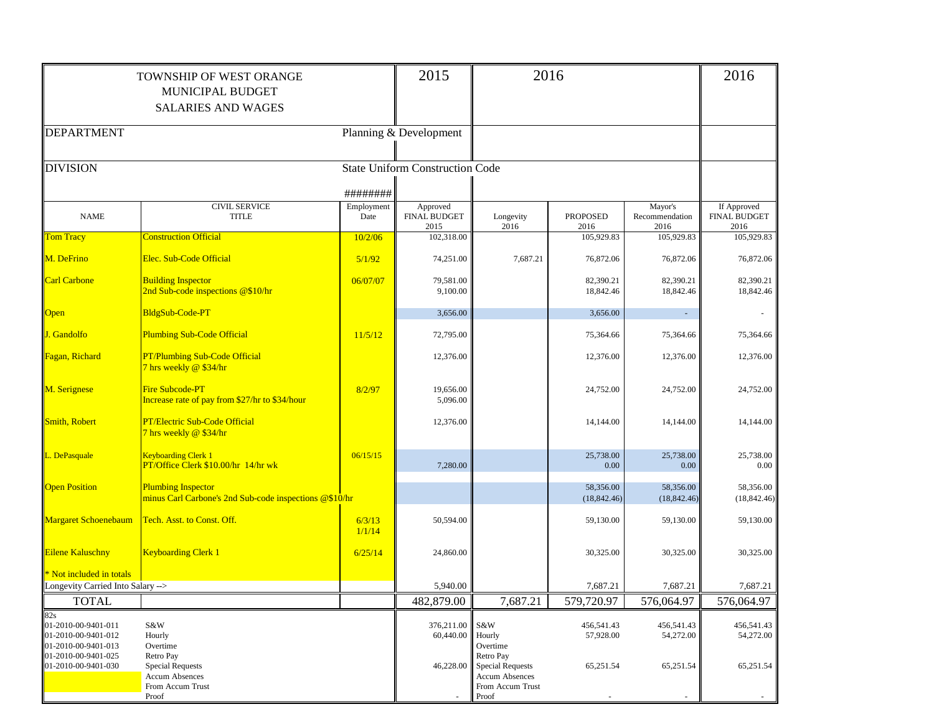|                                                                   | <b>TOWNSHIP OF WEST ORANGE</b><br>MUNICIPAL BUDGET<br><b>SALARIES AND WAGES</b>            |                    | 2015                                    |                                                                                            | 2016                      |                                   | 2016                                       |
|-------------------------------------------------------------------|--------------------------------------------------------------------------------------------|--------------------|-----------------------------------------|--------------------------------------------------------------------------------------------|---------------------------|-----------------------------------|--------------------------------------------|
| <b>DEPARTMENT</b>                                                 |                                                                                            |                    | Planning & Development                  |                                                                                            |                           |                                   |                                            |
| <b>DIVISION</b>                                                   |                                                                                            |                    | <b>State Uniform Construction Code</b>  |                                                                                            |                           |                                   |                                            |
|                                                                   |                                                                                            | ########           |                                         |                                                                                            |                           |                                   |                                            |
| <b>NAME</b>                                                       | <b>CIVIL SERVICE</b><br><b>TITLE</b>                                                       | Employment<br>Date | Approved<br><b>FINAL BUDGET</b><br>2015 | Longevity<br>2016                                                                          | <b>PROPOSED</b><br>2016   | Mayor's<br>Recommendation<br>2016 | If Approved<br><b>FINAL BUDGET</b><br>2016 |
| <b>Tom Tracy</b>                                                  | <b>Construction Official</b>                                                               | 10/2/06            | 102,318.00                              |                                                                                            | 105,929.83                | 105,929.83                        | 105,929.83                                 |
| M. DeFrino                                                        | Elec. Sub-Code Official                                                                    | 5/1/92             | 74,251.00                               | 7,687.21                                                                                   | 76,872.06                 | 76,872.06                         | 76,872.06                                  |
| <b>Carl Carbone</b>                                               | <b>Building Inspector</b><br>2nd Sub-code inspections @\$10/hr                             | 06/07/07           | 79,581.00<br>9,100.00                   |                                                                                            | 82,390.21<br>18,842.46    | 82,390.21<br>18,842.46            | 82,390.21<br>18,842.46                     |
| <b>Open</b>                                                       | BldgSub-Code-PT                                                                            |                    | 3,656.00                                |                                                                                            | 3,656.00                  |                                   |                                            |
| J. Gandolfo                                                       | <b>Plumbing Sub-Code Official</b>                                                          | 11/5/12            | 72,795.00                               |                                                                                            | 75,364.66                 | 75,364.66                         | 75,364.66                                  |
| Fagan, Richard                                                    | <b>PT/Plumbing Sub-Code Official</b><br>7 hrs weekly @ \$34/hr                             |                    | 12,376.00                               |                                                                                            | 12,376.00                 | 12,376.00                         | 12,376.00                                  |
| M. Serignese                                                      | Fire Subcode-PT<br>Increase rate of pay from \$27/hr to \$34/hour                          | 8/2/97             | 19,656.00<br>5,096.00                   |                                                                                            | 24,752.00                 | 24,752.00                         | 24,752.00                                  |
| Smith, Robert                                                     | <b>PT/Electric Sub-Code Official</b><br>7 hrs weekly @ \$34/hr                             |                    | 12,376.00                               |                                                                                            | 14,144.00                 | 14,144.00                         | 14,144.00                                  |
| L. DePasquale                                                     | Keyboarding Clerk 1<br>PT/Office Clerk \$10.00/hr 14/hr wk                                 | 06/15/15           | 7,280.00                                |                                                                                            | 25,738.00<br>0.00         | 25,738.00<br>0.00                 | 25,738.00<br>$0.00\,$                      |
| <b>Open Position</b>                                              | <b>Plumbing Inspector</b><br>minus Carl Carbone's 2nd Sub-code inspections @\$10/hr        |                    |                                         |                                                                                            | 58,356.00<br>(18, 842.46) | 58,356.00<br>(18, 842.46)         | 58,356.00<br>(18, 842.46)                  |
| Margaret Schoenebaum                                              | Tech. Asst. to Const. Off.                                                                 | 6/3/13<br>1/1/14   | 50,594.00                               |                                                                                            | 59,130.00                 | 59,130.00                         | 59,130.00                                  |
| <b>Eilene Kaluschny</b>                                           | <b>Keyboarding Clerk 1</b>                                                                 | 6/25/14            | 24,860.00                               |                                                                                            | 30,325.00                 | 30,325.00                         | 30,325.00                                  |
| Not included in totals                                            |                                                                                            |                    |                                         |                                                                                            |                           |                                   |                                            |
| Longevity Carried Into Salary -->                                 |                                                                                            |                    | 5,940.00<br>482,879.00                  |                                                                                            | 7,687.21                  | 7.687.21                          | 7,687.21                                   |
| <b>TOTAL</b><br>82s                                               |                                                                                            |                    |                                         | 7,687.21                                                                                   | 579,720.97                | 576,064.97                        | 576,064.97                                 |
| 01-2010-00-9401-011<br>01-2010-00-9401-012<br>01-2010-00-9401-013 | S&W<br>Hourly<br>Overtime                                                                  |                    | 376,211.00<br>60,440.00                 | S&W<br>Hourly<br>Overtime                                                                  | 456,541.43<br>57,928.00   | 456,541.43<br>54,272.00           | 456,541.43<br>54,272.00                    |
| 01-2010-00-9401-025<br>01-2010-00-9401-030                        | Retro Pay<br><b>Special Requests</b><br><b>Accum Absences</b><br>From Accum Trust<br>Proof |                    | 46,228.00                               | Retro Pay<br><b>Special Requests</b><br><b>Accum Absences</b><br>From Accum Trust<br>Proof | 65,251.54                 | 65,251.54                         | 65,251.54                                  |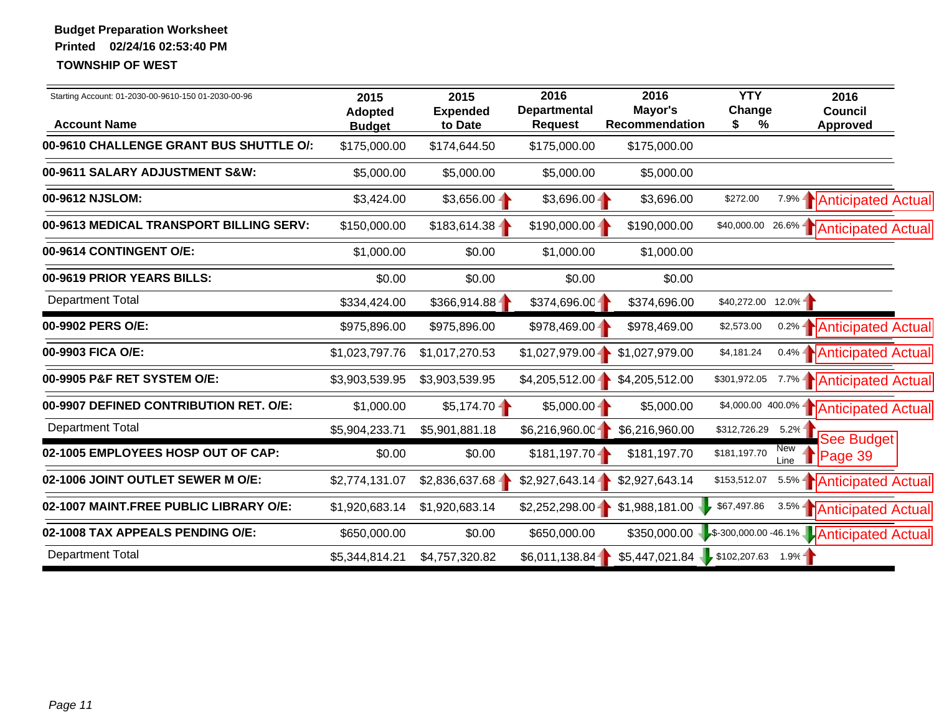| Starting Account: 01-2030-00-9610-150 01-2030-00-96            | 2015<br><b>Adopted</b>        | 2015<br><b>Expended</b> | 2016<br><b>Departmental</b>    | 2016<br>Mayor's                       | <b>YTY</b><br>Change | 2016<br><b>Council</b>                               |
|----------------------------------------------------------------|-------------------------------|-------------------------|--------------------------------|---------------------------------------|----------------------|------------------------------------------------------|
| <b>Account Name</b><br>00-9610 CHALLENGE GRANT BUS SHUTTLE O/: | <b>Budget</b><br>\$175,000.00 | to Date<br>\$174,644.50 | <b>Request</b><br>\$175,000.00 | <b>Recommendation</b><br>\$175,000.00 | %<br>\$              | <b>Approved</b>                                      |
|                                                                |                               |                         |                                |                                       |                      |                                                      |
| 00-9611 SALARY ADJUSTMENT S&W:                                 | \$5,000.00                    | \$5,000.00              | \$5,000.00                     | \$5,000.00                            |                      |                                                      |
| 00-9612 NJSLOM:                                                | \$3,424.00                    | $$3,656.00 -$           | $$3,696.00 -$                  | \$3,696.00                            | \$272.00             | 7.9%   Anticipated Actual                            |
| 00-9613 MEDICAL TRANSPORT BILLING SERV:                        | \$150,000.00                  | $$183,614.38 -$         | $$190,000.00 -$                | \$190,000.00                          |                      | \$40,000.00 26.6%   Anticipated Actual               |
| 00-9614 CONTINGENT O/E:                                        | \$1,000.00                    | \$0.00                  | \$1,000.00                     | \$1,000.00                            |                      |                                                      |
| 00-9619 PRIOR YEARS BILLS:                                     | \$0.00                        | \$0.00                  | \$0.00                         | \$0.00                                |                      |                                                      |
| <b>Department Total</b>                                        | \$334,424.00                  | \$366,914.88            | \$374,696.00                   | \$374,696.00                          | $$40,272.00$ 12.0%   |                                                      |
| 00-9902 PERS O/E:                                              | \$975,896.00                  | \$975,896.00            | $$978,469.00 -$                | \$978,469.00                          | \$2,573.00           | 0.2%   Anticipated Actual                            |
| 00-9903 FICA O/E:                                              | \$1,023,797.76                | \$1,017,270.53          | $$1,027,979.00 -$              | \$1,027,979.00                        | \$4,181.24           | 0.4%   Anticipated Actual                            |
| 00-9905 P&F RET SYSTEM O/E:                                    | \$3,903,539.95                | \$3,903,539.95          | $$4,205,512.00 -$              | \$4,205,512.00                        | \$301,972.05         | 7.7%   Anticipated Actual                            |
| 00-9907 DEFINED CONTRIBUTION RET. O/E:                         | \$1,000.00                    | $$5,174.70 -$           | $$5,000.00 -$                  | \$5,000.00                            | \$4,000.00 400.0% -  | <b>Anticipated Actual</b>                            |
| <b>Department Total</b>                                        | \$5,904,233.71                | \$5,901,881.18          | \$6,216,960.00                 | \$6,216,960.00                        | \$312,726.29         | 5.2%<br><b>See Budget</b>                            |
| 02-1005 EMPLOYEES HOSP OUT OF CAP:                             | \$0.00                        | \$0.00                  | $$181,197.70 -$                | \$181,197.70                          | \$181,197.70         | New<br>T Page 39<br>Line                             |
| 02-1006 JOINT OUTLET SEWER M O/E:                              | \$2,774,131.07                | \$2,836,637.68          | \$2,927,643.14                 | \$2,927,643.14                        | \$153,512.07         | 5.5%   Anticipated Actual                            |
| 02-1007 MAINT.FREE PUBLIC LIBRARY O/E:                         | \$1,920,683.14                | \$1,920,683.14          | \$2,252,298.00                 | \$1,988,181.00                        | \$67,497.86          | 3.5%   Anticipated Actual                            |
| 02-1008 TAX APPEALS PENDING O/E:                               | \$650,000.00                  | \$0.00                  | \$650,000.00                   |                                       |                      | \$350,000.00 \$300,000.00 - 46.1% Anticipated Actual |
| <b>Department Total</b>                                        | \$5,344,814.21                | \$4,757,320.82          | \$6,011,138.84                 | $$5,447,021.84$ \$102,207.63 1.9%     |                      |                                                      |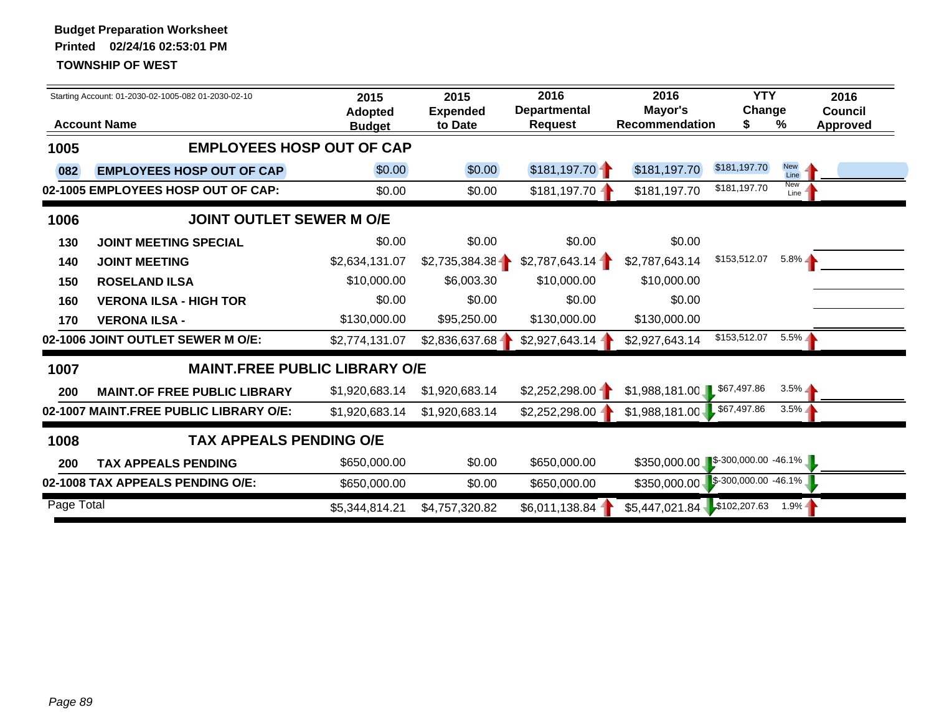|            | Starting Account: 01-2030-02-1005-082 01-2030-02-10<br><b>Account Name</b> | 2015<br><b>Adopted</b><br><b>Budget</b> | 2015<br><b>Expended</b><br>to Date | 2016<br><b>Departmental</b><br><b>Request</b> | 2016<br>Mayor's<br><b>Recommendation</b> | <b>YTY</b><br>Change<br>S    | %                  | 2016<br><b>Council</b><br><b>Approved</b> |
|------------|----------------------------------------------------------------------------|-----------------------------------------|------------------------------------|-----------------------------------------------|------------------------------------------|------------------------------|--------------------|-------------------------------------------|
| 1005       | <b>EMPLOYEES HOSP OUT OF CAP</b>                                           |                                         |                                    |                                               |                                          |                              |                    |                                           |
| 082        | <b>EMPLOYEES HOSP OUT OF CAP</b>                                           | \$0.00                                  | \$0.00                             | \$181,197.70                                  | \$181,197.70                             | \$181,197.70                 | <b>New</b><br>Line |                                           |
|            | 02-1005 EMPLOYEES HOSP OUT OF CAP:                                         | \$0.00                                  | \$0.00                             | \$181,197.70                                  | \$181,197.70                             | \$181,197.70                 | New<br>Line        |                                           |
| 1006       | <b>JOINT OUTLET SEWER M O/E</b>                                            |                                         |                                    |                                               |                                          |                              |                    |                                           |
| 130        | <b>JOINT MEETING SPECIAL</b>                                               | \$0.00                                  | \$0.00                             | \$0.00                                        | \$0.00                                   |                              |                    |                                           |
| 140        | <b>JOINT MEETING</b>                                                       | \$2,634,131.07                          | \$2,735,384.38                     | \$2,787,643.14                                | \$2,787,643.14                           | \$153,512.07                 | $5.8\%$            |                                           |
| 150        | <b>ROSELAND ILSA</b>                                                       | \$10,000.00                             | \$6,003.30                         | \$10,000.00                                   | \$10,000.00                              |                              |                    |                                           |
| 160        | <b>VERONA ILSA - HIGH TOR</b>                                              | \$0.00                                  | \$0.00                             | \$0.00                                        | \$0.00                                   |                              |                    |                                           |
| 170        | <b>VERONA ILSA -</b>                                                       | \$130,000.00                            | \$95,250.00                        | \$130,000.00                                  | \$130,000.00                             |                              |                    |                                           |
|            | 02-1006 JOINT OUTLET SEWER M O/E:                                          | \$2,774,131.07                          | \$2,836,637.68-                    | \$2,927,643.14                                | \$2,927,643.14                           | \$153,512.07                 | $5.5\%$            |                                           |
| 1007       | <b>MAINT.FREE PUBLIC LIBRARY O/E</b>                                       |                                         |                                    |                                               |                                          |                              |                    |                                           |
| 200        | <b>MAINT.OF FREE PUBLIC LIBRARY</b>                                        | \$1,920,683.14                          | \$1,920,683.14                     | \$2,252,298.00                                | \$1,988,181.00                           | \$67,497.86                  | $3.5\%$            |                                           |
|            | 02-1007 MAINT.FREE PUBLIC LIBRARY O/E:                                     | \$1,920,683.14                          | \$1,920,683.14                     | \$2,252,298.00                                | \$1,988,181.00                           | \$67,497.86                  | $3.5\%$            |                                           |
| 1008       | <b>TAX APPEALS PENDING O/E</b>                                             |                                         |                                    |                                               |                                          |                              |                    |                                           |
| 200        | <b>TAX APPEALS PENDING</b>                                                 | \$650,000.00                            | \$0.00                             | \$650,000.00                                  | \$350,000.00                             | $\sqrt{$}300,000.00 -46.1\%$ |                    |                                           |
|            | 02-1008 TAX APPEALS PENDING O/E:                                           | \$650,000.00                            | \$0.00                             | \$650,000.00                                  | \$350,000.00                             | $$-300,000.00 -46.1\%$       |                    |                                           |
| Page Total |                                                                            | \$5,344,814.21                          | \$4,757,320.82                     | \$6,011,138.84                                | $$5,447,021.84$ \$102,207.63             |                              | $1.9% -$           |                                           |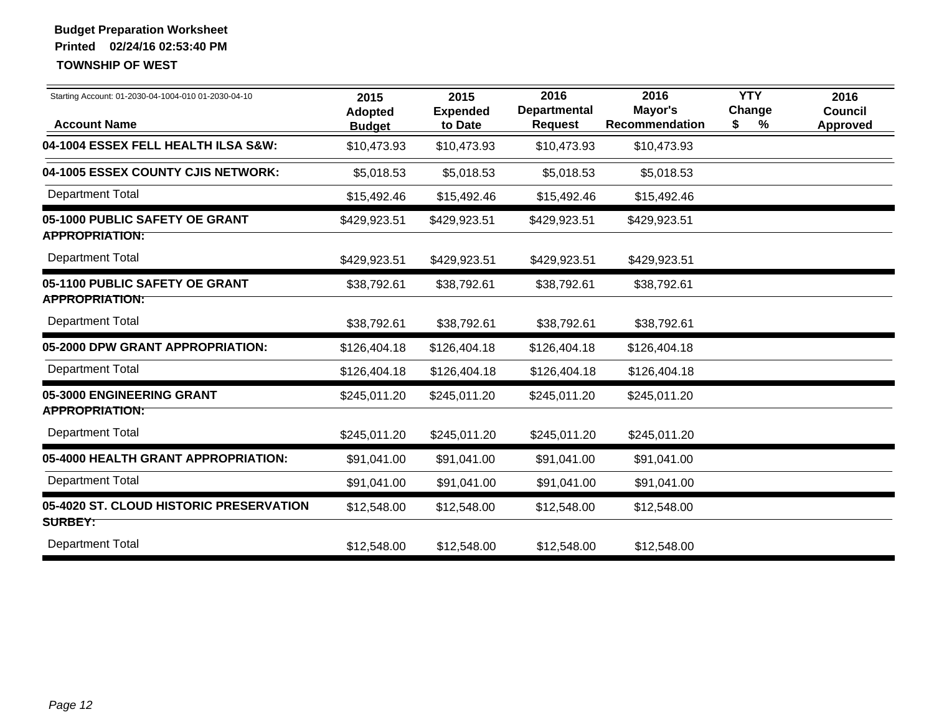| Starting Account: 01-2030-04-1004-010 01-2030-04-10 | 2015<br>Adopted | 2015<br><b>Expended</b> | 2016<br><b>Departmental</b> | 2016<br>Mayor's | <b>YTY</b><br>Change | 2016<br>Council |
|-----------------------------------------------------|-----------------|-------------------------|-----------------------------|-----------------|----------------------|-----------------|
| <b>Account Name</b>                                 | <b>Budget</b>   | to Date                 | <b>Request</b>              | Recommendation  | %<br>\$              | <b>Approved</b> |
| 04-1004 ESSEX FELL HEALTH ILSA S&W:                 | \$10,473.93     | \$10,473.93             | \$10,473.93                 | \$10,473.93     |                      |                 |
| 04-1005 ESSEX COUNTY CJIS NETWORK:                  | \$5,018.53      | \$5,018.53              | \$5,018.53                  | \$5,018.53      |                      |                 |
| <b>Department Total</b>                             | \$15,492.46     | \$15,492.46             | \$15,492.46                 | \$15,492.46     |                      |                 |
| 05-1000 PUBLIC SAFETY OE GRANT                      | \$429,923.51    | \$429,923.51            | \$429,923.51                | \$429,923.51    |                      |                 |
| <b>APPROPRIATION:</b>                               |                 |                         |                             |                 |                      |                 |
| <b>Department Total</b>                             | \$429,923.51    | \$429,923.51            | \$429,923.51                | \$429,923.51    |                      |                 |
| 05-1100 PUBLIC SAFETY OE GRANT                      | \$38,792.61     | \$38,792.61             | \$38,792.61                 | \$38,792.61     |                      |                 |
| <b>APPROPRIATION:</b>                               |                 |                         |                             |                 |                      |                 |
| <b>Department Total</b>                             | \$38,792.61     | \$38,792.61             | \$38,792.61                 | \$38,792.61     |                      |                 |
| 05-2000 DPW GRANT APPROPRIATION:                    | \$126,404.18    | \$126,404.18            | \$126,404.18                | \$126,404.18    |                      |                 |
| <b>Department Total</b>                             | \$126,404.18    | \$126,404.18            | \$126,404.18                | \$126,404.18    |                      |                 |
| 05-3000 ENGINEERING GRANT                           | \$245,011.20    | \$245,011.20            | \$245,011.20                | \$245,011.20    |                      |                 |
| <b>APPROPRIATION:</b>                               |                 |                         |                             |                 |                      |                 |
| <b>Department Total</b>                             | \$245,011.20    | \$245,011.20            | \$245,011.20                | \$245,011.20    |                      |                 |
| 05-4000 HEALTH GRANT APPROPRIATION:                 | \$91,041.00     | \$91,041.00             | \$91,041.00                 | \$91,041.00     |                      |                 |
| <b>Department Total</b>                             | \$91,041.00     | \$91,041.00             | \$91,041.00                 | \$91,041.00     |                      |                 |
| 05-4020 ST. CLOUD HISTORIC PRESERVATION             | \$12,548.00     | \$12,548.00             | \$12,548.00                 | \$12,548.00     |                      |                 |
| <b>SURBEY:</b>                                      |                 |                         |                             |                 |                      |                 |
| <b>Department Total</b>                             | \$12,548.00     | \$12,548.00             | \$12,548.00                 | \$12,548.00     |                      |                 |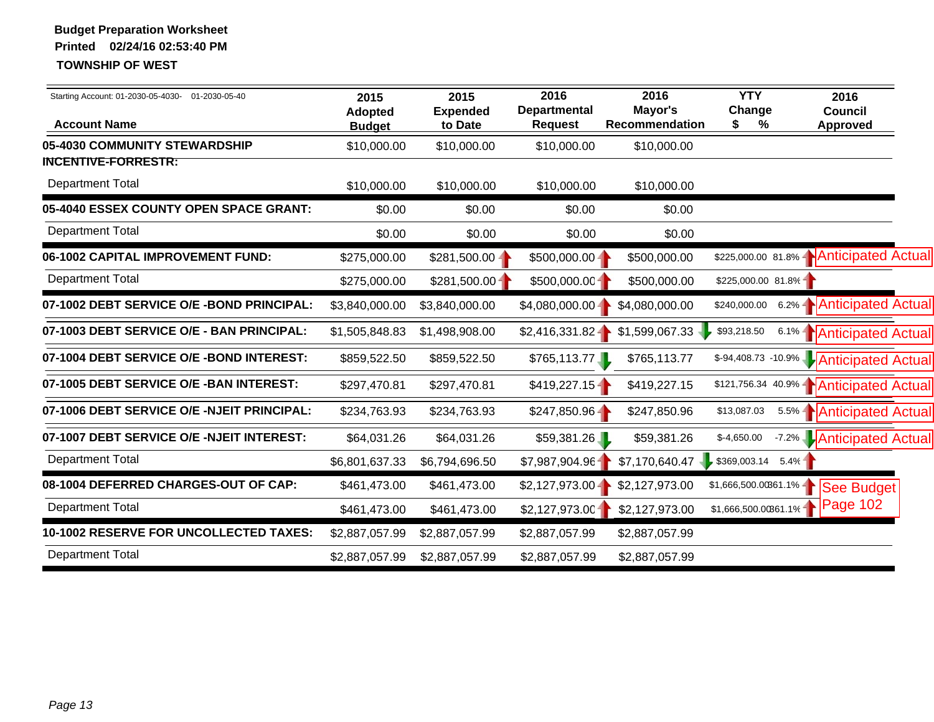| Starting Account: 01-2030-05-4030- 01-2030-05-40<br><b>Account Name</b> | 2015<br><b>Adopted</b><br><b>Budget</b> | 2015<br><b>Expended</b><br>to Date | 2016<br><b>Departmental</b><br><b>Request</b> | 2016<br>Mayor's<br>Recommendation | <b>YTY</b><br>Change<br>%<br>S. | 2016<br><b>Council</b><br>Approved      |  |
|-------------------------------------------------------------------------|-----------------------------------------|------------------------------------|-----------------------------------------------|-----------------------------------|---------------------------------|-----------------------------------------|--|
| 05-4030 COMMUNITY STEWARDSHIP                                           | \$10,000.00                             | \$10,000.00                        | \$10,000.00                                   | \$10,000.00                       |                                 |                                         |  |
| <b>INCENTIVE-FORRESTR:</b>                                              |                                         |                                    |                                               |                                   |                                 |                                         |  |
| <b>Department Total</b>                                                 | \$10,000.00                             | \$10,000.00                        | \$10,000.00                                   | \$10,000.00                       |                                 |                                         |  |
| 05-4040 ESSEX COUNTY OPEN SPACE GRANT:                                  | \$0.00                                  | \$0.00                             | \$0.00                                        | \$0.00                            |                                 |                                         |  |
| <b>Department Total</b>                                                 | \$0.00                                  | \$0.00                             | \$0.00                                        | \$0.00                            |                                 |                                         |  |
| 06-1002 CAPITAL IMPROVEMENT FUND:                                       | \$275,000.00                            | $$281,500.00 -$                    | $$500,000.00 -$                               | \$500,000.00                      |                                 | \$225,000.00 81.8%   Anticipated Actual |  |
| <b>Department Total</b>                                                 | \$275,000.00                            | $$281,500.00 -$                    | \$500,000.00                                  | \$500,000.00                      | $$225,000.00 81.8\%$            |                                         |  |
| 07-1002 DEBT SERVICE O/E -BOND PRINCIPAL:                               | \$3,840,000.00                          | \$3,840,000.00                     | $$4,080,000.00 -$                             | \$4,080,000.00                    | \$240,000.00                    | 6.2%   Anticipated Actual               |  |
| 07-1003 DEBT SERVICE O/E - BAN PRINCIPAL:                               | \$1,505,848.83                          | \$1,498,908.00                     | $$2,416,331.82 -$                             | \$1,599,067.33                    | \$93,218.50                     | 6.1%   Anticipated Actual               |  |
| 07-1004 DEBT SERVICE O/E - BOND INTEREST:                               | \$859,522.50                            | \$859,522.50                       | \$765,113.77                                  | \$765,113.77                      |                                 | \$-94,408.73 -10.9% Anticipated Actual  |  |
| 07-1005 DEBT SERVICE O/E - BAN INTEREST:                                | \$297,470.81                            | \$297,470.81                       | \$419,227.15                                  | \$419,227.15                      |                                 | \$121,756.34 40.9%   Anticipated Actual |  |
| 07-1006 DEBT SERVICE O/E -NJEIT PRINCIPAL:                              | \$234,763.93                            | \$234,763.93                       | $$247,850.96 -$                               | \$247,850.96                      | \$13,087.03                     | 5.5%   Anticipated Actual               |  |
| 07-1007 DEBT SERVICE O/E -NJEIT INTEREST:                               | \$64,031.26                             | \$64,031.26                        | \$59,381.26                                   | \$59,381.26                       | $$-4,650.00$                    | -7.2% Anticipated Actual                |  |
| <b>Department Total</b>                                                 | \$6,801,637.33                          | \$6,794,696.50                     | \$7,987,904.96                                | \$7,170,640.47                    | \$369,003.14                    | 5.4%                                    |  |
| 08-1004 DEFERRED CHARGES-OUT OF CAP:                                    | \$461,473.00                            | \$461,473.00                       | $$2,127,973.00 -$                             | \$2,127,973.00                    | $$1,666,500.00361.1\%$          | See Budget                              |  |
| <b>Department Total</b>                                                 | \$461,473.00                            | \$461,473.00                       | \$2,127,973.00                                | \$2,127,973.00                    | $$1,666,500.00361.1\%$          | Page 102                                |  |
| 10-1002 RESERVE FOR UNCOLLECTED TAXES:                                  | \$2,887,057.99                          | \$2,887,057.99                     | \$2,887,057.99                                | \$2,887,057.99                    |                                 |                                         |  |
| <b>Department Total</b>                                                 | \$2,887,057.99                          | \$2,887,057.99                     | \$2,887,057.99                                | \$2,887,057.99                    |                                 |                                         |  |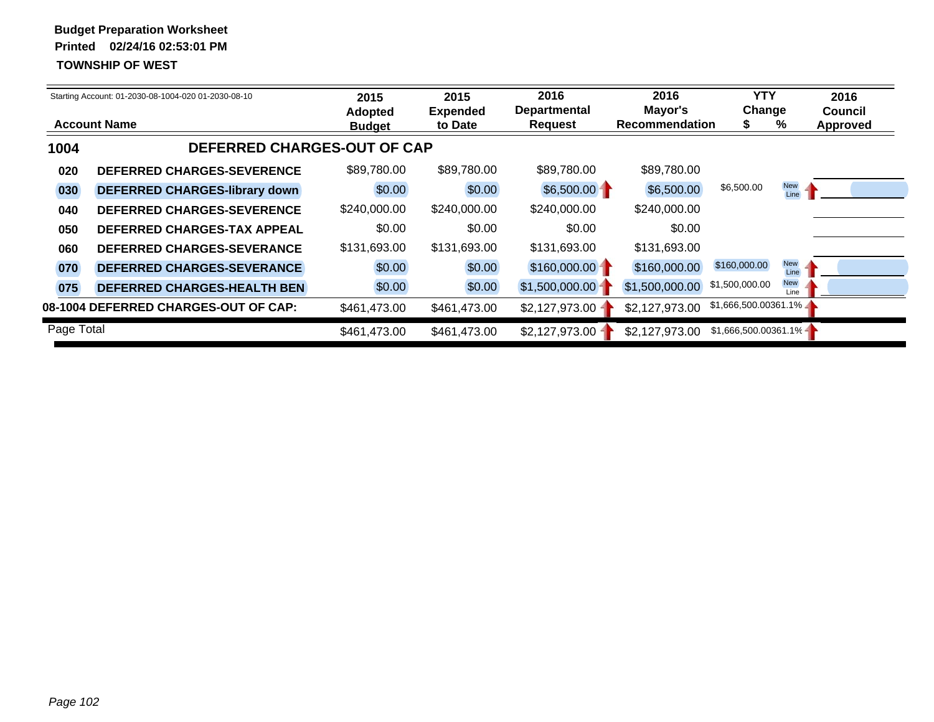|            | Starting Account: 01-2030-08-1004-020 01-2030-08-10 | 2015<br><b>Adopted</b> | 2015<br><b>Expended</b> | 2016<br><b>Departmental</b> | 2016<br>Mayor's       | <b>YTY</b><br>Change   |                    | 2016<br><b>Council</b> |
|------------|-----------------------------------------------------|------------------------|-------------------------|-----------------------------|-----------------------|------------------------|--------------------|------------------------|
|            | <b>Account Name</b>                                 | <b>Budget</b>          | to Date                 | <b>Request</b>              | <b>Recommendation</b> |                        | %                  | <b>Approved</b>        |
| 1004       | DEFERRED CHARGES-OUT OF CAP                         |                        |                         |                             |                       |                        |                    |                        |
| 020        | <b>DEFERRED CHARGES-SEVERENCE</b>                   | \$89,780.00            | \$89,780.00             | \$89,780.00                 | \$89,780.00           |                        |                    |                        |
| 030        | <b>DEFERRED CHARGES-library down</b>                | \$0.00                 | \$0.00                  | $$6,500.00 -$               | \$6,500.00            | \$6,500.00             | <b>New</b><br>Line |                        |
| 040        | <b>DEFERRED CHARGES-SEVERENCE</b>                   | \$240,000.00           | \$240,000.00            | \$240,000.00                | \$240,000.00          |                        |                    |                        |
| 050        | <b>DEFERRED CHARGES-TAX APPEAL</b>                  | \$0.00                 | \$0.00                  | \$0.00                      | \$0.00                |                        |                    |                        |
| 060        | <b>DEFERRED CHARGES-SEVERANCE</b>                   | \$131,693.00           | \$131,693.00            | \$131,693.00                | \$131,693.00          |                        |                    |                        |
| 070        | <b>DEFERRED CHARGES-SEVERANCE</b>                   | \$0.00                 | \$0.00                  | $$160,000.00 -$             | \$160,000.00          | \$160,000.00           | <b>New</b><br>Line |                        |
| 075        | <b>DEFERRED CHARGES-HEALTH BEN</b>                  | \$0.00                 | \$0.00                  | \$1,500,000.00              | \$1,500,000.00        | \$1,500,000.00         | <b>New</b><br>Line |                        |
|            | 08-1004 DEFERRED CHARGES-OUT OF CAP:                | \$461,473.00           | \$461,473.00            | \$2,127,973.00 1            | \$2,127,973.00        | $$1,666,500.00361.1\%$ |                    |                        |
| Page Total |                                                     | \$461,473.00           | \$461,473.00            | \$2,127,973.00 1            | \$2,127,973.00        | $$1,666,500.00361.1\%$ |                    |                        |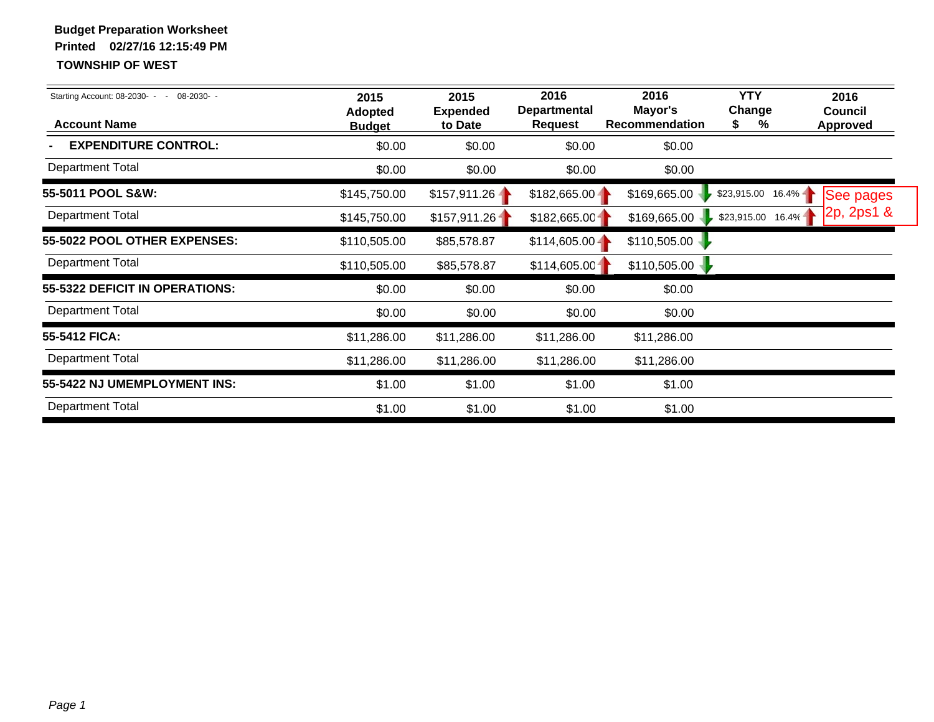| Starting Account: 08-2030- -<br>08-2030-<br><b>Account Name</b> | 2015<br><b>Adopted</b><br><b>Budget</b> | 2015<br><b>Expended</b><br>to Date | 2016<br><b>Departmental</b><br><b>Request</b> | 2016<br>Mayor's<br>Recommendation | <b>YTY</b><br>Change<br>℅<br>2 | 2016<br><b>Council</b><br><b>Approved</b> |
|-----------------------------------------------------------------|-----------------------------------------|------------------------------------|-----------------------------------------------|-----------------------------------|--------------------------------|-------------------------------------------|
| <b>EXPENDITURE CONTROL:</b>                                     | \$0.00                                  | \$0.00                             | \$0.00                                        | \$0.00                            |                                |                                           |
| <b>Department Total</b>                                         | \$0.00                                  | \$0.00                             | \$0.00                                        | \$0.00                            |                                |                                           |
| 55-5011 POOL S&W:                                               | \$145,750.00                            | $$157,911.26 -$                    | $$182,665.00 -$                               | \$169,665.00                      | $$23,915.00$ 16.4%             | See pages                                 |
| <b>Department Total</b>                                         | \$145,750.00                            | \$157,911.26                       | \$182,665.00                                  | \$169,665.00                      | $$23,915.00$ 16.4%             | 2p, 2p, 1 &                               |
| 55-5022 POOL OTHER EXPENSES:                                    | \$110,505.00                            | \$85,578.87                        | $$114,605.00 -$                               | \$110,505.00                      |                                |                                           |
| <b>Department Total</b>                                         | \$110,505.00                            | \$85,578.87                        | \$114,605.00                                  | \$110,505.00                      |                                |                                           |
| 55-5322 DEFICIT IN OPERATIONS:                                  | \$0.00                                  | \$0.00                             | \$0.00                                        | \$0.00                            |                                |                                           |
| <b>Department Total</b>                                         | \$0.00                                  | \$0.00                             | \$0.00                                        | \$0.00                            |                                |                                           |
| 55-5412 FICA:                                                   | \$11,286.00                             | \$11,286.00                        | \$11,286.00                                   | \$11,286.00                       |                                |                                           |
| <b>Department Total</b>                                         | \$11,286.00                             | \$11,286.00                        | \$11,286.00                                   | \$11,286.00                       |                                |                                           |
| 55-5422 NJ UMEMPLOYMENT INS:                                    | \$1.00                                  | \$1.00                             | \$1.00                                        | \$1.00                            |                                |                                           |
| <b>Department Total</b>                                         | \$1.00                                  | \$1.00                             | \$1.00                                        | \$1.00                            |                                |                                           |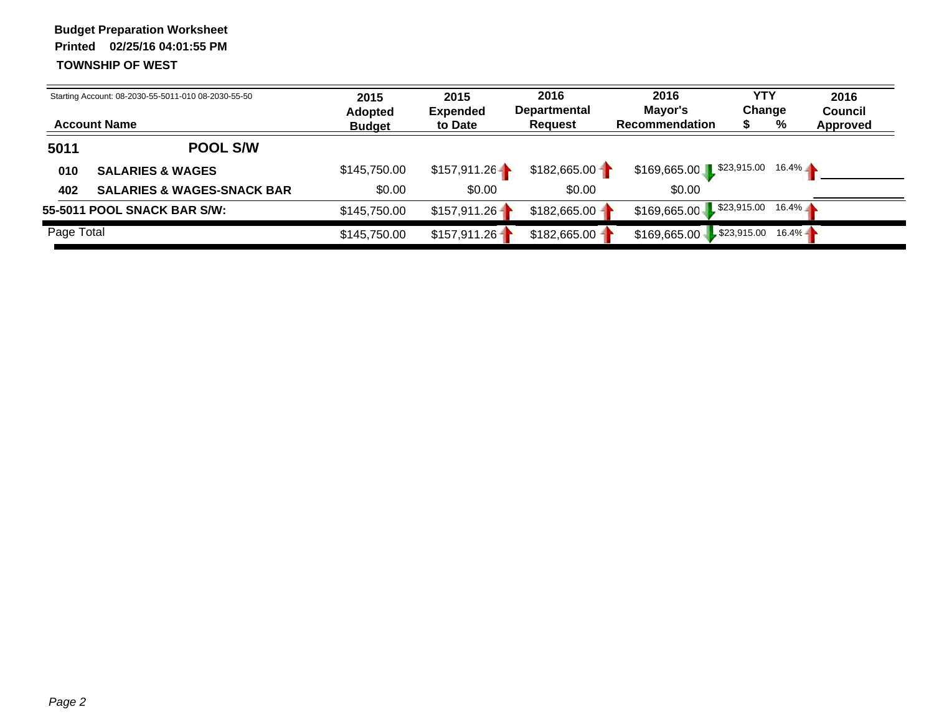|            | Starting Account: 08-2030-55-5011-010 08-2030-55-50<br><b>Account Name</b> | 2015<br><b>Adopted</b><br><b>Budget</b> | 2015<br><b>Expended</b><br>to Date | 2016<br><b>Departmental</b><br><b>Request</b> | 2016<br>Mayor's<br><b>Recommendation</b> | YTY<br>Change | 2016<br><b>Council</b><br>%<br>Approved |  |
|------------|----------------------------------------------------------------------------|-----------------------------------------|------------------------------------|-----------------------------------------------|------------------------------------------|---------------|-----------------------------------------|--|
| 5011       | <b>POOL S/W</b>                                                            |                                         |                                    |                                               |                                          |               |                                         |  |
| 010        | <b>SALARIES &amp; WAGES</b>                                                | \$145,750.00                            | \$157,911.26                       | \$182,665.00                                  | \$169,665.00 \$23,915.00                 |               | $16.4\%$                                |  |
| 402        | <b>SALARIES &amp; WAGES-SNACK BAR</b>                                      | \$0.00                                  | \$0.00                             | \$0.00                                        | \$0.00                                   |               |                                         |  |
|            | 55-5011 POOL SNACK BAR S/W:                                                | \$145,750.00                            | $$157,911.26 -$                    | \$182,665.00                                  | \$169,665.00 \$23,915.00                 |               | $16.4\%$                                |  |
| Page Total |                                                                            | \$145,750.00                            | \$157,911.26                       | \$182,665.00                                  | $$169,665.00$ $$23,915.00$               |               | $16.4% -$                               |  |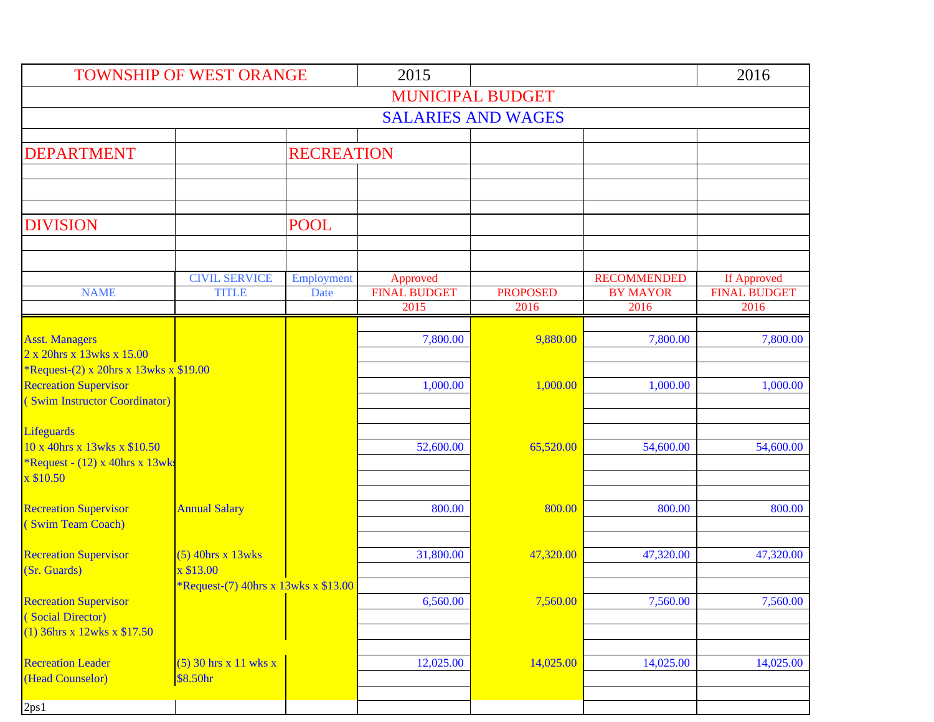| <b>TOWNSHIP OF WEST ORANGE</b>                                      |                                             |                           | 2015                            |                           |                                       | 2016                               |  |  |  |
|---------------------------------------------------------------------|---------------------------------------------|---------------------------|---------------------------------|---------------------------|---------------------------------------|------------------------------------|--|--|--|
| <b>MUNICIPAL BUDGET</b>                                             |                                             |                           |                                 |                           |                                       |                                    |  |  |  |
|                                                                     |                                             |                           |                                 | <b>SALARIES AND WAGES</b> |                                       |                                    |  |  |  |
|                                                                     |                                             |                           |                                 |                           |                                       |                                    |  |  |  |
| <b>DEPARTMENT</b>                                                   |                                             | <b>RECREATION</b>         |                                 |                           |                                       |                                    |  |  |  |
|                                                                     |                                             |                           |                                 |                           |                                       |                                    |  |  |  |
|                                                                     |                                             |                           |                                 |                           |                                       |                                    |  |  |  |
| <b>DIVISION</b>                                                     | <b>POOL</b>                                 |                           |                                 |                           |                                       |                                    |  |  |  |
|                                                                     |                                             |                           |                                 |                           |                                       |                                    |  |  |  |
|                                                                     |                                             |                           |                                 |                           |                                       |                                    |  |  |  |
| <b>NAME</b>                                                         | <b>CIVIL SERVICE</b><br><b>TITLE</b>        | Employment<br><b>Date</b> | Approved<br><b>FINAL BUDGET</b> | <b>PROPOSED</b>           | <b>RECOMMENDED</b><br><b>BY MAYOR</b> | If Approved<br><b>FINAL BUDGET</b> |  |  |  |
|                                                                     |                                             |                           | 2015                            | 2016                      | 2016                                  | 2016                               |  |  |  |
|                                                                     |                                             |                           |                                 |                           |                                       |                                    |  |  |  |
| <b>Asst. Managers</b>                                               |                                             |                           | 7,800.00                        | 9,880.00                  | 7,800.00                              | 7,800.00                           |  |  |  |
| 2 x 20hrs x 13wks x 15.00<br>*Request-(2) x 20hrs x 13wks x \$19.00 |                                             |                           |                                 |                           |                                       |                                    |  |  |  |
| <b>Recreation Supervisor</b>                                        |                                             |                           | 1,000.00                        | 1.000.00                  | 1,000.00                              | 1,000.00                           |  |  |  |
| (Swim Instructor Coordinator)                                       |                                             |                           |                                 |                           |                                       |                                    |  |  |  |
|                                                                     |                                             |                           |                                 |                           |                                       |                                    |  |  |  |
| Lifeguards<br>10 x 40hrs x 13wks x \$10.50                          |                                             |                           |                                 |                           |                                       |                                    |  |  |  |
| *Request - $(12)$ x 40hrs x 13wks                                   |                                             |                           | 52,600.00                       | 65,520.00                 | 54,600.00                             | 54,600.00                          |  |  |  |
| x \$10.50                                                           |                                             |                           |                                 |                           |                                       |                                    |  |  |  |
|                                                                     |                                             |                           |                                 |                           |                                       |                                    |  |  |  |
| <b>Recreation Supervisor</b><br>(Swim Team Coach)                   | <b>Annual Salary</b>                        |                           | 800.00                          | 800.00                    | 800.00                                | 800.00                             |  |  |  |
|                                                                     |                                             |                           |                                 |                           |                                       |                                    |  |  |  |
| <b>Recreation Supervisor</b>                                        | $(5)$ 40hrs x 13wks                         |                           | 31,800.00                       | 47,320.00                 | 47,320.00                             | 47,320.00                          |  |  |  |
| (Sr. Guards)                                                        | x \$13.00                                   |                           |                                 |                           |                                       |                                    |  |  |  |
| <b>Recreation Supervisor</b>                                        | <i>*Request-(7)</i> 40hrs x 13wks x \$13.00 |                           | 6,560.00                        | 7,560.00                  | 7,560.00                              | 7,560.00                           |  |  |  |
| (Social Director)                                                   |                                             |                           |                                 |                           |                                       |                                    |  |  |  |
| $(1)$ 36hrs x 12wks x \$17.50                                       |                                             |                           |                                 |                           |                                       |                                    |  |  |  |
|                                                                     |                                             |                           |                                 |                           |                                       |                                    |  |  |  |
| <b>Recreation Leader</b><br>(Head Counselor)                        | $(5)$ 30 hrs x 11 wks x<br>\$8.50hr         |                           | 12,025.00                       | 14,025.00                 | 14,025.00                             | 14,025.00                          |  |  |  |
|                                                                     |                                             |                           |                                 |                           |                                       |                                    |  |  |  |
| 2ps1                                                                |                                             |                           |                                 |                           |                                       |                                    |  |  |  |